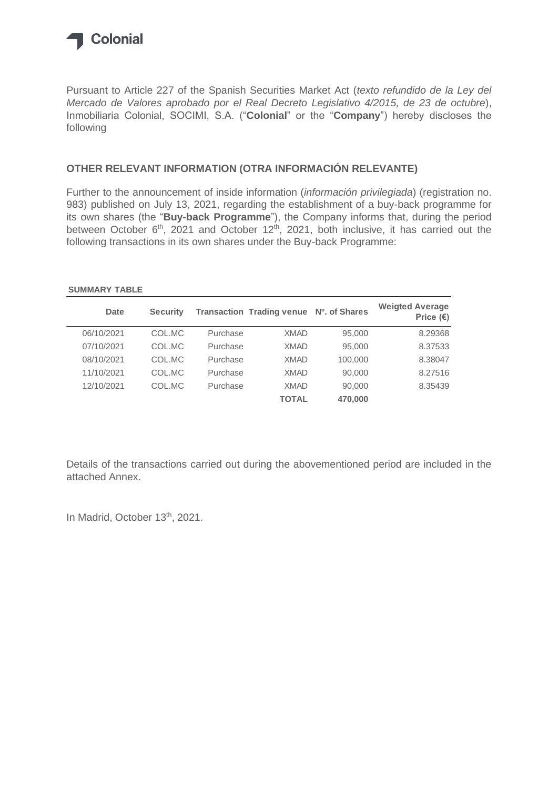

Pursuant to Article 227 of the Spanish Securities Market Act (*texto refundido de la Ley del Mercado de Valores aprobado por el Real Decreto Legislativo 4/2015, de 23 de octubre*), Inmobiliaria Colonial, SOCIMI, S.A. ("**Colonial**" or the "**Company**") hereby discloses the following

#### **OTHER RELEVANT INFORMATION (OTRA INFORMACIÓN RELEVANTE)**

Further to the announcement of inside information (*información privilegiada*) (registration no. 983) published on July 13, 2021, regarding the establishment of a buy-back programme for its own shares (the "**Buy-back Programme**"), the Company informs that, during the period between October 6<sup>th</sup>, 2021 and October 12<sup>th</sup>, 2021, both inclusive, it has carried out the following transactions in its own shares under the Buy-back Programme:

#### **SUMMARY TABLE**

| Date       | <b>Security</b> |          | Transaction Trading venue Nº. of Shares |         | <b>Weigted Average</b><br>Price $(\epsilon)$ |
|------------|-----------------|----------|-----------------------------------------|---------|----------------------------------------------|
| 06/10/2021 | COL.MC          | Purchase | <b>XMAD</b>                             | 95,000  | 8.29368                                      |
| 07/10/2021 | COL.MC          | Purchase | <b>XMAD</b>                             | 95,000  | 8.37533                                      |
| 08/10/2021 | COL.MC          | Purchase | <b>XMAD</b>                             | 100,000 | 8.38047                                      |
| 11/10/2021 | COL.MC          | Purchase | <b>XMAD</b>                             | 90,000  | 8.27516                                      |
| 12/10/2021 | COL.MC          | Purchase | <b>XMAD</b>                             | 90,000  | 8.35439                                      |
|            |                 |          | <b>TOTAL</b>                            | 470,000 |                                              |

Details of the transactions carried out during the abovementioned period are included in the attached Annex.

In Madrid, October 13th, 2021.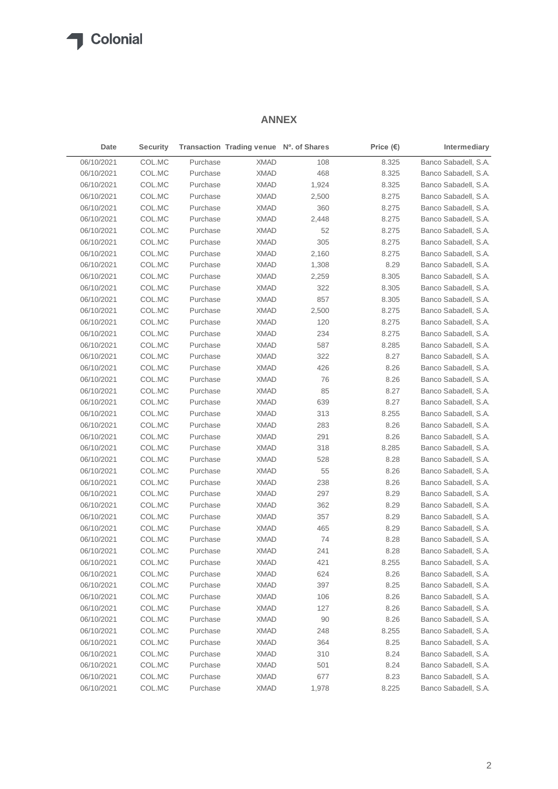#### **ANNEX**

| Date       | <b>Security</b> |          | Transaction Trading venue Nº. of Shares |       | Price $(\epsilon)$ | Intermediary         |
|------------|-----------------|----------|-----------------------------------------|-------|--------------------|----------------------|
| 06/10/2021 | COL.MC          | Purchase | <b>XMAD</b>                             | 108   | 8.325              | Banco Sabadell, S.A. |
| 06/10/2021 | COL.MC          | Purchase | <b>XMAD</b>                             | 468   | 8.325              | Banco Sabadell, S.A. |
| 06/10/2021 | COL.MC          | Purchase | <b>XMAD</b>                             | 1,924 | 8.325              | Banco Sabadell, S.A. |
| 06/10/2021 | COL.MC          | Purchase | <b>XMAD</b>                             | 2,500 | 8.275              | Banco Sabadell, S.A. |
| 06/10/2021 | COL.MC          | Purchase | <b>XMAD</b>                             | 360   | 8.275              | Banco Sabadell, S.A. |
| 06/10/2021 | COL.MC          | Purchase | <b>XMAD</b>                             | 2,448 | 8.275              | Banco Sabadell, S.A. |
| 06/10/2021 | COL.MC          | Purchase | <b>XMAD</b>                             | 52    | 8.275              | Banco Sabadell, S.A. |
| 06/10/2021 | COL.MC          | Purchase | <b>XMAD</b>                             | 305   | 8.275              | Banco Sabadell, S.A. |
| 06/10/2021 | COL.MC          | Purchase | XMAD                                    | 2,160 | 8.275              | Banco Sabadell, S.A. |
| 06/10/2021 | COL.MC          | Purchase | <b>XMAD</b>                             | 1,308 | 8.29               | Banco Sabadell, S.A. |
| 06/10/2021 | COL.MC          | Purchase | <b>XMAD</b>                             | 2,259 | 8.305              | Banco Sabadell, S.A. |
| 06/10/2021 | COL.MC          | Purchase | <b>XMAD</b>                             | 322   | 8.305              | Banco Sabadell, S.A. |
| 06/10/2021 | COL.MC          | Purchase | <b>XMAD</b>                             | 857   | 8.305              | Banco Sabadell, S.A. |
| 06/10/2021 | COL.MC          | Purchase | <b>XMAD</b>                             | 2,500 | 8.275              | Banco Sabadell, S.A. |
| 06/10/2021 | COL.MC          | Purchase | XMAD                                    | 120   | 8.275              | Banco Sabadell, S.A. |
| 06/10/2021 | COL.MC          | Purchase | XMAD                                    | 234   | 8.275              | Banco Sabadell, S.A. |
| 06/10/2021 | COL.MC          | Purchase | <b>XMAD</b>                             | 587   | 8.285              | Banco Sabadell, S.A. |
| 06/10/2021 | COL.MC          | Purchase | XMAD                                    | 322   | 8.27               | Banco Sabadell, S.A. |
| 06/10/2021 | COL.MC          | Purchase | <b>XMAD</b>                             | 426   | 8.26               | Banco Sabadell, S.A. |
| 06/10/2021 | COL.MC          | Purchase | <b>XMAD</b>                             | 76    | 8.26               | Banco Sabadell, S.A. |
| 06/10/2021 | COL.MC          | Purchase | <b>XMAD</b>                             | 85    | 8.27               | Banco Sabadell, S.A. |
| 06/10/2021 | COL.MC          | Purchase | <b>XMAD</b>                             | 639   | 8.27               | Banco Sabadell, S.A. |
| 06/10/2021 | COL.MC          | Purchase | <b>XMAD</b>                             | 313   | 8.255              | Banco Sabadell, S.A. |
| 06/10/2021 | COL.MC          | Purchase | <b>XMAD</b>                             | 283   | 8.26               | Banco Sabadell, S.A. |
| 06/10/2021 | COL.MC          | Purchase | <b>XMAD</b>                             | 291   | 8.26               | Banco Sabadell, S.A. |
| 06/10/2021 | COL.MC          | Purchase | <b>XMAD</b>                             | 318   | 8.285              | Banco Sabadell, S.A. |
| 06/10/2021 | COL.MC          | Purchase | <b>XMAD</b>                             | 528   | 8.28               | Banco Sabadell, S.A. |
| 06/10/2021 | COL.MC          | Purchase | <b>XMAD</b>                             | 55    | 8.26               | Banco Sabadell, S.A. |
| 06/10/2021 | COL.MC          | Purchase | <b>XMAD</b>                             | 238   | 8.26               | Banco Sabadell, S.A. |
| 06/10/2021 | COL.MC          | Purchase | <b>XMAD</b>                             | 297   | 8.29               | Banco Sabadell, S.A. |
| 06/10/2021 | COL.MC          | Purchase | <b>XMAD</b>                             | 362   | 8.29               | Banco Sabadell, S.A. |
| 06/10/2021 | COL.MC          | Purchase | <b>XMAD</b>                             | 357   | 8.29               | Banco Sabadell, S.A. |
| 06/10/2021 | COL.MC          | Purchase | <b>XMAD</b>                             | 465   | 8.29               | Banco Sabadell, S.A. |
| 06/10/2021 | COL.MC          | Purchase | <b>XMAD</b>                             | 74    | 8.28               | Banco Sabadell, S.A. |
| 06/10/2021 | COL.MC          | Purchase | <b>XMAD</b>                             | 241   | 8.28               | Banco Sabadell, S.A. |
| 06/10/2021 | COL.MC          | Purchase | XMAD                                    | 421   | 8.255              | Banco Sabadell, S.A. |
| 06/10/2021 | COL.MC          | Purchase | <b>XMAD</b>                             | 624   | 8.26               | Banco Sabadell, S.A. |
| 06/10/2021 | COL.MC          | Purchase | <b>XMAD</b>                             | 397   | 8.25               | Banco Sabadell, S.A. |
| 06/10/2021 | COL.MC          | Purchase | <b>XMAD</b>                             | 106   | 8.26               | Banco Sabadell, S.A. |
| 06/10/2021 | COL.MC          | Purchase | XMAD                                    | 127   | 8.26               | Banco Sabadell, S.A. |
| 06/10/2021 | COL.MC          | Purchase | <b>XMAD</b>                             | 90    | 8.26               | Banco Sabadell, S.A. |
| 06/10/2021 | COL.MC          | Purchase | XMAD                                    | 248   | 8.255              | Banco Sabadell, S.A. |
| 06/10/2021 | COL.MC          | Purchase | <b>XMAD</b>                             | 364   | 8.25               | Banco Sabadell, S.A. |
| 06/10/2021 | COL.MC          | Purchase | XMAD                                    | 310   | 8.24               | Banco Sabadell, S.A. |
| 06/10/2021 | COL.MC          | Purchase | XMAD                                    | 501   | 8.24               | Banco Sabadell, S.A. |
| 06/10/2021 | COL.MC          | Purchase | XMAD                                    | 677   | 8.23               | Banco Sabadell, S.A. |
| 06/10/2021 | COL.MC          | Purchase | <b>XMAD</b>                             | 1,978 | 8.225              | Banco Sabadell, S.A. |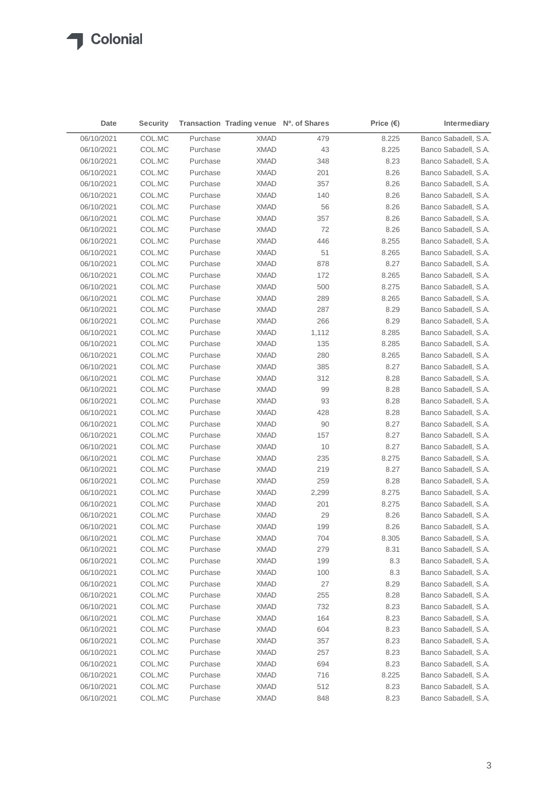| Date       | <b>Security</b> |                      | Transaction Trading venue Nº. of Shares |       | Price $(\epsilon)$ | Intermediary         |
|------------|-----------------|----------------------|-----------------------------------------|-------|--------------------|----------------------|
| 06/10/2021 | COL.MC          | Purchase             | <b>XMAD</b>                             | 479   | 8.225              | Banco Sabadell, S.A. |
| 06/10/2021 | COL.MC          | Purchase             | <b>XMAD</b>                             | 43    | 8.225              | Banco Sabadell, S.A. |
| 06/10/2021 | COL.MC          | Purchase             | XMAD                                    | 348   | 8.23               | Banco Sabadell, S.A. |
| 06/10/2021 | COL.MC          | Purchase             | XMAD                                    | 201   | 8.26               | Banco Sabadell, S.A. |
| 06/10/2021 | COL.MC          | Purchase             | XMAD                                    | 357   | 8.26               | Banco Sabadell, S.A. |
| 06/10/2021 | COL.MC          | Purchase             | XMAD                                    | 140   | 8.26               | Banco Sabadell, S.A. |
| 06/10/2021 | COL.MC          | Purchase             | XMAD                                    | 56    | 8.26               | Banco Sabadell, S.A. |
| 06/10/2021 | COL.MC          | Purchase             | XMAD                                    | 357   | 8.26               | Banco Sabadell, S.A. |
| 06/10/2021 | COL.MC          | Purchase             | <b>XMAD</b>                             | 72    | 8.26               | Banco Sabadell, S.A. |
| 06/10/2021 | COL.MC          | Purchase             | XMAD                                    | 446   | 8.255              | Banco Sabadell, S.A. |
| 06/10/2021 | COL.MC          | Purchase             | <b>XMAD</b>                             | 51    | 8.265              | Banco Sabadell, S.A. |
| 06/10/2021 | COL.MC          | Purchase             | <b>XMAD</b>                             | 878   | 8.27               | Banco Sabadell, S.A. |
| 06/10/2021 | COL.MC          | Purchase             | <b>XMAD</b>                             | 172   | 8.265              | Banco Sabadell, S.A. |
| 06/10/2021 | COL.MC          | Purchase             | <b>XMAD</b>                             | 500   | 8.275              | Banco Sabadell, S.A. |
| 06/10/2021 | COL.MC          | Purchase             | <b>XMAD</b>                             | 289   | 8.265              | Banco Sabadell, S.A. |
| 06/10/2021 | COL.MC          | Purchase             | <b>XMAD</b>                             | 287   | 8.29               | Banco Sabadell, S.A. |
| 06/10/2021 | COL.MC          | Purchase             | <b>XMAD</b>                             | 266   | 8.29               | Banco Sabadell, S.A. |
| 06/10/2021 | COL.MC          | Purchase             | <b>XMAD</b>                             | 1,112 | 8.285              | Banco Sabadell, S.A. |
| 06/10/2021 | COL.MC          | Purchase             | <b>XMAD</b>                             | 135   | 8.285              | Banco Sabadell, S.A. |
| 06/10/2021 | COL.MC          | Purchase             | <b>XMAD</b>                             | 280   | 8.265              | Banco Sabadell, S.A. |
| 06/10/2021 | COL.MC          | Purchase             | <b>XMAD</b>                             | 385   | 8.27               | Banco Sabadell, S.A. |
| 06/10/2021 | COL.MC          | Purchase             | <b>XMAD</b>                             | 312   | 8.28               | Banco Sabadell, S.A. |
| 06/10/2021 | COL.MC          | Purchase             | <b>XMAD</b>                             | 99    | 8.28               | Banco Sabadell, S.A. |
| 06/10/2021 | COL.MC          | Purchase             | <b>XMAD</b>                             | 93    | 8.28               | Banco Sabadell, S.A. |
| 06/10/2021 | COL.MC          | Purchase             | <b>XMAD</b>                             | 428   | 8.28               | Banco Sabadell, S.A. |
| 06/10/2021 | COL.MC          | Purchase             | <b>XMAD</b>                             | 90    | 8.27               | Banco Sabadell, S.A. |
| 06/10/2021 | COL.MC          | Purchase             | <b>XMAD</b>                             | 157   | 8.27               | Banco Sabadell, S.A. |
| 06/10/2021 | COL.MC          | Purchase             | <b>XMAD</b>                             | 10    | 8.27               | Banco Sabadell, S.A. |
| 06/10/2021 | COL.MC          | Purchase             | <b>XMAD</b>                             | 235   | 8.275              | Banco Sabadell, S.A. |
| 06/10/2021 | COL.MC          | Purchase             | <b>XMAD</b>                             | 219   | 8.27               | Banco Sabadell, S.A. |
| 06/10/2021 | COL.MC          | Purchase             | XMAD                                    | 259   | 8.28               | Banco Sabadell, S.A. |
| 06/10/2021 | COL.MC          | Purchase             | <b>XMAD</b>                             | 2,299 | 8.275              | Banco Sabadell, S.A. |
| 06/10/2021 | COL.MC          | Purchase             | XMAD                                    | 201   | 8.275              | Banco Sabadell, S.A. |
| 06/10/2021 | COL.MC          | Purchase             | <b>XMAD</b>                             | 29    | 8.26               | Banco Sabadell, S.A. |
| 06/10/2021 | COL.MC          | Purchase             | <b>XMAD</b>                             | 199   | 8.26               | Banco Sabadell, S.A. |
| 06/10/2021 | COL.MC          | Purchase             | XMAD                                    | 704   | 8.305              | Banco Sabadell, S.A. |
|            | COL.MC          |                      | <b>XMAD</b>                             |       |                    | Banco Sabadell, S.A. |
| 06/10/2021 |                 | Purchase             |                                         | 279   | 8.31               |                      |
| 06/10/2021 | COL.MC          | Purchase<br>Purchase | <b>XMAD</b>                             | 199   | 8.3                | Banco Sabadell, S.A. |
| 06/10/2021 | COL.MC          |                      | <b>XMAD</b>                             | 100   | 8.3                | Banco Sabadell, S.A. |
| 06/10/2021 | COL.MC          | Purchase             | <b>XMAD</b>                             | 27    | 8.29               | Banco Sabadell, S.A. |
| 06/10/2021 | COL.MC          | Purchase             | <b>XMAD</b>                             | 255   | 8.28               | Banco Sabadell, S.A. |
| 06/10/2021 | COL.MC          | Purchase             | <b>XMAD</b>                             | 732   | 8.23               | Banco Sabadell, S.A. |
| 06/10/2021 | COL.MC          | Purchase             | <b>XMAD</b>                             | 164   | 8.23               | Banco Sabadell, S.A. |
| 06/10/2021 | COL.MC          | Purchase             | <b>XMAD</b>                             | 604   | 8.23               | Banco Sabadell, S.A. |
| 06/10/2021 | COL.MC          | Purchase             | <b>XMAD</b>                             | 357   | 8.23               | Banco Sabadell, S.A. |
| 06/10/2021 | COL.MC          | Purchase             | <b>XMAD</b>                             | 257   | 8.23               | Banco Sabadell, S.A. |
| 06/10/2021 | COL.MC          | Purchase             | <b>XMAD</b>                             | 694   | 8.23               | Banco Sabadell, S.A. |
| 06/10/2021 | COL.MC          | Purchase             | <b>XMAD</b>                             | 716   | 8.225              | Banco Sabadell, S.A. |
| 06/10/2021 | COL.MC          | Purchase             | <b>XMAD</b>                             | 512   | 8.23               | Banco Sabadell, S.A. |
| 06/10/2021 | COL.MC          | Purchase             | <b>XMAD</b>                             | 848   | 8.23               | Banco Sabadell, S.A. |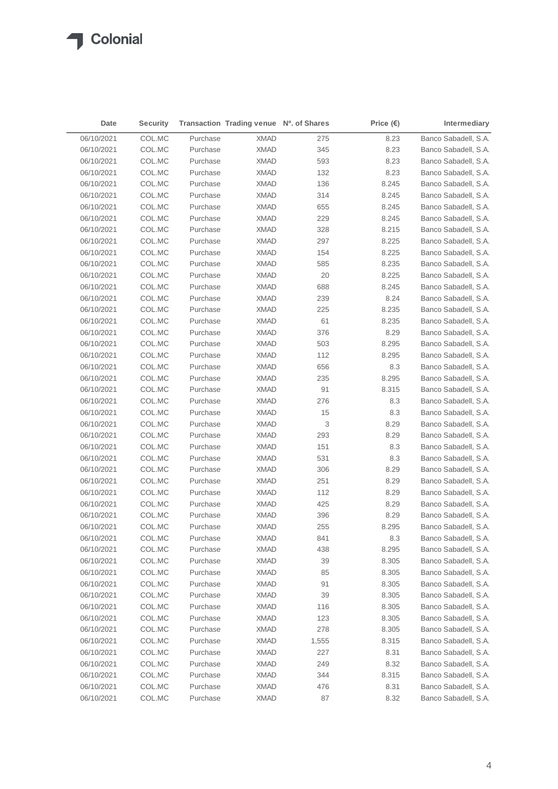| Date       | <b>Security</b> |          | Transaction Trading venue Nº. of Shares |              | Price $(\epsilon)$ | Intermediary         |
|------------|-----------------|----------|-----------------------------------------|--------------|--------------------|----------------------|
| 06/10/2021 | COL.MC          | Purchase | <b>XMAD</b>                             | 275          | 8.23               | Banco Sabadell, S.A. |
| 06/10/2021 | COL.MC          | Purchase | <b>XMAD</b>                             | 345          | 8.23               | Banco Sabadell, S.A. |
| 06/10/2021 | COL.MC          | Purchase | XMAD                                    | 593          | 8.23               | Banco Sabadell, S.A. |
| 06/10/2021 | COL.MC          | Purchase | XMAD                                    | 132          | 8.23               | Banco Sabadell, S.A. |
| 06/10/2021 | COL.MC          | Purchase | XMAD                                    | 136          | 8.245              | Banco Sabadell, S.A. |
| 06/10/2021 | COL.MC          | Purchase | XMAD                                    | 314          | 8.245              | Banco Sabadell, S.A. |
| 06/10/2021 | COL.MC          | Purchase | XMAD                                    | 655          | 8.245              | Banco Sabadell, S.A. |
| 06/10/2021 | COL.MC          | Purchase | XMAD                                    | 229          | 8.245              | Banco Sabadell, S.A. |
| 06/10/2021 | COL.MC          | Purchase | <b>XMAD</b>                             | 328          | 8.215              | Banco Sabadell, S.A. |
| 06/10/2021 | COL.MC          | Purchase | XMAD                                    | 297          | 8.225              | Banco Sabadell, S.A. |
| 06/10/2021 | COL.MC          | Purchase | <b>XMAD</b>                             | 154          | 8.225              | Banco Sabadell, S.A. |
| 06/10/2021 | COL.MC          | Purchase | <b>XMAD</b>                             | 585          | 8.235              | Banco Sabadell, S.A. |
| 06/10/2021 | COL.MC          | Purchase | <b>XMAD</b>                             | 20           | 8.225              | Banco Sabadell, S.A. |
| 06/10/2021 | COL.MC          | Purchase | <b>XMAD</b>                             | 688          | 8.245              | Banco Sabadell, S.A. |
| 06/10/2021 | COL.MC          | Purchase | <b>XMAD</b>                             | 239          | 8.24               | Banco Sabadell, S.A. |
| 06/10/2021 | COL.MC          | Purchase | <b>XMAD</b>                             | 225          | 8.235              | Banco Sabadell, S.A. |
| 06/10/2021 | COL.MC          | Purchase | <b>XMAD</b>                             | 61           | 8.235              | Banco Sabadell, S.A. |
| 06/10/2021 | COL.MC          | Purchase | <b>XMAD</b>                             | 376          | 8.29               | Banco Sabadell, S.A. |
| 06/10/2021 | COL.MC          | Purchase | <b>XMAD</b>                             | 503          | 8.295              | Banco Sabadell, S.A. |
| 06/10/2021 | COL.MC          | Purchase | <b>XMAD</b>                             | 112          | 8.295              | Banco Sabadell, S.A. |
| 06/10/2021 | COL.MC          | Purchase | <b>XMAD</b>                             | 656          | 8.3                | Banco Sabadell, S.A. |
| 06/10/2021 | COL.MC          | Purchase | <b>XMAD</b>                             | 235          | 8.295              | Banco Sabadell, S.A. |
| 06/10/2021 | COL.MC          | Purchase | <b>XMAD</b>                             | 91           | 8.315              | Banco Sabadell, S.A. |
| 06/10/2021 | COL.MC          | Purchase | <b>XMAD</b>                             | 276          | 8.3                | Banco Sabadell, S.A. |
| 06/10/2021 | COL.MC          | Purchase | <b>XMAD</b>                             | 15           | 8.3                | Banco Sabadell, S.A. |
| 06/10/2021 | COL.MC          | Purchase | <b>XMAD</b>                             | 3            | 8.29               | Banco Sabadell, S.A. |
| 06/10/2021 | COL.MC          | Purchase | <b>XMAD</b>                             | 293          | 8.29               | Banco Sabadell, S.A. |
| 06/10/2021 | COL.MC          | Purchase | <b>XMAD</b>                             | 151          | 8.3                | Banco Sabadell, S.A. |
| 06/10/2021 | COL.MC          | Purchase | <b>XMAD</b>                             | 531          | 8.3                | Banco Sabadell, S.A. |
| 06/10/2021 | COL.MC          | Purchase | <b>XMAD</b>                             | 306          | 8.29               | Banco Sabadell, S.A. |
| 06/10/2021 | COL.MC          | Purchase | XMAD                                    | 251          | 8.29               | Banco Sabadell, S.A. |
| 06/10/2021 | COL.MC          | Purchase | <b>XMAD</b>                             | 112          | 8.29               | Banco Sabadell, S.A. |
| 06/10/2021 | COL.MC          | Purchase | XMAD                                    | 425          | 8.29               | Banco Sabadell, S.A. |
| 06/10/2021 | COL.MC          | Purchase | <b>XMAD</b>                             | 396          | 8.29               | Banco Sabadell, S.A. |
| 06/10/2021 | COL.MC          | Purchase | <b>XMAD</b>                             | 255          | 8.295              | Banco Sabadell, S.A. |
| 06/10/2021 | COL.MC          | Purchase | XMAD                                    | 841          | $8.3\,$            | Banco Sabadell, S.A. |
| 06/10/2021 | COL.MC          | Purchase | <b>XMAD</b>                             | 438          | 8.295              | Banco Sabadell, S.A. |
| 06/10/2021 | COL.MC          | Purchase | <b>XMAD</b>                             | 39           | 8.305              | Banco Sabadell, S.A. |
| 06/10/2021 | COL.MC          | Purchase | <b>XMAD</b>                             | 85           | 8.305              | Banco Sabadell, S.A. |
| 06/10/2021 | COL.MC          | Purchase | <b>XMAD</b>                             | 91           | 8.305              | Banco Sabadell, S.A. |
| 06/10/2021 | COL.MC          | Purchase | <b>XMAD</b>                             | 39           | 8.305              | Banco Sabadell, S.A. |
| 06/10/2021 | COL.MC          | Purchase | <b>XMAD</b>                             | 116          | 8.305              | Banco Sabadell, S.A. |
| 06/10/2021 | COL.MC          | Purchase | <b>XMAD</b>                             | 123          | 8.305              | Banco Sabadell, S.A. |
| 06/10/2021 | COL.MC          | Purchase | <b>XMAD</b>                             | 278          | 8.305              | Banco Sabadell, S.A. |
| 06/10/2021 | COL.MC          | Purchase | <b>XMAD</b>                             |              | 8.315              | Banco Sabadell, S.A. |
| 06/10/2021 | COL.MC          | Purchase | <b>XMAD</b>                             | 1,555<br>227 | 8.31               | Banco Sabadell, S.A. |
| 06/10/2021 | COL.MC          | Purchase | <b>XMAD</b>                             | 249          | 8.32               | Banco Sabadell, S.A. |
| 06/10/2021 | COL.MC          | Purchase | <b>XMAD</b>                             | 344          | 8.315              | Banco Sabadell, S.A. |
| 06/10/2021 | COL.MC          | Purchase | <b>XMAD</b>                             | 476          | 8.31               | Banco Sabadell, S.A. |
| 06/10/2021 | COL.MC          | Purchase | <b>XMAD</b>                             | 87           | 8.32               | Banco Sabadell, S.A. |
|            |                 |          |                                         |              |                    |                      |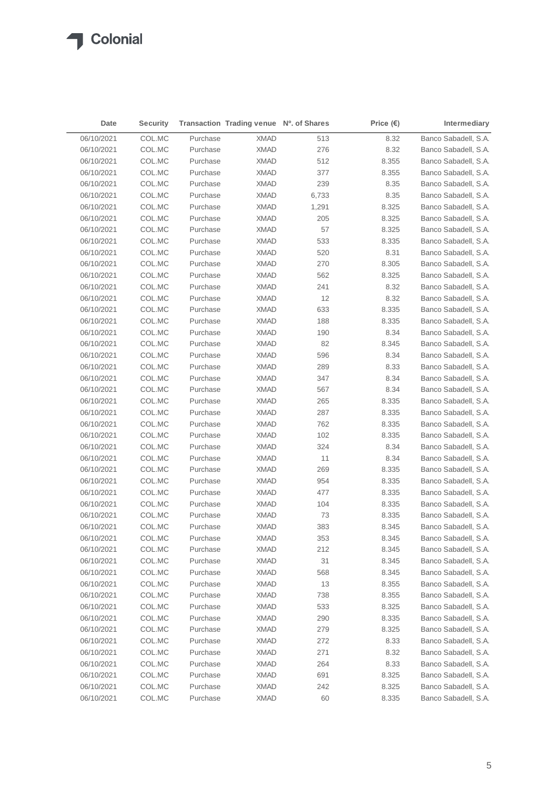| Date       | <b>Security</b>  |          | Transaction Trading venue Nº. of Shares |       | Price $(\epsilon)$ | Intermediary                                 |
|------------|------------------|----------|-----------------------------------------|-------|--------------------|----------------------------------------------|
| 06/10/2021 | COL.MC           | Purchase | <b>XMAD</b>                             | 513   | 8.32               | Banco Sabadell, S.A.                         |
| 06/10/2021 | COL.MC           | Purchase | <b>XMAD</b>                             | 276   | 8.32               | Banco Sabadell, S.A.                         |
| 06/10/2021 | COL.MC           | Purchase | XMAD                                    | 512   | 8.355              | Banco Sabadell, S.A.                         |
| 06/10/2021 | COL.MC           | Purchase | XMAD                                    | 377   | 8.355              | Banco Sabadell, S.A.                         |
| 06/10/2021 | COL.MC           | Purchase | XMAD                                    | 239   | 8.35               | Banco Sabadell, S.A.                         |
| 06/10/2021 | COL.MC           | Purchase | XMAD                                    | 6,733 | 8.35               | Banco Sabadell, S.A.                         |
| 06/10/2021 | COL.MC           | Purchase | XMAD                                    | 1,291 | 8.325              | Banco Sabadell, S.A.                         |
| 06/10/2021 | COL.MC           | Purchase | XMAD                                    | 205   | 8.325              | Banco Sabadell, S.A.                         |
| 06/10/2021 | COL.MC           | Purchase | <b>XMAD</b>                             | 57    | 8.325              | Banco Sabadell, S.A.                         |
| 06/10/2021 | COL.MC           | Purchase | XMAD                                    | 533   | 8.335              | Banco Sabadell, S.A.                         |
| 06/10/2021 | COL.MC           | Purchase | <b>XMAD</b>                             | 520   | 8.31               | Banco Sabadell, S.A.                         |
| 06/10/2021 | COL.MC           | Purchase | <b>XMAD</b>                             | 270   | 8.305              | Banco Sabadell, S.A.                         |
| 06/10/2021 | COL.MC           | Purchase | <b>XMAD</b>                             | 562   | 8.325              | Banco Sabadell, S.A.                         |
| 06/10/2021 | COL.MC           | Purchase | <b>XMAD</b>                             | 241   | 8.32               | Banco Sabadell, S.A.                         |
| 06/10/2021 | COL.MC           | Purchase | <b>XMAD</b>                             | 12    | 8.32               | Banco Sabadell, S.A.                         |
| 06/10/2021 | COL.MC           | Purchase | <b>XMAD</b>                             | 633   | 8.335              | Banco Sabadell, S.A.                         |
| 06/10/2021 | COL.MC           | Purchase | <b>XMAD</b>                             | 188   | 8.335              | Banco Sabadell, S.A.                         |
| 06/10/2021 | COL.MC           | Purchase | <b>XMAD</b>                             | 190   | 8.34               | Banco Sabadell, S.A.                         |
| 06/10/2021 | COL.MC           | Purchase | <b>XMAD</b>                             | 82    | 8.345              | Banco Sabadell, S.A.                         |
| 06/10/2021 | COL.MC           | Purchase | <b>XMAD</b>                             | 596   | 8.34               | Banco Sabadell, S.A.                         |
| 06/10/2021 | COL.MC           | Purchase | <b>XMAD</b>                             | 289   | 8.33               | Banco Sabadell, S.A.                         |
| 06/10/2021 | COL.MC           | Purchase | <b>XMAD</b>                             | 347   | 8.34               | Banco Sabadell, S.A.                         |
| 06/10/2021 | COL.MC           | Purchase | <b>XMAD</b>                             | 567   | 8.34               | Banco Sabadell, S.A.                         |
| 06/10/2021 | COL.MC           | Purchase | <b>XMAD</b>                             | 265   | 8.335              | Banco Sabadell, S.A.                         |
| 06/10/2021 | COL.MC           | Purchase | <b>XMAD</b>                             | 287   | 8.335              | Banco Sabadell, S.A.                         |
| 06/10/2021 | COL.MC           | Purchase | <b>XMAD</b>                             | 762   | 8.335              | Banco Sabadell, S.A.                         |
| 06/10/2021 | COL.MC           | Purchase | <b>XMAD</b>                             | 102   | 8.335              | Banco Sabadell, S.A.                         |
| 06/10/2021 | COL.MC           | Purchase | <b>XMAD</b>                             | 324   | 8.34               | Banco Sabadell, S.A.                         |
| 06/10/2021 | COL.MC           | Purchase | <b>XMAD</b>                             | 11    | 8.34               | Banco Sabadell, S.A.                         |
| 06/10/2021 | COL.MC           | Purchase | <b>XMAD</b>                             | 269   | 8.335              | Banco Sabadell, S.A.                         |
| 06/10/2021 | COL.MC           | Purchase | <b>XMAD</b>                             | 954   | 8.335              | Banco Sabadell, S.A.                         |
| 06/10/2021 | COL.MC           | Purchase | <b>XMAD</b>                             | 477   | 8.335              | Banco Sabadell, S.A.                         |
| 06/10/2021 | COL.MC           | Purchase | XMAD                                    | 104   | 8.335              | Banco Sabadell, S.A.                         |
| 06/10/2021 | COL.MC           | Purchase | <b>XMAD</b>                             | 73    | 8.335              | Banco Sabadell, S.A.                         |
| 06/10/2021 | COL.MC           | Purchase | <b>XMAD</b>                             | 383   | 8.345              | Banco Sabadell, S.A.                         |
| 06/10/2021 | COL.MC           | Purchase | XMAD                                    | 353   | 8.345              | Banco Sabadell, S.A.                         |
| 06/10/2021 | COL.MC           | Purchase | <b>XMAD</b>                             | 212   | 8.345              | Banco Sabadell, S.A.                         |
| 06/10/2021 | COL.MC           | Purchase | <b>XMAD</b>                             | 31    | 8.345              | Banco Sabadell, S.A.                         |
| 06/10/2021 | COL.MC           | Purchase | <b>XMAD</b>                             | 568   | 8.345              | Banco Sabadell, S.A.                         |
| 06/10/2021 | COL.MC           | Purchase | <b>XMAD</b>                             | 13    | 8.355              | Banco Sabadell, S.A.                         |
| 06/10/2021 | COL.MC           | Purchase | <b>XMAD</b>                             | 738   | 8.355              | Banco Sabadell, S.A.                         |
|            |                  |          |                                         |       |                    |                                              |
| 06/10/2021 | COL.MC<br>COL.MC | Purchase | <b>XMAD</b>                             | 533   | 8.325<br>8.335     | Banco Sabadell, S.A.<br>Banco Sabadell, S.A. |
| 06/10/2021 |                  | Purchase | <b>XMAD</b>                             | 290   |                    |                                              |
| 06/10/2021 | COL.MC           | Purchase | <b>XMAD</b>                             | 279   | 8.325              | Banco Sabadell, S.A.                         |
| 06/10/2021 | COL.MC           | Purchase | <b>XMAD</b>                             | 272   | 8.33               | Banco Sabadell, S.A.                         |
| 06/10/2021 | COL.MC           | Purchase | <b>XMAD</b>                             | 271   | 8.32               | Banco Sabadell, S.A.                         |
| 06/10/2021 | COL.MC           | Purchase | <b>XMAD</b>                             | 264   | 8.33               | Banco Sabadell, S.A.                         |
| 06/10/2021 | COL.MC           | Purchase | <b>XMAD</b>                             | 691   | 8.325              | Banco Sabadell, S.A.                         |
| 06/10/2021 | COL.MC           | Purchase | <b>XMAD</b>                             | 242   | 8.325              | Banco Sabadell, S.A.                         |
| 06/10/2021 | COL.MC           | Purchase | <b>XMAD</b>                             | 60    | 8.335              | Banco Sabadell, S.A.                         |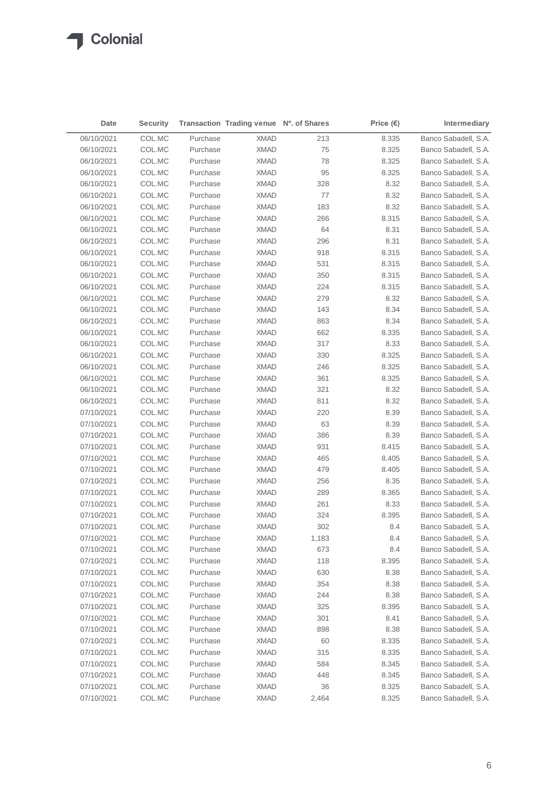| Date       | <b>Security</b> |          | Transaction Trading venue Nº. of Shares |       | Price $(\epsilon)$ | Intermediary         |
|------------|-----------------|----------|-----------------------------------------|-------|--------------------|----------------------|
| 06/10/2021 | COL.MC          | Purchase | <b>XMAD</b>                             | 213   | 8.335              | Banco Sabadell, S.A. |
| 06/10/2021 | COL.MC          | Purchase | <b>XMAD</b>                             | 75    | 8.325              | Banco Sabadell, S.A. |
| 06/10/2021 | COL.MC          | Purchase | XMAD                                    | 78    | 8.325              | Banco Sabadell, S.A. |
| 06/10/2021 | COL.MC          | Purchase | XMAD                                    | 95    | 8.325              | Banco Sabadell, S.A. |
| 06/10/2021 | COL.MC          | Purchase | XMAD                                    | 328   | 8.32               | Banco Sabadell, S.A. |
| 06/10/2021 | COL.MC          | Purchase | XMAD                                    | 77    | 8.32               | Banco Sabadell, S.A. |
| 06/10/2021 | COL.MC          | Purchase | XMAD                                    | 183   | 8.32               | Banco Sabadell, S.A. |
| 06/10/2021 | COL.MC          | Purchase | XMAD                                    | 266   | 8.315              | Banco Sabadell, S.A. |
| 06/10/2021 | COL.MC          | Purchase | <b>XMAD</b>                             | 64    | 8.31               | Banco Sabadell, S.A. |
| 06/10/2021 | COL.MC          | Purchase | XMAD                                    | 296   | 8.31               | Banco Sabadell, S.A. |
| 06/10/2021 | COL.MC          | Purchase | <b>XMAD</b>                             | 918   | 8.315              | Banco Sabadell, S.A. |
| 06/10/2021 | COL.MC          | Purchase | <b>XMAD</b>                             | 531   | 8.315              | Banco Sabadell, S.A. |
| 06/10/2021 | COL.MC          | Purchase | <b>XMAD</b>                             | 350   | 8.315              | Banco Sabadell, S.A. |
| 06/10/2021 | COL.MC          | Purchase | <b>XMAD</b>                             | 224   | 8.315              | Banco Sabadell, S.A. |
| 06/10/2021 | COL.MC          | Purchase | <b>XMAD</b>                             | 279   | 8.32               | Banco Sabadell, S.A. |
| 06/10/2021 | COL.MC          | Purchase | <b>XMAD</b>                             | 143   | 8.34               | Banco Sabadell, S.A. |
| 06/10/2021 | COL.MC          | Purchase | <b>XMAD</b>                             | 863   | 8.34               | Banco Sabadell, S.A. |
| 06/10/2021 | COL.MC          | Purchase | <b>XMAD</b>                             | 662   | 8.335              | Banco Sabadell, S.A. |
| 06/10/2021 | COL.MC          | Purchase | <b>XMAD</b>                             | 317   | 8.33               | Banco Sabadell, S.A. |
| 06/10/2021 | COL.MC          | Purchase | <b>XMAD</b>                             | 330   | 8.325              | Banco Sabadell, S.A. |
| 06/10/2021 | COL.MC          | Purchase | <b>XMAD</b>                             | 246   | 8.325              | Banco Sabadell, S.A. |
| 06/10/2021 | COL.MC          | Purchase | <b>XMAD</b>                             | 361   | 8.325              | Banco Sabadell, S.A. |
| 06/10/2021 | COL.MC          | Purchase | <b>XMAD</b>                             | 321   | 8.32               | Banco Sabadell, S.A. |
| 06/10/2021 | COL.MC          | Purchase | <b>XMAD</b>                             | 811   | 8.32               | Banco Sabadell, S.A. |
| 07/10/2021 | COL.MC          | Purchase | <b>XMAD</b>                             | 220   | 8.39               | Banco Sabadell, S.A. |
| 07/10/2021 | COL.MC          | Purchase | <b>XMAD</b>                             | 63    | 8.39               | Banco Sabadell, S.A. |
| 07/10/2021 | COL.MC          | Purchase | <b>XMAD</b>                             | 386   | 8.39               | Banco Sabadell, S.A. |
| 07/10/2021 | COL.MC          | Purchase | <b>XMAD</b>                             | 931   | 8.415              | Banco Sabadell, S.A. |
| 07/10/2021 | COL.MC          | Purchase | <b>XMAD</b>                             | 465   | 8.405              | Banco Sabadell, S.A. |
| 07/10/2021 | COL.MC          | Purchase | <b>XMAD</b>                             | 479   | 8.405              | Banco Sabadell, S.A. |
| 07/10/2021 | COL.MC          | Purchase | <b>XMAD</b>                             | 256   | 8.35               | Banco Sabadell, S.A. |
| 07/10/2021 | COL.MC          | Purchase | <b>XMAD</b>                             | 289   | 8.365              | Banco Sabadell, S.A. |
| 07/10/2021 | COL.MC          | Purchase | XMAD                                    | 261   | 8.33               | Banco Sabadell, S.A. |
| 07/10/2021 | COL.MC          | Purchase | <b>XMAD</b>                             | 324   | 8.395              | Banco Sabadell, S.A. |
| 07/10/2021 | COL.MC          | Purchase | <b>XMAD</b>                             | 302   | 8.4                | Banco Sabadell, S.A. |
| 07/10/2021 | COL.MC          | Purchase | XMAD                                    | 1,183 | 8.4                | Banco Sabadell, S.A. |
| 07/10/2021 | COL.MC          | Purchase | <b>XMAD</b>                             | 673   | 8.4                | Banco Sabadell, S.A. |
| 07/10/2021 | COL.MC          | Purchase | <b>XMAD</b>                             | 118   | 8.395              | Banco Sabadell, S.A. |
| 07/10/2021 | COL.MC          | Purchase | <b>XMAD</b>                             | 630   | 8.38               | Banco Sabadell, S.A. |
| 07/10/2021 | COL.MC          | Purchase | XMAD                                    | 354   | 8.38               | Banco Sabadell, S.A. |
| 07/10/2021 | COL.MC          | Purchase | <b>XMAD</b>                             | 244   | 8.38               | Banco Sabadell, S.A. |
| 07/10/2021 | COL.MC          | Purchase | <b>XMAD</b>                             | 325   | 8.395              | Banco Sabadell, S.A. |
| 07/10/2021 | COL.MC          | Purchase | <b>XMAD</b>                             | 301   | 8.41               | Banco Sabadell, S.A. |
| 07/10/2021 | COL.MC          | Purchase | <b>XMAD</b>                             | 898   | 8.38               | Banco Sabadell, S.A. |
| 07/10/2021 | COL.MC          | Purchase | <b>XMAD</b>                             | 60    | 8.335              | Banco Sabadell, S.A. |
| 07/10/2021 | COL.MC          | Purchase | <b>XMAD</b>                             | 315   | 8.335              | Banco Sabadell, S.A. |
| 07/10/2021 | COL.MC          | Purchase | <b>XMAD</b>                             | 584   | 8.345              | Banco Sabadell, S.A. |
| 07/10/2021 | COL.MC          | Purchase | <b>XMAD</b>                             | 448   | 8.345              | Banco Sabadell, S.A. |
| 07/10/2021 | COL.MC          | Purchase | <b>XMAD</b>                             | 36    | 8.325              | Banco Sabadell, S.A. |
| 07/10/2021 | COL.MC          | Purchase | <b>XMAD</b>                             | 2,464 | 8.325              | Banco Sabadell, S.A. |
|            |                 |          |                                         |       |                    |                      |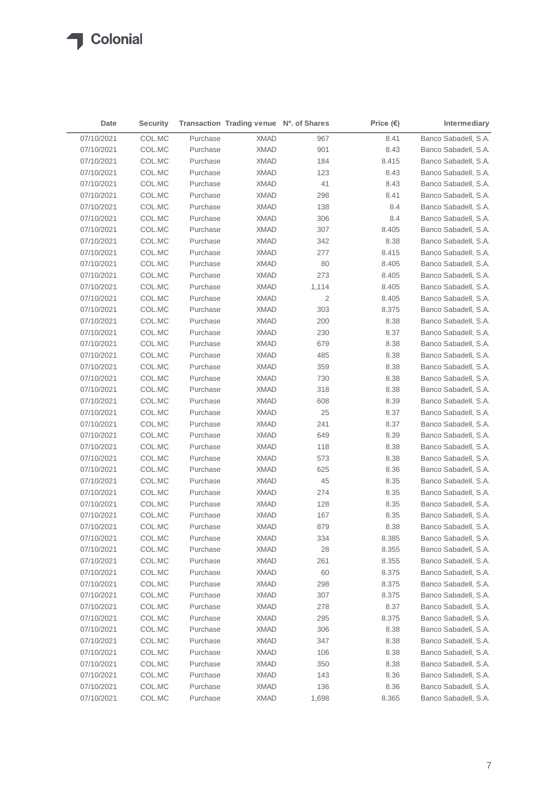| Date       | <b>Security</b> |          | Transaction Trading venue Nº. of Shares |       | Price $(\epsilon)$ | Intermediary         |
|------------|-----------------|----------|-----------------------------------------|-------|--------------------|----------------------|
| 07/10/2021 | COL.MC          | Purchase | <b>XMAD</b>                             | 967   | 8.41               | Banco Sabadell, S.A. |
| 07/10/2021 | COL.MC          | Purchase | <b>XMAD</b>                             | 901   | 8.43               | Banco Sabadell, S.A. |
| 07/10/2021 | COL.MC          | Purchase | XMAD                                    | 184   | 8.415              | Banco Sabadell, S.A. |
| 07/10/2021 | COL.MC          | Purchase | XMAD                                    | 123   | 8.43               | Banco Sabadell, S.A. |
| 07/10/2021 | COL.MC          | Purchase | XMAD                                    | 41    | 8.43               | Banco Sabadell, S.A. |
| 07/10/2021 | COL.MC          | Purchase | XMAD                                    | 298   | 8.41               | Banco Sabadell, S.A. |
| 07/10/2021 | COL.MC          | Purchase | XMAD                                    | 138   | 8.4                | Banco Sabadell, S.A. |
| 07/10/2021 | COL.MC          | Purchase | XMAD                                    | 306   | 8.4                | Banco Sabadell, S.A. |
| 07/10/2021 | COL.MC          | Purchase | <b>XMAD</b>                             | 307   | 8.405              | Banco Sabadell, S.A. |
| 07/10/2021 | COL.MC          | Purchase | XMAD                                    | 342   | 8.38               | Banco Sabadell, S.A. |
| 07/10/2021 | COL.MC          | Purchase | <b>XMAD</b>                             | 277   | 8.415              | Banco Sabadell, S.A. |
| 07/10/2021 | COL.MC          | Purchase | <b>XMAD</b>                             | 80    | 8.405              | Banco Sabadell, S.A. |
| 07/10/2021 | COL.MC          | Purchase | <b>XMAD</b>                             | 273   | 8.405              | Banco Sabadell, S.A. |
| 07/10/2021 | COL.MC          | Purchase | <b>XMAD</b>                             | 1,114 | 8.405              | Banco Sabadell, S.A. |
| 07/10/2021 | COL.MC          | Purchase | <b>XMAD</b>                             | 2     | 8.405              | Banco Sabadell, S.A. |
| 07/10/2021 | COL.MC          | Purchase | <b>XMAD</b>                             | 303   | 8.375              | Banco Sabadell, S.A. |
| 07/10/2021 | COL.MC          | Purchase | <b>XMAD</b>                             | 200   | 8.38               | Banco Sabadell, S.A. |
| 07/10/2021 | COL.MC          | Purchase | <b>XMAD</b>                             | 230   | 8.37               | Banco Sabadell, S.A. |
| 07/10/2021 | COL.MC          | Purchase | <b>XMAD</b>                             | 679   | 8.38               | Banco Sabadell, S.A. |
| 07/10/2021 | COL.MC          | Purchase | <b>XMAD</b>                             | 485   | 8.38               | Banco Sabadell, S.A. |
| 07/10/2021 | COL.MC          | Purchase | <b>XMAD</b>                             | 359   | 8.38               | Banco Sabadell, S.A. |
| 07/10/2021 | COL.MC          | Purchase | <b>XMAD</b>                             | 730   | 8.38               | Banco Sabadell, S.A. |
| 07/10/2021 | COL.MC          | Purchase | <b>XMAD</b>                             | 318   | 8.38               | Banco Sabadell, S.A. |
| 07/10/2021 | COL.MC          | Purchase | <b>XMAD</b>                             | 608   | 8.39               | Banco Sabadell, S.A. |
| 07/10/2021 | COL.MC          | Purchase | <b>XMAD</b>                             | 25    | 8.37               | Banco Sabadell, S.A. |
| 07/10/2021 | COL.MC          | Purchase | <b>XMAD</b>                             | 241   | 8.37               | Banco Sabadell, S.A. |
| 07/10/2021 | COL.MC          | Purchase | <b>XMAD</b>                             | 649   | 8.39               | Banco Sabadell, S.A. |
| 07/10/2021 | COL.MC          | Purchase | <b>XMAD</b>                             | 118   | 8.38               | Banco Sabadell, S.A. |
| 07/10/2021 | COL.MC          | Purchase | <b>XMAD</b>                             | 573   | 8.38               | Banco Sabadell, S.A. |
| 07/10/2021 | COL.MC          | Purchase | <b>XMAD</b>                             | 625   | 8.36               | Banco Sabadell, S.A. |
| 07/10/2021 | COL.MC          | Purchase | <b>XMAD</b>                             | 45    | 8.35               | Banco Sabadell, S.A. |
| 07/10/2021 | COL.MC          | Purchase | <b>XMAD</b>                             | 274   | 8.35               | Banco Sabadell, S.A. |
| 07/10/2021 | COL.MC          | Purchase | XMAD                                    | 128   | 8.35               | Banco Sabadell, S.A. |
| 07/10/2021 | COL.MC          | Purchase | <b>XMAD</b>                             | 167   | 8.35               | Banco Sabadell, S.A. |
| 07/10/2021 | COL.MC          | Purchase | <b>XMAD</b>                             | 879   | 8.38               | Banco Sabadell, S.A. |
| 07/10/2021 | COL.MC          | Purchase | XMAD                                    | 334   | 8.385              | Banco Sabadell, S.A. |
| 07/10/2021 | COL.MC          | Purchase | <b>XMAD</b>                             | 28    | 8.355              | Banco Sabadell, S.A. |
| 07/10/2021 | COL.MC          | Purchase | <b>XMAD</b>                             | 261   | 8.355              | Banco Sabadell, S.A. |
| 07/10/2021 | COL.MC          | Purchase | <b>XMAD</b>                             | 60    | 8.375              | Banco Sabadell, S.A. |
| 07/10/2021 | COL.MC          | Purchase | <b>XMAD</b>                             | 298   | 8.375              | Banco Sabadell, S.A. |
| 07/10/2021 | COL.MC          | Purchase | <b>XMAD</b>                             | 307   | 8.375              | Banco Sabadell, S.A. |
| 07/10/2021 | COL.MC          | Purchase | <b>XMAD</b>                             | 278   | 8.37               | Banco Sabadell, S.A. |
| 07/10/2021 | COL.MC          | Purchase | <b>XMAD</b>                             | 295   | 8.375              | Banco Sabadell, S.A. |
| 07/10/2021 | COL.MC          | Purchase | <b>XMAD</b>                             | 306   | 8.38               | Banco Sabadell, S.A. |
| 07/10/2021 | COL.MC          | Purchase | <b>XMAD</b>                             | 347   | 8.38               | Banco Sabadell, S.A. |
| 07/10/2021 | COL.MC          | Purchase | <b>XMAD</b>                             | 106   | 8.38               | Banco Sabadell, S.A. |
| 07/10/2021 | COL.MC          | Purchase | <b>XMAD</b>                             | 350   | 8.38               | Banco Sabadell, S.A. |
| 07/10/2021 | COL.MC          | Purchase | <b>XMAD</b>                             | 143   | 8.36               | Banco Sabadell, S.A. |
| 07/10/2021 | COL.MC          | Purchase | <b>XMAD</b>                             | 136   | 8.36               | Banco Sabadell, S.A. |
| 07/10/2021 | COL.MC          | Purchase | <b>XMAD</b>                             | 1,698 | 8.365              | Banco Sabadell, S.A. |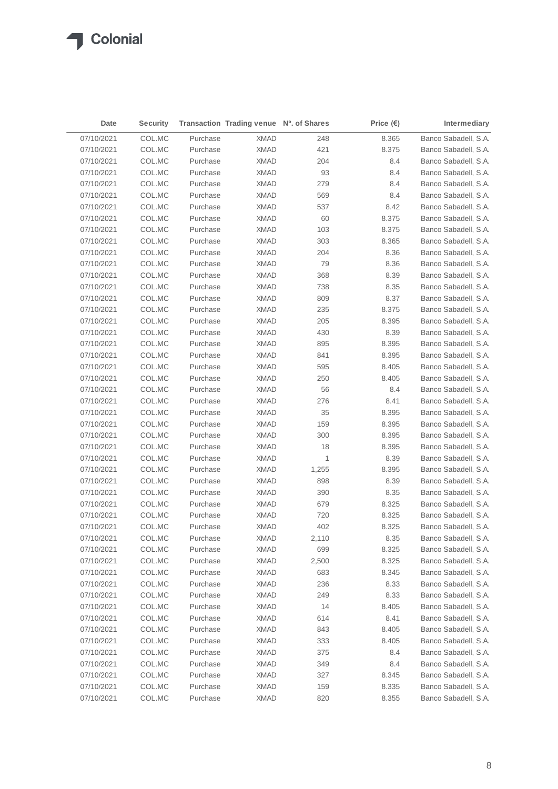| Date                     | <b>Security</b>  |          | Transaction Trading venue Nº. of Shares |              | Price $(\epsilon)$ | Intermediary                                 |
|--------------------------|------------------|----------|-----------------------------------------|--------------|--------------------|----------------------------------------------|
| 07/10/2021               | COL.MC           | Purchase | <b>XMAD</b>                             | 248          | 8.365              | Banco Sabadell, S.A.                         |
| 07/10/2021               | COL.MC           | Purchase | <b>XMAD</b>                             | 421          | 8.375              | Banco Sabadell, S.A.                         |
| 07/10/2021               | COL.MC           | Purchase | XMAD                                    | 204          | 8.4                | Banco Sabadell, S.A.                         |
| 07/10/2021               | COL.MC           | Purchase | XMAD                                    | 93           | 8.4                | Banco Sabadell, S.A.                         |
| 07/10/2021               | COL.MC           | Purchase | <b>XMAD</b>                             | 279          | 8.4                | Banco Sabadell, S.A.                         |
| 07/10/2021               | COL.MC           | Purchase | <b>XMAD</b>                             | 569          | 8.4                | Banco Sabadell, S.A.                         |
| 07/10/2021               | COL.MC           | Purchase | <b>XMAD</b>                             | 537          | 8.42               | Banco Sabadell, S.A.                         |
| 07/10/2021               | COL.MC           | Purchase | <b>XMAD</b>                             | 60           | 8.375              | Banco Sabadell, S.A.                         |
| 07/10/2021               | COL.MC           | Purchase | <b>XMAD</b>                             | 103          | 8.375              | Banco Sabadell, S.A.                         |
| 07/10/2021               | COL.MC           | Purchase | <b>XMAD</b>                             | 303          | 8.365              | Banco Sabadell, S.A.                         |
| 07/10/2021               | COL.MC           | Purchase | <b>XMAD</b>                             | 204          | 8.36               | Banco Sabadell, S.A.                         |
| 07/10/2021               | COL.MC           | Purchase | <b>XMAD</b>                             | 79           | 8.36               | Banco Sabadell, S.A.                         |
| 07/10/2021               | COL.MC           | Purchase | <b>XMAD</b>                             | 368          | 8.39               | Banco Sabadell, S.A.                         |
| 07/10/2021               | COL.MC           | Purchase | <b>XMAD</b>                             | 738          | 8.35               | Banco Sabadell, S.A.                         |
| 07/10/2021               | COL.MC           | Purchase | <b>XMAD</b>                             | 809          | 8.37               | Banco Sabadell, S.A.                         |
| 07/10/2021               | COL.MC           | Purchase | <b>XMAD</b>                             | 235          | 8.375              | Banco Sabadell, S.A.                         |
| 07/10/2021               | COL.MC           | Purchase | <b>XMAD</b>                             | 205          | 8.395              | Banco Sabadell, S.A.                         |
| 07/10/2021               | COL.MC           | Purchase | <b>XMAD</b>                             | 430          | 8.39               | Banco Sabadell, S.A.                         |
| 07/10/2021               | COL.MC           | Purchase | <b>XMAD</b>                             | 895          | 8.395              | Banco Sabadell, S.A.                         |
| 07/10/2021               | COL.MC           | Purchase | <b>XMAD</b>                             | 841          | 8.395              | Banco Sabadell, S.A.                         |
| 07/10/2021               | COL.MC           | Purchase | <b>XMAD</b>                             | 595          | 8.405              | Banco Sabadell, S.A.                         |
| 07/10/2021               | COL.MC           | Purchase | <b>XMAD</b>                             | 250          | 8.405              | Banco Sabadell, S.A.                         |
| 07/10/2021               | COL.MC           | Purchase | <b>XMAD</b>                             | 56           | 8.4                | Banco Sabadell, S.A.                         |
| 07/10/2021               | COL.MC           | Purchase | <b>XMAD</b>                             | 276          | 8.41               | Banco Sabadell, S.A.                         |
| 07/10/2021               | COL.MC           | Purchase | <b>XMAD</b>                             | 35           | 8.395              | Banco Sabadell, S.A.                         |
| 07/10/2021               | COL.MC           | Purchase | <b>XMAD</b>                             | 159          | 8.395              | Banco Sabadell, S.A.                         |
| 07/10/2021               | COL.MC           | Purchase | <b>XMAD</b>                             | 300          | 8.395              | Banco Sabadell, S.A.                         |
| 07/10/2021               | COL.MC           | Purchase | <b>XMAD</b>                             | 18           | 8.395              | Banco Sabadell, S.A.                         |
| 07/10/2021               | COL.MC           | Purchase | <b>XMAD</b>                             | 1            | 8.39               | Banco Sabadell, S.A.                         |
| 07/10/2021               | COL.MC           | Purchase | <b>XMAD</b>                             | 1,255        | 8.395              | Banco Sabadell, S.A.                         |
| 07/10/2021               | COL.MC           | Purchase | XMAD                                    | 898          | 8.39               | Banco Sabadell, S.A.                         |
| 07/10/2021               | COL.MC           | Purchase | <b>XMAD</b>                             | 390          | 8.35               | Banco Sabadell, S.A.                         |
| 07/10/2021               | COL.MC           | Purchase | XMAD                                    | 679          | 8.325              | Banco Sabadell, S.A.                         |
| 07/10/2021               | COL.MC           | Purchase | <b>XMAD</b>                             | 720          | 8.325              | Banco Sabadell, S.A.                         |
| 07/10/2021               | COL.MC           | Purchase | <b>XMAD</b>                             | 402          | 8.325              | Banco Sabadell, S.A.                         |
|                          | COL.MC           | Purchase | XMAD                                    | 2,110        | 8.35               |                                              |
| 07/10/2021<br>07/10/2021 |                  | Purchase | <b>XMAD</b>                             |              |                    | Banco Sabadell, S.A.<br>Banco Sabadell, S.A. |
| 07/10/2021               | COL.MC<br>COL.MC | Purchase | <b>XMAD</b>                             | 699          | 8.325<br>8.325     | Banco Sabadell, S.A.                         |
| 07/10/2021               | COL.MC           | Purchase | <b>XMAD</b>                             | 2,500<br>683 | 8.345              | Banco Sabadell, S.A.                         |
|                          |                  | Purchase |                                         |              |                    |                                              |
| 07/10/2021               | COL.MC           |          | <b>XMAD</b>                             | 236          | 8.33               | Banco Sabadell, S.A.                         |
| 07/10/2021               | COL.MC           | Purchase | <b>XMAD</b>                             | 249          | 8.33               | Banco Sabadell, S.A.                         |
| 07/10/2021               | COL.MC           | Purchase | <b>XMAD</b>                             | 14           | 8.405              | Banco Sabadell, S.A.                         |
| 07/10/2021               | COL.MC           | Purchase | <b>XMAD</b>                             | 614          | 8.41               | Banco Sabadell, S.A.                         |
| 07/10/2021               | COL.MC           | Purchase | <b>XMAD</b>                             | 843          | 8.405              | Banco Sabadell, S.A.                         |
| 07/10/2021               | COL.MC           | Purchase | <b>XMAD</b>                             | 333          | 8.405              | Banco Sabadell, S.A.                         |
| 07/10/2021               | COL.MC           | Purchase | <b>XMAD</b>                             | 375          | 8.4                | Banco Sabadell, S.A.                         |
| 07/10/2021               | COL.MC           | Purchase | <b>XMAD</b>                             | 349          | 8.4                | Banco Sabadell, S.A.                         |
| 07/10/2021               | COL.MC           | Purchase | <b>XMAD</b>                             | 327          | 8.345              | Banco Sabadell, S.A.                         |
| 07/10/2021               | COL.MC           | Purchase | <b>XMAD</b>                             | 159          | 8.335              | Banco Sabadell, S.A.                         |
| 07/10/2021               | COL.MC           | Purchase | <b>XMAD</b>                             | 820          | 8.355              | Banco Sabadell, S.A.                         |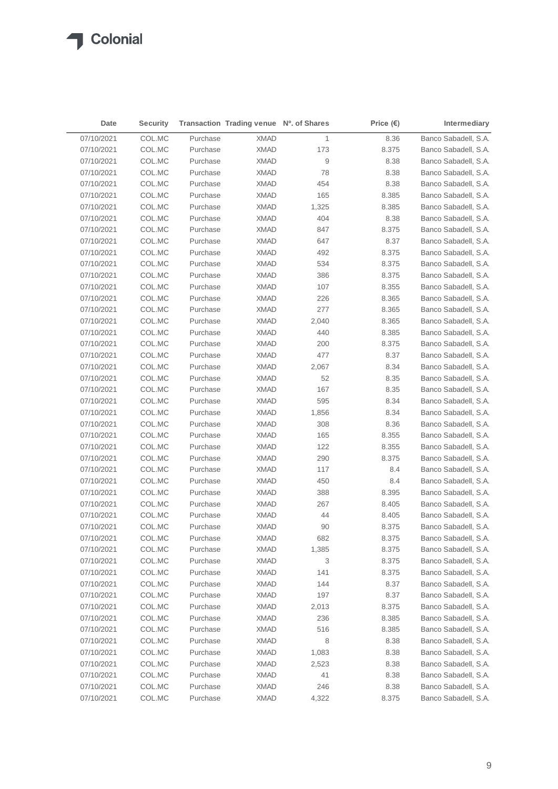| 07/10/2021<br>COL.MC<br><b>XMAD</b><br>1<br>Banco Sabadell, S.A.<br>Purchase<br>8.36<br>Banco Sabadell, S.A.<br>07/10/2021<br>COL.MC<br>Purchase<br><b>XMAD</b><br>173<br>8.375<br>$\boldsymbol{9}$<br>07/10/2021<br>COL.MC<br>Purchase<br>8.38<br>Banco Sabadell, S.A.<br>XMAD<br>07/10/2021<br>COL.MC<br>Purchase<br>78<br>8.38<br>Banco Sabadell, S.A.<br><b>XMAD</b><br>07/10/2021<br>COL.MC<br>Purchase<br>454<br>8.38<br>Banco Sabadell, S.A.<br>XMAD<br>07/10/2021<br>COL.MC<br>Purchase<br>165<br>Banco Sabadell, S.A.<br>XMAD<br>8.385<br>07/10/2021<br>COL.MC<br>Purchase<br>1,325<br>8.385<br>Banco Sabadell, S.A.<br>XMAD<br>07/10/2021<br>COL.MC<br>Purchase<br>404<br>8.38<br>Banco Sabadell, S.A.<br>XMAD<br>Banco Sabadell, S.A.<br>07/10/2021<br>COL.MC<br>Purchase<br><b>XMAD</b><br>847<br>8.375<br>07/10/2021<br>COL.MC<br>Purchase<br>647<br>8.37<br>Banco Sabadell, S.A.<br>XMAD<br>07/10/2021<br>COL.MC<br>Purchase<br><b>XMAD</b><br>492<br>8.375<br>Banco Sabadell, S.A.<br>07/10/2021<br>COL.MC<br>Purchase<br><b>XMAD</b><br>534<br>8.375<br>Banco Sabadell, S.A.<br>Banco Sabadell, S.A.<br>07/10/2021<br>COL.MC<br>Purchase<br><b>XMAD</b><br>386<br>8.375<br>107<br>07/10/2021<br>COL.MC<br>Purchase<br><b>XMAD</b><br>8.355<br>Banco Sabadell, S.A.<br>07/10/2021<br>COL.MC<br>Purchase<br><b>XMAD</b><br>226<br>8.365<br>Banco Sabadell, S.A.<br>277<br>07/10/2021<br>COL.MC<br>Purchase<br><b>XMAD</b><br>8.365<br>Banco Sabadell, S.A.<br>07/10/2021<br>COL.MC<br>Purchase<br><b>XMAD</b><br>2,040<br>8.365<br>Banco Sabadell, S.A.<br>07/10/2021<br>COL.MC<br>Purchase<br><b>XMAD</b><br>440<br>8.385<br>Banco Sabadell, S.A.<br>Banco Sabadell, S.A.<br>07/10/2021<br>COL.MC<br>Purchase<br><b>XMAD</b><br>200<br>8.375<br>07/10/2021<br>COL.MC<br>Purchase<br><b>XMAD</b><br>477<br>8.37<br>Banco Sabadell, S.A.<br>Banco Sabadell, S.A.<br>07/10/2021<br>COL.MC<br>Purchase<br><b>XMAD</b><br>2,067<br>8.34<br>Banco Sabadell, S.A.<br>07/10/2021<br>COL.MC<br>Purchase<br><b>XMAD</b><br>52<br>8.35<br>167<br>Banco Sabadell, S.A.<br>07/10/2021<br>COL.MC<br>Purchase<br><b>XMAD</b><br>8.35<br>07/10/2021<br>COL.MC<br>Purchase<br><b>XMAD</b><br>595<br>8.34<br>Banco Sabadell, S.A.<br>Banco Sabadell, S.A.<br>07/10/2021<br>COL.MC<br>Purchase<br><b>XMAD</b><br>1,856<br>8.34<br>07/10/2021<br>COL.MC<br>Purchase<br><b>XMAD</b><br>308<br>8.36<br>Banco Sabadell, S.A.<br>07/10/2021<br>Purchase<br>Banco Sabadell, S.A.<br>COL.MC<br><b>XMAD</b><br>165<br>8.355<br>122<br>07/10/2021<br>COL.MC<br>Purchase<br><b>XMAD</b><br>8.355<br>Banco Sabadell, S.A.<br>290<br>Banco Sabadell, S.A.<br>07/10/2021<br>COL.MC<br>Purchase<br><b>XMAD</b><br>8.375<br>Banco Sabadell, S.A.<br>07/10/2021<br>COL.MC<br>Purchase<br><b>XMAD</b><br>117<br>8.4<br>07/10/2021<br>COL.MC<br>Purchase<br><b>XMAD</b><br>450<br>8.4<br>Banco Sabadell, S.A.<br>Banco Sabadell, S.A.<br>07/10/2021<br>COL.MC<br>Purchase<br><b>XMAD</b><br>388<br>8.395<br>07/10/2021<br>Purchase<br>267<br>Banco Sabadell, S.A.<br>COL.MC<br>XMAD<br>8.405<br>Banco Sabadell, S.A.<br>07/10/2021<br>COL.MC<br>Purchase<br><b>XMAD</b><br>44<br>8.405<br>90<br>07/10/2021<br>COL.MC<br>Purchase<br><b>XMAD</b><br>8.375<br>Banco Sabadell, S.A.<br>07/10/2021<br>COL.MC<br>XMAD<br>682<br>8.375<br>Purchase<br>Banco Sabadell, S.A.<br>COL.MC<br><b>XMAD</b><br>Banco Sabadell, S.A.<br>07/10/2021<br>Purchase<br>1,385<br>8.375<br>07/10/2021<br>COL.MC<br>Purchase<br><b>XMAD</b><br>3<br>8.375<br>Banco Sabadell, S.A.<br>141<br>07/10/2021<br>COL.MC<br>Purchase<br><b>XMAD</b><br>8.375<br>Banco Sabadell, S.A.<br>07/10/2021<br>COL.MC<br>Purchase<br><b>XMAD</b><br>144<br>8.37<br>Banco Sabadell, S.A.<br>07/10/2021<br>COL.MC<br>Purchase<br><b>XMAD</b><br>197<br>8.37<br>Banco Sabadell, S.A.<br>07/10/2021<br>COL.MC<br>Purchase<br><b>XMAD</b><br>8.375<br>Banco Sabadell, S.A.<br>2,013<br>07/10/2021<br>COL.MC<br>Purchase<br><b>XMAD</b><br>236<br>8.385<br>Banco Sabadell, S.A.<br>07/10/2021<br>COL.MC<br>Purchase<br><b>XMAD</b><br>516<br>8.385<br>Banco Sabadell, S.A.<br>07/10/2021<br>COL.MC<br>Purchase<br><b>XMAD</b><br>8<br>8.38<br>Banco Sabadell, S.A.<br>07/10/2021<br>COL.MC<br>Purchase<br><b>XMAD</b><br>1,083<br>8.38<br>Banco Sabadell, S.A.<br>07/10/2021<br>COL.MC<br>Purchase<br><b>XMAD</b><br>8.38<br>Banco Sabadell, S.A.<br>2,523<br>Banco Sabadell, S.A.<br>07/10/2021<br>COL.MC<br>Purchase<br><b>XMAD</b><br>41<br>8.38<br>Banco Sabadell, S.A.<br>07/10/2021<br>COL.MC<br>Purchase<br><b>XMAD</b><br>246<br>8.38<br>07/10/2021<br>Purchase<br>Banco Sabadell, S.A.<br>COL.MC<br><b>XMAD</b><br>4,322<br>8.375 | Date | <b>Security</b> | Transaction Trading venue Nº. of Shares | Price $(\epsilon)$ | Intermediary |
|------------------------------------------------------------------------------------------------------------------------------------------------------------------------------------------------------------------------------------------------------------------------------------------------------------------------------------------------------------------------------------------------------------------------------------------------------------------------------------------------------------------------------------------------------------------------------------------------------------------------------------------------------------------------------------------------------------------------------------------------------------------------------------------------------------------------------------------------------------------------------------------------------------------------------------------------------------------------------------------------------------------------------------------------------------------------------------------------------------------------------------------------------------------------------------------------------------------------------------------------------------------------------------------------------------------------------------------------------------------------------------------------------------------------------------------------------------------------------------------------------------------------------------------------------------------------------------------------------------------------------------------------------------------------------------------------------------------------------------------------------------------------------------------------------------------------------------------------------------------------------------------------------------------------------------------------------------------------------------------------------------------------------------------------------------------------------------------------------------------------------------------------------------------------------------------------------------------------------------------------------------------------------------------------------------------------------------------------------------------------------------------------------------------------------------------------------------------------------------------------------------------------------------------------------------------------------------------------------------------------------------------------------------------------------------------------------------------------------------------------------------------------------------------------------------------------------------------------------------------------------------------------------------------------------------------------------------------------------------------------------------------------------------------------------------------------------------------------------------------------------------------------------------------------------------------------------------------------------------------------------------------------------------------------------------------------------------------------------------------------------------------------------------------------------------------------------------------------------------------------------------------------------------------------------------------------------------------------------------------------------------------------------------------------------------------------------------------------------------------------------------------------------------------------------------------------------------------------------------------------------------------------------------------------------------------------------------------------------------------------------------------------------------------------------------------------------------------------------------------------------------------------------------------------------------------------------------------------------------------------------------------------------------------------------------------------------------------------------------------------------------------------------------------------------------------------------------------------------------------------------------------------------------------------------------------------------------------------------------------------------------------------------------------------|------|-----------------|-----------------------------------------|--------------------|--------------|
|                                                                                                                                                                                                                                                                                                                                                                                                                                                                                                                                                                                                                                                                                                                                                                                                                                                                                                                                                                                                                                                                                                                                                                                                                                                                                                                                                                                                                                                                                                                                                                                                                                                                                                                                                                                                                                                                                                                                                                                                                                                                                                                                                                                                                                                                                                                                                                                                                                                                                                                                                                                                                                                                                                                                                                                                                                                                                                                                                                                                                                                                                                                                                                                                                                                                                                                                                                                                                                                                                                                                                                                                                                                                                                                                                                                                                                                                                                                                                                                                                                                                                                                                                                                                                                                                                                                                                                                                                                                                                                                                                                                                                                                                        |      |                 |                                         |                    |              |
|                                                                                                                                                                                                                                                                                                                                                                                                                                                                                                                                                                                                                                                                                                                                                                                                                                                                                                                                                                                                                                                                                                                                                                                                                                                                                                                                                                                                                                                                                                                                                                                                                                                                                                                                                                                                                                                                                                                                                                                                                                                                                                                                                                                                                                                                                                                                                                                                                                                                                                                                                                                                                                                                                                                                                                                                                                                                                                                                                                                                                                                                                                                                                                                                                                                                                                                                                                                                                                                                                                                                                                                                                                                                                                                                                                                                                                                                                                                                                                                                                                                                                                                                                                                                                                                                                                                                                                                                                                                                                                                                                                                                                                                                        |      |                 |                                         |                    |              |
|                                                                                                                                                                                                                                                                                                                                                                                                                                                                                                                                                                                                                                                                                                                                                                                                                                                                                                                                                                                                                                                                                                                                                                                                                                                                                                                                                                                                                                                                                                                                                                                                                                                                                                                                                                                                                                                                                                                                                                                                                                                                                                                                                                                                                                                                                                                                                                                                                                                                                                                                                                                                                                                                                                                                                                                                                                                                                                                                                                                                                                                                                                                                                                                                                                                                                                                                                                                                                                                                                                                                                                                                                                                                                                                                                                                                                                                                                                                                                                                                                                                                                                                                                                                                                                                                                                                                                                                                                                                                                                                                                                                                                                                                        |      |                 |                                         |                    |              |
|                                                                                                                                                                                                                                                                                                                                                                                                                                                                                                                                                                                                                                                                                                                                                                                                                                                                                                                                                                                                                                                                                                                                                                                                                                                                                                                                                                                                                                                                                                                                                                                                                                                                                                                                                                                                                                                                                                                                                                                                                                                                                                                                                                                                                                                                                                                                                                                                                                                                                                                                                                                                                                                                                                                                                                                                                                                                                                                                                                                                                                                                                                                                                                                                                                                                                                                                                                                                                                                                                                                                                                                                                                                                                                                                                                                                                                                                                                                                                                                                                                                                                                                                                                                                                                                                                                                                                                                                                                                                                                                                                                                                                                                                        |      |                 |                                         |                    |              |
|                                                                                                                                                                                                                                                                                                                                                                                                                                                                                                                                                                                                                                                                                                                                                                                                                                                                                                                                                                                                                                                                                                                                                                                                                                                                                                                                                                                                                                                                                                                                                                                                                                                                                                                                                                                                                                                                                                                                                                                                                                                                                                                                                                                                                                                                                                                                                                                                                                                                                                                                                                                                                                                                                                                                                                                                                                                                                                                                                                                                                                                                                                                                                                                                                                                                                                                                                                                                                                                                                                                                                                                                                                                                                                                                                                                                                                                                                                                                                                                                                                                                                                                                                                                                                                                                                                                                                                                                                                                                                                                                                                                                                                                                        |      |                 |                                         |                    |              |
|                                                                                                                                                                                                                                                                                                                                                                                                                                                                                                                                                                                                                                                                                                                                                                                                                                                                                                                                                                                                                                                                                                                                                                                                                                                                                                                                                                                                                                                                                                                                                                                                                                                                                                                                                                                                                                                                                                                                                                                                                                                                                                                                                                                                                                                                                                                                                                                                                                                                                                                                                                                                                                                                                                                                                                                                                                                                                                                                                                                                                                                                                                                                                                                                                                                                                                                                                                                                                                                                                                                                                                                                                                                                                                                                                                                                                                                                                                                                                                                                                                                                                                                                                                                                                                                                                                                                                                                                                                                                                                                                                                                                                                                                        |      |                 |                                         |                    |              |
|                                                                                                                                                                                                                                                                                                                                                                                                                                                                                                                                                                                                                                                                                                                                                                                                                                                                                                                                                                                                                                                                                                                                                                                                                                                                                                                                                                                                                                                                                                                                                                                                                                                                                                                                                                                                                                                                                                                                                                                                                                                                                                                                                                                                                                                                                                                                                                                                                                                                                                                                                                                                                                                                                                                                                                                                                                                                                                                                                                                                                                                                                                                                                                                                                                                                                                                                                                                                                                                                                                                                                                                                                                                                                                                                                                                                                                                                                                                                                                                                                                                                                                                                                                                                                                                                                                                                                                                                                                                                                                                                                                                                                                                                        |      |                 |                                         |                    |              |
|                                                                                                                                                                                                                                                                                                                                                                                                                                                                                                                                                                                                                                                                                                                                                                                                                                                                                                                                                                                                                                                                                                                                                                                                                                                                                                                                                                                                                                                                                                                                                                                                                                                                                                                                                                                                                                                                                                                                                                                                                                                                                                                                                                                                                                                                                                                                                                                                                                                                                                                                                                                                                                                                                                                                                                                                                                                                                                                                                                                                                                                                                                                                                                                                                                                                                                                                                                                                                                                                                                                                                                                                                                                                                                                                                                                                                                                                                                                                                                                                                                                                                                                                                                                                                                                                                                                                                                                                                                                                                                                                                                                                                                                                        |      |                 |                                         |                    |              |
|                                                                                                                                                                                                                                                                                                                                                                                                                                                                                                                                                                                                                                                                                                                                                                                                                                                                                                                                                                                                                                                                                                                                                                                                                                                                                                                                                                                                                                                                                                                                                                                                                                                                                                                                                                                                                                                                                                                                                                                                                                                                                                                                                                                                                                                                                                                                                                                                                                                                                                                                                                                                                                                                                                                                                                                                                                                                                                                                                                                                                                                                                                                                                                                                                                                                                                                                                                                                                                                                                                                                                                                                                                                                                                                                                                                                                                                                                                                                                                                                                                                                                                                                                                                                                                                                                                                                                                                                                                                                                                                                                                                                                                                                        |      |                 |                                         |                    |              |
|                                                                                                                                                                                                                                                                                                                                                                                                                                                                                                                                                                                                                                                                                                                                                                                                                                                                                                                                                                                                                                                                                                                                                                                                                                                                                                                                                                                                                                                                                                                                                                                                                                                                                                                                                                                                                                                                                                                                                                                                                                                                                                                                                                                                                                                                                                                                                                                                                                                                                                                                                                                                                                                                                                                                                                                                                                                                                                                                                                                                                                                                                                                                                                                                                                                                                                                                                                                                                                                                                                                                                                                                                                                                                                                                                                                                                                                                                                                                                                                                                                                                                                                                                                                                                                                                                                                                                                                                                                                                                                                                                                                                                                                                        |      |                 |                                         |                    |              |
|                                                                                                                                                                                                                                                                                                                                                                                                                                                                                                                                                                                                                                                                                                                                                                                                                                                                                                                                                                                                                                                                                                                                                                                                                                                                                                                                                                                                                                                                                                                                                                                                                                                                                                                                                                                                                                                                                                                                                                                                                                                                                                                                                                                                                                                                                                                                                                                                                                                                                                                                                                                                                                                                                                                                                                                                                                                                                                                                                                                                                                                                                                                                                                                                                                                                                                                                                                                                                                                                                                                                                                                                                                                                                                                                                                                                                                                                                                                                                                                                                                                                                                                                                                                                                                                                                                                                                                                                                                                                                                                                                                                                                                                                        |      |                 |                                         |                    |              |
|                                                                                                                                                                                                                                                                                                                                                                                                                                                                                                                                                                                                                                                                                                                                                                                                                                                                                                                                                                                                                                                                                                                                                                                                                                                                                                                                                                                                                                                                                                                                                                                                                                                                                                                                                                                                                                                                                                                                                                                                                                                                                                                                                                                                                                                                                                                                                                                                                                                                                                                                                                                                                                                                                                                                                                                                                                                                                                                                                                                                                                                                                                                                                                                                                                                                                                                                                                                                                                                                                                                                                                                                                                                                                                                                                                                                                                                                                                                                                                                                                                                                                                                                                                                                                                                                                                                                                                                                                                                                                                                                                                                                                                                                        |      |                 |                                         |                    |              |
|                                                                                                                                                                                                                                                                                                                                                                                                                                                                                                                                                                                                                                                                                                                                                                                                                                                                                                                                                                                                                                                                                                                                                                                                                                                                                                                                                                                                                                                                                                                                                                                                                                                                                                                                                                                                                                                                                                                                                                                                                                                                                                                                                                                                                                                                                                                                                                                                                                                                                                                                                                                                                                                                                                                                                                                                                                                                                                                                                                                                                                                                                                                                                                                                                                                                                                                                                                                                                                                                                                                                                                                                                                                                                                                                                                                                                                                                                                                                                                                                                                                                                                                                                                                                                                                                                                                                                                                                                                                                                                                                                                                                                                                                        |      |                 |                                         |                    |              |
|                                                                                                                                                                                                                                                                                                                                                                                                                                                                                                                                                                                                                                                                                                                                                                                                                                                                                                                                                                                                                                                                                                                                                                                                                                                                                                                                                                                                                                                                                                                                                                                                                                                                                                                                                                                                                                                                                                                                                                                                                                                                                                                                                                                                                                                                                                                                                                                                                                                                                                                                                                                                                                                                                                                                                                                                                                                                                                                                                                                                                                                                                                                                                                                                                                                                                                                                                                                                                                                                                                                                                                                                                                                                                                                                                                                                                                                                                                                                                                                                                                                                                                                                                                                                                                                                                                                                                                                                                                                                                                                                                                                                                                                                        |      |                 |                                         |                    |              |
|                                                                                                                                                                                                                                                                                                                                                                                                                                                                                                                                                                                                                                                                                                                                                                                                                                                                                                                                                                                                                                                                                                                                                                                                                                                                                                                                                                                                                                                                                                                                                                                                                                                                                                                                                                                                                                                                                                                                                                                                                                                                                                                                                                                                                                                                                                                                                                                                                                                                                                                                                                                                                                                                                                                                                                                                                                                                                                                                                                                                                                                                                                                                                                                                                                                                                                                                                                                                                                                                                                                                                                                                                                                                                                                                                                                                                                                                                                                                                                                                                                                                                                                                                                                                                                                                                                                                                                                                                                                                                                                                                                                                                                                                        |      |                 |                                         |                    |              |
|                                                                                                                                                                                                                                                                                                                                                                                                                                                                                                                                                                                                                                                                                                                                                                                                                                                                                                                                                                                                                                                                                                                                                                                                                                                                                                                                                                                                                                                                                                                                                                                                                                                                                                                                                                                                                                                                                                                                                                                                                                                                                                                                                                                                                                                                                                                                                                                                                                                                                                                                                                                                                                                                                                                                                                                                                                                                                                                                                                                                                                                                                                                                                                                                                                                                                                                                                                                                                                                                                                                                                                                                                                                                                                                                                                                                                                                                                                                                                                                                                                                                                                                                                                                                                                                                                                                                                                                                                                                                                                                                                                                                                                                                        |      |                 |                                         |                    |              |
|                                                                                                                                                                                                                                                                                                                                                                                                                                                                                                                                                                                                                                                                                                                                                                                                                                                                                                                                                                                                                                                                                                                                                                                                                                                                                                                                                                                                                                                                                                                                                                                                                                                                                                                                                                                                                                                                                                                                                                                                                                                                                                                                                                                                                                                                                                                                                                                                                                                                                                                                                                                                                                                                                                                                                                                                                                                                                                                                                                                                                                                                                                                                                                                                                                                                                                                                                                                                                                                                                                                                                                                                                                                                                                                                                                                                                                                                                                                                                                                                                                                                                                                                                                                                                                                                                                                                                                                                                                                                                                                                                                                                                                                                        |      |                 |                                         |                    |              |
|                                                                                                                                                                                                                                                                                                                                                                                                                                                                                                                                                                                                                                                                                                                                                                                                                                                                                                                                                                                                                                                                                                                                                                                                                                                                                                                                                                                                                                                                                                                                                                                                                                                                                                                                                                                                                                                                                                                                                                                                                                                                                                                                                                                                                                                                                                                                                                                                                                                                                                                                                                                                                                                                                                                                                                                                                                                                                                                                                                                                                                                                                                                                                                                                                                                                                                                                                                                                                                                                                                                                                                                                                                                                                                                                                                                                                                                                                                                                                                                                                                                                                                                                                                                                                                                                                                                                                                                                                                                                                                                                                                                                                                                                        |      |                 |                                         |                    |              |
|                                                                                                                                                                                                                                                                                                                                                                                                                                                                                                                                                                                                                                                                                                                                                                                                                                                                                                                                                                                                                                                                                                                                                                                                                                                                                                                                                                                                                                                                                                                                                                                                                                                                                                                                                                                                                                                                                                                                                                                                                                                                                                                                                                                                                                                                                                                                                                                                                                                                                                                                                                                                                                                                                                                                                                                                                                                                                                                                                                                                                                                                                                                                                                                                                                                                                                                                                                                                                                                                                                                                                                                                                                                                                                                                                                                                                                                                                                                                                                                                                                                                                                                                                                                                                                                                                                                                                                                                                                                                                                                                                                                                                                                                        |      |                 |                                         |                    |              |
|                                                                                                                                                                                                                                                                                                                                                                                                                                                                                                                                                                                                                                                                                                                                                                                                                                                                                                                                                                                                                                                                                                                                                                                                                                                                                                                                                                                                                                                                                                                                                                                                                                                                                                                                                                                                                                                                                                                                                                                                                                                                                                                                                                                                                                                                                                                                                                                                                                                                                                                                                                                                                                                                                                                                                                                                                                                                                                                                                                                                                                                                                                                                                                                                                                                                                                                                                                                                                                                                                                                                                                                                                                                                                                                                                                                                                                                                                                                                                                                                                                                                                                                                                                                                                                                                                                                                                                                                                                                                                                                                                                                                                                                                        |      |                 |                                         |                    |              |
|                                                                                                                                                                                                                                                                                                                                                                                                                                                                                                                                                                                                                                                                                                                                                                                                                                                                                                                                                                                                                                                                                                                                                                                                                                                                                                                                                                                                                                                                                                                                                                                                                                                                                                                                                                                                                                                                                                                                                                                                                                                                                                                                                                                                                                                                                                                                                                                                                                                                                                                                                                                                                                                                                                                                                                                                                                                                                                                                                                                                                                                                                                                                                                                                                                                                                                                                                                                                                                                                                                                                                                                                                                                                                                                                                                                                                                                                                                                                                                                                                                                                                                                                                                                                                                                                                                                                                                                                                                                                                                                                                                                                                                                                        |      |                 |                                         |                    |              |
|                                                                                                                                                                                                                                                                                                                                                                                                                                                                                                                                                                                                                                                                                                                                                                                                                                                                                                                                                                                                                                                                                                                                                                                                                                                                                                                                                                                                                                                                                                                                                                                                                                                                                                                                                                                                                                                                                                                                                                                                                                                                                                                                                                                                                                                                                                                                                                                                                                                                                                                                                                                                                                                                                                                                                                                                                                                                                                                                                                                                                                                                                                                                                                                                                                                                                                                                                                                                                                                                                                                                                                                                                                                                                                                                                                                                                                                                                                                                                                                                                                                                                                                                                                                                                                                                                                                                                                                                                                                                                                                                                                                                                                                                        |      |                 |                                         |                    |              |
|                                                                                                                                                                                                                                                                                                                                                                                                                                                                                                                                                                                                                                                                                                                                                                                                                                                                                                                                                                                                                                                                                                                                                                                                                                                                                                                                                                                                                                                                                                                                                                                                                                                                                                                                                                                                                                                                                                                                                                                                                                                                                                                                                                                                                                                                                                                                                                                                                                                                                                                                                                                                                                                                                                                                                                                                                                                                                                                                                                                                                                                                                                                                                                                                                                                                                                                                                                                                                                                                                                                                                                                                                                                                                                                                                                                                                                                                                                                                                                                                                                                                                                                                                                                                                                                                                                                                                                                                                                                                                                                                                                                                                                                                        |      |                 |                                         |                    |              |
|                                                                                                                                                                                                                                                                                                                                                                                                                                                                                                                                                                                                                                                                                                                                                                                                                                                                                                                                                                                                                                                                                                                                                                                                                                                                                                                                                                                                                                                                                                                                                                                                                                                                                                                                                                                                                                                                                                                                                                                                                                                                                                                                                                                                                                                                                                                                                                                                                                                                                                                                                                                                                                                                                                                                                                                                                                                                                                                                                                                                                                                                                                                                                                                                                                                                                                                                                                                                                                                                                                                                                                                                                                                                                                                                                                                                                                                                                                                                                                                                                                                                                                                                                                                                                                                                                                                                                                                                                                                                                                                                                                                                                                                                        |      |                 |                                         |                    |              |
|                                                                                                                                                                                                                                                                                                                                                                                                                                                                                                                                                                                                                                                                                                                                                                                                                                                                                                                                                                                                                                                                                                                                                                                                                                                                                                                                                                                                                                                                                                                                                                                                                                                                                                                                                                                                                                                                                                                                                                                                                                                                                                                                                                                                                                                                                                                                                                                                                                                                                                                                                                                                                                                                                                                                                                                                                                                                                                                                                                                                                                                                                                                                                                                                                                                                                                                                                                                                                                                                                                                                                                                                                                                                                                                                                                                                                                                                                                                                                                                                                                                                                                                                                                                                                                                                                                                                                                                                                                                                                                                                                                                                                                                                        |      |                 |                                         |                    |              |
|                                                                                                                                                                                                                                                                                                                                                                                                                                                                                                                                                                                                                                                                                                                                                                                                                                                                                                                                                                                                                                                                                                                                                                                                                                                                                                                                                                                                                                                                                                                                                                                                                                                                                                                                                                                                                                                                                                                                                                                                                                                                                                                                                                                                                                                                                                                                                                                                                                                                                                                                                                                                                                                                                                                                                                                                                                                                                                                                                                                                                                                                                                                                                                                                                                                                                                                                                                                                                                                                                                                                                                                                                                                                                                                                                                                                                                                                                                                                                                                                                                                                                                                                                                                                                                                                                                                                                                                                                                                                                                                                                                                                                                                                        |      |                 |                                         |                    |              |
|                                                                                                                                                                                                                                                                                                                                                                                                                                                                                                                                                                                                                                                                                                                                                                                                                                                                                                                                                                                                                                                                                                                                                                                                                                                                                                                                                                                                                                                                                                                                                                                                                                                                                                                                                                                                                                                                                                                                                                                                                                                                                                                                                                                                                                                                                                                                                                                                                                                                                                                                                                                                                                                                                                                                                                                                                                                                                                                                                                                                                                                                                                                                                                                                                                                                                                                                                                                                                                                                                                                                                                                                                                                                                                                                                                                                                                                                                                                                                                                                                                                                                                                                                                                                                                                                                                                                                                                                                                                                                                                                                                                                                                                                        |      |                 |                                         |                    |              |
|                                                                                                                                                                                                                                                                                                                                                                                                                                                                                                                                                                                                                                                                                                                                                                                                                                                                                                                                                                                                                                                                                                                                                                                                                                                                                                                                                                                                                                                                                                                                                                                                                                                                                                                                                                                                                                                                                                                                                                                                                                                                                                                                                                                                                                                                                                                                                                                                                                                                                                                                                                                                                                                                                                                                                                                                                                                                                                                                                                                                                                                                                                                                                                                                                                                                                                                                                                                                                                                                                                                                                                                                                                                                                                                                                                                                                                                                                                                                                                                                                                                                                                                                                                                                                                                                                                                                                                                                                                                                                                                                                                                                                                                                        |      |                 |                                         |                    |              |
|                                                                                                                                                                                                                                                                                                                                                                                                                                                                                                                                                                                                                                                                                                                                                                                                                                                                                                                                                                                                                                                                                                                                                                                                                                                                                                                                                                                                                                                                                                                                                                                                                                                                                                                                                                                                                                                                                                                                                                                                                                                                                                                                                                                                                                                                                                                                                                                                                                                                                                                                                                                                                                                                                                                                                                                                                                                                                                                                                                                                                                                                                                                                                                                                                                                                                                                                                                                                                                                                                                                                                                                                                                                                                                                                                                                                                                                                                                                                                                                                                                                                                                                                                                                                                                                                                                                                                                                                                                                                                                                                                                                                                                                                        |      |                 |                                         |                    |              |
|                                                                                                                                                                                                                                                                                                                                                                                                                                                                                                                                                                                                                                                                                                                                                                                                                                                                                                                                                                                                                                                                                                                                                                                                                                                                                                                                                                                                                                                                                                                                                                                                                                                                                                                                                                                                                                                                                                                                                                                                                                                                                                                                                                                                                                                                                                                                                                                                                                                                                                                                                                                                                                                                                                                                                                                                                                                                                                                                                                                                                                                                                                                                                                                                                                                                                                                                                                                                                                                                                                                                                                                                                                                                                                                                                                                                                                                                                                                                                                                                                                                                                                                                                                                                                                                                                                                                                                                                                                                                                                                                                                                                                                                                        |      |                 |                                         |                    |              |
|                                                                                                                                                                                                                                                                                                                                                                                                                                                                                                                                                                                                                                                                                                                                                                                                                                                                                                                                                                                                                                                                                                                                                                                                                                                                                                                                                                                                                                                                                                                                                                                                                                                                                                                                                                                                                                                                                                                                                                                                                                                                                                                                                                                                                                                                                                                                                                                                                                                                                                                                                                                                                                                                                                                                                                                                                                                                                                                                                                                                                                                                                                                                                                                                                                                                                                                                                                                                                                                                                                                                                                                                                                                                                                                                                                                                                                                                                                                                                                                                                                                                                                                                                                                                                                                                                                                                                                                                                                                                                                                                                                                                                                                                        |      |                 |                                         |                    |              |
|                                                                                                                                                                                                                                                                                                                                                                                                                                                                                                                                                                                                                                                                                                                                                                                                                                                                                                                                                                                                                                                                                                                                                                                                                                                                                                                                                                                                                                                                                                                                                                                                                                                                                                                                                                                                                                                                                                                                                                                                                                                                                                                                                                                                                                                                                                                                                                                                                                                                                                                                                                                                                                                                                                                                                                                                                                                                                                                                                                                                                                                                                                                                                                                                                                                                                                                                                                                                                                                                                                                                                                                                                                                                                                                                                                                                                                                                                                                                                                                                                                                                                                                                                                                                                                                                                                                                                                                                                                                                                                                                                                                                                                                                        |      |                 |                                         |                    |              |
|                                                                                                                                                                                                                                                                                                                                                                                                                                                                                                                                                                                                                                                                                                                                                                                                                                                                                                                                                                                                                                                                                                                                                                                                                                                                                                                                                                                                                                                                                                                                                                                                                                                                                                                                                                                                                                                                                                                                                                                                                                                                                                                                                                                                                                                                                                                                                                                                                                                                                                                                                                                                                                                                                                                                                                                                                                                                                                                                                                                                                                                                                                                                                                                                                                                                                                                                                                                                                                                                                                                                                                                                                                                                                                                                                                                                                                                                                                                                                                                                                                                                                                                                                                                                                                                                                                                                                                                                                                                                                                                                                                                                                                                                        |      |                 |                                         |                    |              |
|                                                                                                                                                                                                                                                                                                                                                                                                                                                                                                                                                                                                                                                                                                                                                                                                                                                                                                                                                                                                                                                                                                                                                                                                                                                                                                                                                                                                                                                                                                                                                                                                                                                                                                                                                                                                                                                                                                                                                                                                                                                                                                                                                                                                                                                                                                                                                                                                                                                                                                                                                                                                                                                                                                                                                                                                                                                                                                                                                                                                                                                                                                                                                                                                                                                                                                                                                                                                                                                                                                                                                                                                                                                                                                                                                                                                                                                                                                                                                                                                                                                                                                                                                                                                                                                                                                                                                                                                                                                                                                                                                                                                                                                                        |      |                 |                                         |                    |              |
|                                                                                                                                                                                                                                                                                                                                                                                                                                                                                                                                                                                                                                                                                                                                                                                                                                                                                                                                                                                                                                                                                                                                                                                                                                                                                                                                                                                                                                                                                                                                                                                                                                                                                                                                                                                                                                                                                                                                                                                                                                                                                                                                                                                                                                                                                                                                                                                                                                                                                                                                                                                                                                                                                                                                                                                                                                                                                                                                                                                                                                                                                                                                                                                                                                                                                                                                                                                                                                                                                                                                                                                                                                                                                                                                                                                                                                                                                                                                                                                                                                                                                                                                                                                                                                                                                                                                                                                                                                                                                                                                                                                                                                                                        |      |                 |                                         |                    |              |
|                                                                                                                                                                                                                                                                                                                                                                                                                                                                                                                                                                                                                                                                                                                                                                                                                                                                                                                                                                                                                                                                                                                                                                                                                                                                                                                                                                                                                                                                                                                                                                                                                                                                                                                                                                                                                                                                                                                                                                                                                                                                                                                                                                                                                                                                                                                                                                                                                                                                                                                                                                                                                                                                                                                                                                                                                                                                                                                                                                                                                                                                                                                                                                                                                                                                                                                                                                                                                                                                                                                                                                                                                                                                                                                                                                                                                                                                                                                                                                                                                                                                                                                                                                                                                                                                                                                                                                                                                                                                                                                                                                                                                                                                        |      |                 |                                         |                    |              |
|                                                                                                                                                                                                                                                                                                                                                                                                                                                                                                                                                                                                                                                                                                                                                                                                                                                                                                                                                                                                                                                                                                                                                                                                                                                                                                                                                                                                                                                                                                                                                                                                                                                                                                                                                                                                                                                                                                                                                                                                                                                                                                                                                                                                                                                                                                                                                                                                                                                                                                                                                                                                                                                                                                                                                                                                                                                                                                                                                                                                                                                                                                                                                                                                                                                                                                                                                                                                                                                                                                                                                                                                                                                                                                                                                                                                                                                                                                                                                                                                                                                                                                                                                                                                                                                                                                                                                                                                                                                                                                                                                                                                                                                                        |      |                 |                                         |                    |              |
|                                                                                                                                                                                                                                                                                                                                                                                                                                                                                                                                                                                                                                                                                                                                                                                                                                                                                                                                                                                                                                                                                                                                                                                                                                                                                                                                                                                                                                                                                                                                                                                                                                                                                                                                                                                                                                                                                                                                                                                                                                                                                                                                                                                                                                                                                                                                                                                                                                                                                                                                                                                                                                                                                                                                                                                                                                                                                                                                                                                                                                                                                                                                                                                                                                                                                                                                                                                                                                                                                                                                                                                                                                                                                                                                                                                                                                                                                                                                                                                                                                                                                                                                                                                                                                                                                                                                                                                                                                                                                                                                                                                                                                                                        |      |                 |                                         |                    |              |
|                                                                                                                                                                                                                                                                                                                                                                                                                                                                                                                                                                                                                                                                                                                                                                                                                                                                                                                                                                                                                                                                                                                                                                                                                                                                                                                                                                                                                                                                                                                                                                                                                                                                                                                                                                                                                                                                                                                                                                                                                                                                                                                                                                                                                                                                                                                                                                                                                                                                                                                                                                                                                                                                                                                                                                                                                                                                                                                                                                                                                                                                                                                                                                                                                                                                                                                                                                                                                                                                                                                                                                                                                                                                                                                                                                                                                                                                                                                                                                                                                                                                                                                                                                                                                                                                                                                                                                                                                                                                                                                                                                                                                                                                        |      |                 |                                         |                    |              |
|                                                                                                                                                                                                                                                                                                                                                                                                                                                                                                                                                                                                                                                                                                                                                                                                                                                                                                                                                                                                                                                                                                                                                                                                                                                                                                                                                                                                                                                                                                                                                                                                                                                                                                                                                                                                                                                                                                                                                                                                                                                                                                                                                                                                                                                                                                                                                                                                                                                                                                                                                                                                                                                                                                                                                                                                                                                                                                                                                                                                                                                                                                                                                                                                                                                                                                                                                                                                                                                                                                                                                                                                                                                                                                                                                                                                                                                                                                                                                                                                                                                                                                                                                                                                                                                                                                                                                                                                                                                                                                                                                                                                                                                                        |      |                 |                                         |                    |              |
|                                                                                                                                                                                                                                                                                                                                                                                                                                                                                                                                                                                                                                                                                                                                                                                                                                                                                                                                                                                                                                                                                                                                                                                                                                                                                                                                                                                                                                                                                                                                                                                                                                                                                                                                                                                                                                                                                                                                                                                                                                                                                                                                                                                                                                                                                                                                                                                                                                                                                                                                                                                                                                                                                                                                                                                                                                                                                                                                                                                                                                                                                                                                                                                                                                                                                                                                                                                                                                                                                                                                                                                                                                                                                                                                                                                                                                                                                                                                                                                                                                                                                                                                                                                                                                                                                                                                                                                                                                                                                                                                                                                                                                                                        |      |                 |                                         |                    |              |
|                                                                                                                                                                                                                                                                                                                                                                                                                                                                                                                                                                                                                                                                                                                                                                                                                                                                                                                                                                                                                                                                                                                                                                                                                                                                                                                                                                                                                                                                                                                                                                                                                                                                                                                                                                                                                                                                                                                                                                                                                                                                                                                                                                                                                                                                                                                                                                                                                                                                                                                                                                                                                                                                                                                                                                                                                                                                                                                                                                                                                                                                                                                                                                                                                                                                                                                                                                                                                                                                                                                                                                                                                                                                                                                                                                                                                                                                                                                                                                                                                                                                                                                                                                                                                                                                                                                                                                                                                                                                                                                                                                                                                                                                        |      |                 |                                         |                    |              |
|                                                                                                                                                                                                                                                                                                                                                                                                                                                                                                                                                                                                                                                                                                                                                                                                                                                                                                                                                                                                                                                                                                                                                                                                                                                                                                                                                                                                                                                                                                                                                                                                                                                                                                                                                                                                                                                                                                                                                                                                                                                                                                                                                                                                                                                                                                                                                                                                                                                                                                                                                                                                                                                                                                                                                                                                                                                                                                                                                                                                                                                                                                                                                                                                                                                                                                                                                                                                                                                                                                                                                                                                                                                                                                                                                                                                                                                                                                                                                                                                                                                                                                                                                                                                                                                                                                                                                                                                                                                                                                                                                                                                                                                                        |      |                 |                                         |                    |              |
|                                                                                                                                                                                                                                                                                                                                                                                                                                                                                                                                                                                                                                                                                                                                                                                                                                                                                                                                                                                                                                                                                                                                                                                                                                                                                                                                                                                                                                                                                                                                                                                                                                                                                                                                                                                                                                                                                                                                                                                                                                                                                                                                                                                                                                                                                                                                                                                                                                                                                                                                                                                                                                                                                                                                                                                                                                                                                                                                                                                                                                                                                                                                                                                                                                                                                                                                                                                                                                                                                                                                                                                                                                                                                                                                                                                                                                                                                                                                                                                                                                                                                                                                                                                                                                                                                                                                                                                                                                                                                                                                                                                                                                                                        |      |                 |                                         |                    |              |
|                                                                                                                                                                                                                                                                                                                                                                                                                                                                                                                                                                                                                                                                                                                                                                                                                                                                                                                                                                                                                                                                                                                                                                                                                                                                                                                                                                                                                                                                                                                                                                                                                                                                                                                                                                                                                                                                                                                                                                                                                                                                                                                                                                                                                                                                                                                                                                                                                                                                                                                                                                                                                                                                                                                                                                                                                                                                                                                                                                                                                                                                                                                                                                                                                                                                                                                                                                                                                                                                                                                                                                                                                                                                                                                                                                                                                                                                                                                                                                                                                                                                                                                                                                                                                                                                                                                                                                                                                                                                                                                                                                                                                                                                        |      |                 |                                         |                    |              |
|                                                                                                                                                                                                                                                                                                                                                                                                                                                                                                                                                                                                                                                                                                                                                                                                                                                                                                                                                                                                                                                                                                                                                                                                                                                                                                                                                                                                                                                                                                                                                                                                                                                                                                                                                                                                                                                                                                                                                                                                                                                                                                                                                                                                                                                                                                                                                                                                                                                                                                                                                                                                                                                                                                                                                                                                                                                                                                                                                                                                                                                                                                                                                                                                                                                                                                                                                                                                                                                                                                                                                                                                                                                                                                                                                                                                                                                                                                                                                                                                                                                                                                                                                                                                                                                                                                                                                                                                                                                                                                                                                                                                                                                                        |      |                 |                                         |                    |              |
|                                                                                                                                                                                                                                                                                                                                                                                                                                                                                                                                                                                                                                                                                                                                                                                                                                                                                                                                                                                                                                                                                                                                                                                                                                                                                                                                                                                                                                                                                                                                                                                                                                                                                                                                                                                                                                                                                                                                                                                                                                                                                                                                                                                                                                                                                                                                                                                                                                                                                                                                                                                                                                                                                                                                                                                                                                                                                                                                                                                                                                                                                                                                                                                                                                                                                                                                                                                                                                                                                                                                                                                                                                                                                                                                                                                                                                                                                                                                                                                                                                                                                                                                                                                                                                                                                                                                                                                                                                                                                                                                                                                                                                                                        |      |                 |                                         |                    |              |
|                                                                                                                                                                                                                                                                                                                                                                                                                                                                                                                                                                                                                                                                                                                                                                                                                                                                                                                                                                                                                                                                                                                                                                                                                                                                                                                                                                                                                                                                                                                                                                                                                                                                                                                                                                                                                                                                                                                                                                                                                                                                                                                                                                                                                                                                                                                                                                                                                                                                                                                                                                                                                                                                                                                                                                                                                                                                                                                                                                                                                                                                                                                                                                                                                                                                                                                                                                                                                                                                                                                                                                                                                                                                                                                                                                                                                                                                                                                                                                                                                                                                                                                                                                                                                                                                                                                                                                                                                                                                                                                                                                                                                                                                        |      |                 |                                         |                    |              |
|                                                                                                                                                                                                                                                                                                                                                                                                                                                                                                                                                                                                                                                                                                                                                                                                                                                                                                                                                                                                                                                                                                                                                                                                                                                                                                                                                                                                                                                                                                                                                                                                                                                                                                                                                                                                                                                                                                                                                                                                                                                                                                                                                                                                                                                                                                                                                                                                                                                                                                                                                                                                                                                                                                                                                                                                                                                                                                                                                                                                                                                                                                                                                                                                                                                                                                                                                                                                                                                                                                                                                                                                                                                                                                                                                                                                                                                                                                                                                                                                                                                                                                                                                                                                                                                                                                                                                                                                                                                                                                                                                                                                                                                                        |      |                 |                                         |                    |              |
|                                                                                                                                                                                                                                                                                                                                                                                                                                                                                                                                                                                                                                                                                                                                                                                                                                                                                                                                                                                                                                                                                                                                                                                                                                                                                                                                                                                                                                                                                                                                                                                                                                                                                                                                                                                                                                                                                                                                                                                                                                                                                                                                                                                                                                                                                                                                                                                                                                                                                                                                                                                                                                                                                                                                                                                                                                                                                                                                                                                                                                                                                                                                                                                                                                                                                                                                                                                                                                                                                                                                                                                                                                                                                                                                                                                                                                                                                                                                                                                                                                                                                                                                                                                                                                                                                                                                                                                                                                                                                                                                                                                                                                                                        |      |                 |                                         |                    |              |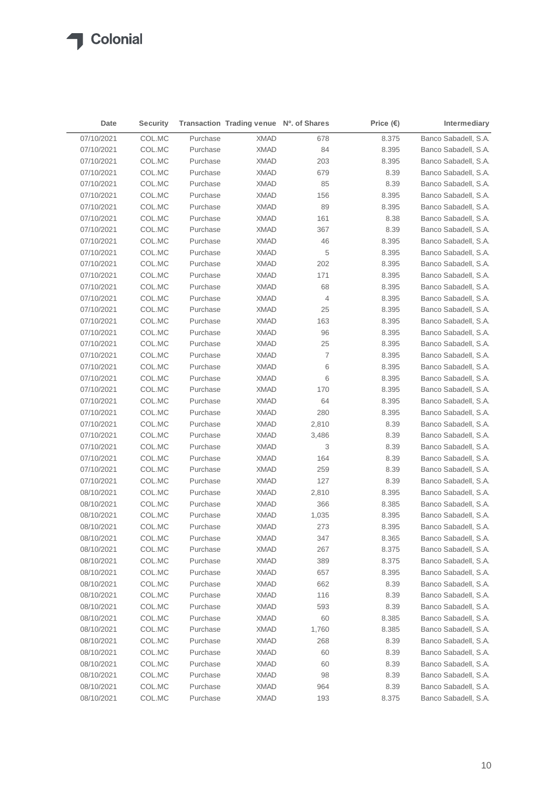$\blacktriangle$ 

| Date       | <b>Security</b> |          | Transaction Trading venue Nº. of Shares |                | Price $(\epsilon)$ | Intermediary         |
|------------|-----------------|----------|-----------------------------------------|----------------|--------------------|----------------------|
| 07/10/2021 | COL.MC          | Purchase | <b>XMAD</b>                             | 678            | 8.375              | Banco Sabadell, S.A. |
| 07/10/2021 | COL.MC          | Purchase | <b>XMAD</b>                             | 84             | 8.395              | Banco Sabadell, S.A. |
| 07/10/2021 | COL.MC          | Purchase | XMAD                                    | 203            | 8.395              | Banco Sabadell, S.A. |
| 07/10/2021 | COL.MC          | Purchase | <b>XMAD</b>                             | 679            | 8.39               | Banco Sabadell, S.A. |
| 07/10/2021 | COL.MC          | Purchase | XMAD                                    | 85             | 8.39               | Banco Sabadell, S.A. |
| 07/10/2021 | COL.MC          | Purchase | XMAD                                    | 156            | 8.395              | Banco Sabadell, S.A. |
| 07/10/2021 | COL.MC          | Purchase | XMAD                                    | 89             | 8.395              | Banco Sabadell, S.A. |
| 07/10/2021 | COL.MC          | Purchase | XMAD                                    | 161            | 8.38               | Banco Sabadell, S.A. |
| 07/10/2021 | COL.MC          | Purchase | <b>XMAD</b>                             | 367            | 8.39               | Banco Sabadell, S.A. |
| 07/10/2021 | COL.MC          | Purchase | <b>XMAD</b>                             | 46             | 8.395              | Banco Sabadell, S.A. |
| 07/10/2021 | COL.MC          | Purchase | <b>XMAD</b>                             | 5              | 8.395              | Banco Sabadell, S.A. |
| 07/10/2021 | COL.MC          | Purchase | <b>XMAD</b>                             | 202            | 8.395              | Banco Sabadell, S.A. |
| 07/10/2021 | COL.MC          | Purchase | <b>XMAD</b>                             | 171            | 8.395              | Banco Sabadell, S.A. |
| 07/10/2021 | COL.MC          | Purchase | <b>XMAD</b>                             | 68             | 8.395              | Banco Sabadell, S.A. |
| 07/10/2021 | COL.MC          | Purchase | <b>XMAD</b>                             | 4              | 8.395              | Banco Sabadell, S.A. |
| 07/10/2021 | COL.MC          | Purchase | <b>XMAD</b>                             | 25             | 8.395              | Banco Sabadell, S.A. |
| 07/10/2021 | COL.MC          | Purchase | <b>XMAD</b>                             | 163            | 8.395              | Banco Sabadell, S.A. |
| 07/10/2021 | COL.MC          | Purchase | <b>XMAD</b>                             | 96             | 8.395              | Banco Sabadell, S.A. |
| 07/10/2021 | COL.MC          | Purchase | <b>XMAD</b>                             | 25             | 8.395              | Banco Sabadell, S.A. |
| 07/10/2021 | COL.MC          | Purchase | <b>XMAD</b>                             | $\overline{7}$ | 8.395              | Banco Sabadell, S.A. |
| 07/10/2021 | COL.MC          | Purchase | <b>XMAD</b>                             | 6              | 8.395              | Banco Sabadell, S.A. |
| 07/10/2021 | COL.MC          | Purchase | <b>XMAD</b>                             | 6              | 8.395              | Banco Sabadell, S.A. |
| 07/10/2021 | COL.MC          | Purchase | <b>XMAD</b>                             | 170            | 8.395              | Banco Sabadell, S.A. |
| 07/10/2021 | COL.MC          | Purchase | <b>XMAD</b>                             | 64             | 8.395              | Banco Sabadell, S.A. |
| 07/10/2021 | COL.MC          | Purchase | <b>XMAD</b>                             | 280            | 8.395              | Banco Sabadell, S.A. |
| 07/10/2021 | COL.MC          | Purchase | <b>XMAD</b>                             | 2,810          | 8.39               | Banco Sabadell, S.A. |
| 07/10/2021 | COL.MC          | Purchase | <b>XMAD</b>                             | 3,486          | 8.39               | Banco Sabadell, S.A. |
| 07/10/2021 | COL.MC          | Purchase | <b>XMAD</b>                             | 3              | 8.39               | Banco Sabadell, S.A. |
| 07/10/2021 | COL.MC          | Purchase | <b>XMAD</b>                             | 164            | 8.39               | Banco Sabadell, S.A. |
| 07/10/2021 | COL.MC          | Purchase | <b>XMAD</b>                             | 259            | 8.39               | Banco Sabadell, S.A. |
| 07/10/2021 | COL.MC          | Purchase | <b>XMAD</b>                             | 127            | 8.39               | Banco Sabadell, S.A. |
| 08/10/2021 | COL.MC          | Purchase | <b>XMAD</b>                             | 2,810          | 8.395              | Banco Sabadell, S.A. |
| 08/10/2021 | COL.MC          | Purchase | XMAD                                    | 366            | 8.385              | Banco Sabadell, S.A. |
| 08/10/2021 | COL.MC          | Purchase | <b>XMAD</b>                             | 1,035          | 8.395              | Banco Sabadell, S.A. |
| 08/10/2021 | COL.MC          | Purchase | <b>XMAD</b>                             | 273            | 8.395              | Banco Sabadell, S.A. |
| 08/10/2021 | COL.MC          | Purchase | XMAD                                    | 347            | 8.365              | Banco Sabadell, S.A. |
| 08/10/2021 | COL.MC          | Purchase | <b>XMAD</b>                             | 267            | 8.375              | Banco Sabadell, S.A. |
| 08/10/2021 | COL.MC          | Purchase | <b>XMAD</b>                             | 389            | 8.375              | Banco Sabadell, S.A. |
| 08/10/2021 | COL.MC          | Purchase | <b>XMAD</b>                             | 657            | 8.395              | Banco Sabadell, S.A. |
| 08/10/2021 | COL.MC          | Purchase | <b>XMAD</b>                             | 662            | 8.39               | Banco Sabadell, S.A. |
| 08/10/2021 | COL.MC          | Purchase | <b>XMAD</b>                             | 116            | 8.39               | Banco Sabadell, S.A. |
| 08/10/2021 | COL.MC          | Purchase | <b>XMAD</b>                             | 593            | 8.39               | Banco Sabadell, S.A. |
| 08/10/2021 | COL.MC          | Purchase | <b>XMAD</b>                             | 60             | 8.385              | Banco Sabadell, S.A. |
| 08/10/2021 | COL.MC          | Purchase | <b>XMAD</b>                             | 1,760          | 8.385              | Banco Sabadell, S.A. |
| 08/10/2021 | COL.MC          | Purchase | <b>XMAD</b>                             | 268            | 8.39               | Banco Sabadell, S.A. |
| 08/10/2021 | COL.MC          | Purchase | <b>XMAD</b>                             | 60             | 8.39               | Banco Sabadell, S.A. |
| 08/10/2021 | COL.MC          | Purchase | <b>XMAD</b>                             | 60             | 8.39               | Banco Sabadell, S.A. |
| 08/10/2021 | COL.MC          | Purchase | <b>XMAD</b>                             | 98             | 8.39               | Banco Sabadell, S.A. |
| 08/10/2021 | COL.MC          | Purchase | <b>XMAD</b>                             | 964            | 8.39               | Banco Sabadell, S.A. |
| 08/10/2021 | COL.MC          | Purchase | <b>XMAD</b>                             | 193            | 8.375              | Banco Sabadell, S.A. |
|            |                 |          |                                         |                |                    |                      |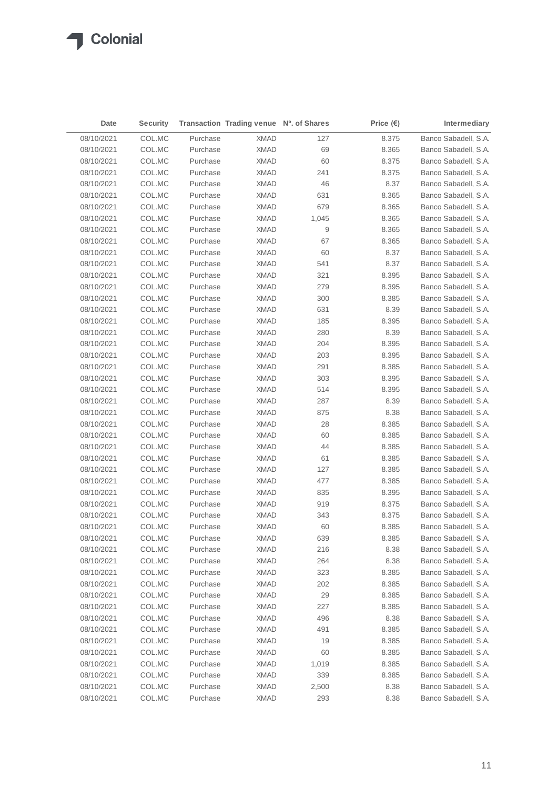| Date       | <b>Security</b> |          | Transaction Trading venue Nº. of Shares |                  | Price $(\epsilon)$ | Intermediary         |
|------------|-----------------|----------|-----------------------------------------|------------------|--------------------|----------------------|
| 08/10/2021 | COL.MC          | Purchase | <b>XMAD</b>                             | 127              | 8.375              | Banco Sabadell, S.A. |
| 08/10/2021 | COL.MC          | Purchase | <b>XMAD</b>                             | 69               | 8.365              | Banco Sabadell, S.A. |
| 08/10/2021 | COL.MC          | Purchase | XMAD                                    | 60               | 8.375              | Banco Sabadell, S.A. |
| 08/10/2021 | COL.MC          | Purchase | <b>XMAD</b>                             | 241              | 8.375              | Banco Sabadell, S.A. |
| 08/10/2021 | COL.MC          | Purchase | XMAD                                    | 46               | 8.37               | Banco Sabadell, S.A. |
| 08/10/2021 | COL.MC          | Purchase | XMAD                                    | 631              | 8.365              | Banco Sabadell, S.A. |
| 08/10/2021 | COL.MC          | Purchase | XMAD                                    | 679              | 8.365              | Banco Sabadell, S.A. |
| 08/10/2021 | COL.MC          | Purchase | XMAD                                    | 1,045            | 8.365              | Banco Sabadell, S.A. |
| 08/10/2021 | COL.MC          | Purchase | <b>XMAD</b>                             | $\boldsymbol{9}$ | 8.365              | Banco Sabadell, S.A. |
| 08/10/2021 | COL.MC          | Purchase | XMAD                                    | 67               | 8.365              | Banco Sabadell, S.A. |
| 08/10/2021 | COL.MC          | Purchase | <b>XMAD</b>                             | 60               | 8.37               | Banco Sabadell, S.A. |
| 08/10/2021 | COL.MC          | Purchase | <b>XMAD</b>                             | 541              | 8.37               | Banco Sabadell, S.A. |
| 08/10/2021 | COL.MC          | Purchase | <b>XMAD</b>                             | 321              | 8.395              | Banco Sabadell, S.A. |
| 08/10/2021 | COL.MC          | Purchase | <b>XMAD</b>                             | 279              | 8.395              | Banco Sabadell, S.A. |
| 08/10/2021 | COL.MC          | Purchase | <b>XMAD</b>                             | 300              | 8.385              | Banco Sabadell, S.A. |
| 08/10/2021 | COL.MC          | Purchase | <b>XMAD</b>                             | 631              | 8.39               | Banco Sabadell, S.A. |
| 08/10/2021 | COL.MC          | Purchase | <b>XMAD</b>                             | 185              | 8.395              | Banco Sabadell, S.A. |
| 08/10/2021 | COL.MC          | Purchase | <b>XMAD</b>                             | 280              | 8.39               | Banco Sabadell, S.A. |
| 08/10/2021 | COL.MC          | Purchase | <b>XMAD</b>                             | 204              | 8.395              | Banco Sabadell, S.A. |
| 08/10/2021 | COL.MC          | Purchase | <b>XMAD</b>                             | 203              | 8.395              | Banco Sabadell, S.A. |
| 08/10/2021 | COL.MC          | Purchase | <b>XMAD</b>                             | 291              | 8.385              | Banco Sabadell, S.A. |
| 08/10/2021 | COL.MC          | Purchase | <b>XMAD</b>                             | 303              | 8.395              | Banco Sabadell, S.A. |
| 08/10/2021 | COL.MC          | Purchase | <b>XMAD</b>                             | 514              | 8.395              | Banco Sabadell, S.A. |
| 08/10/2021 | COL.MC          | Purchase | <b>XMAD</b>                             | 287              | 8.39               | Banco Sabadell, S.A. |
| 08/10/2021 | COL.MC          | Purchase | <b>XMAD</b>                             | 875              | 8.38               | Banco Sabadell, S.A. |
| 08/10/2021 | COL.MC          | Purchase | <b>XMAD</b>                             | 28               | 8.385              | Banco Sabadell, S.A. |
| 08/10/2021 | COL.MC          | Purchase | <b>XMAD</b>                             | 60               | 8.385              | Banco Sabadell, S.A. |
| 08/10/2021 | COL.MC          | Purchase | <b>XMAD</b>                             | 44               | 8.385              | Banco Sabadell, S.A. |
| 08/10/2021 | COL.MC          | Purchase | <b>XMAD</b>                             | 61               | 8.385              | Banco Sabadell, S.A. |
| 08/10/2021 | COL.MC          | Purchase | <b>XMAD</b>                             | 127              | 8.385              | Banco Sabadell, S.A. |
| 08/10/2021 | COL.MC          | Purchase | <b>XMAD</b>                             | 477              | 8.385              | Banco Sabadell, S.A. |
| 08/10/2021 | COL.MC          | Purchase | <b>XMAD</b>                             | 835              | 8.395              | Banco Sabadell, S.A. |
| 08/10/2021 | COL.MC          | Purchase | XMAD                                    | 919              | 8.375              | Banco Sabadell, S.A. |
| 08/10/2021 | COL.MC          | Purchase | <b>XMAD</b>                             | 343              | 8.375              | Banco Sabadell, S.A. |
| 08/10/2021 | COL.MC          | Purchase | <b>XMAD</b>                             | 60               | 8.385              | Banco Sabadell, S.A. |
| 08/10/2021 | COL.MC          | Purchase | XMAD                                    | 639              | 8.385              | Banco Sabadell, S.A. |
| 08/10/2021 | COL.MC          | Purchase | <b>XMAD</b>                             | 216              | 8.38               | Banco Sabadell, S.A. |
| 08/10/2021 | COL.MC          | Purchase | <b>XMAD</b>                             | 264              | 8.38               | Banco Sabadell, S.A. |
| 08/10/2021 | COL.MC          | Purchase | <b>XMAD</b>                             | 323              | 8.385              | Banco Sabadell, S.A. |
| 08/10/2021 | COL.MC          | Purchase | <b>XMAD</b>                             | 202              | 8.385              | Banco Sabadell, S.A. |
| 08/10/2021 | COL.MC          | Purchase | <b>XMAD</b>                             | 29               | 8.385              | Banco Sabadell, S.A. |
| 08/10/2021 | COL.MC          | Purchase | <b>XMAD</b>                             | 227              | 8.385              | Banco Sabadell, S.A. |
| 08/10/2021 | COL.MC          | Purchase | <b>XMAD</b>                             | 496              | 8.38               | Banco Sabadell, S.A. |
| 08/10/2021 | COL.MC          | Purchase | <b>XMAD</b>                             | 491              | 8.385              | Banco Sabadell, S.A. |
| 08/10/2021 | COL.MC          | Purchase | <b>XMAD</b>                             | 19               | 8.385              | Banco Sabadell, S.A. |
| 08/10/2021 | COL.MC          | Purchase | <b>XMAD</b>                             | 60               | 8.385              | Banco Sabadell, S.A. |
| 08/10/2021 | COL.MC          | Purchase | <b>XMAD</b>                             | 1,019            | 8.385              | Banco Sabadell, S.A. |
| 08/10/2021 | COL.MC          | Purchase | <b>XMAD</b>                             | 339              | 8.385              | Banco Sabadell, S.A. |
| 08/10/2021 | COL.MC          | Purchase | <b>XMAD</b>                             | 2,500            | 8.38               | Banco Sabadell, S.A. |
| 08/10/2021 | COL.MC          | Purchase | <b>XMAD</b>                             | 293              | 8.38               | Banco Sabadell, S.A. |
|            |                 |          |                                         |                  |                    |                      |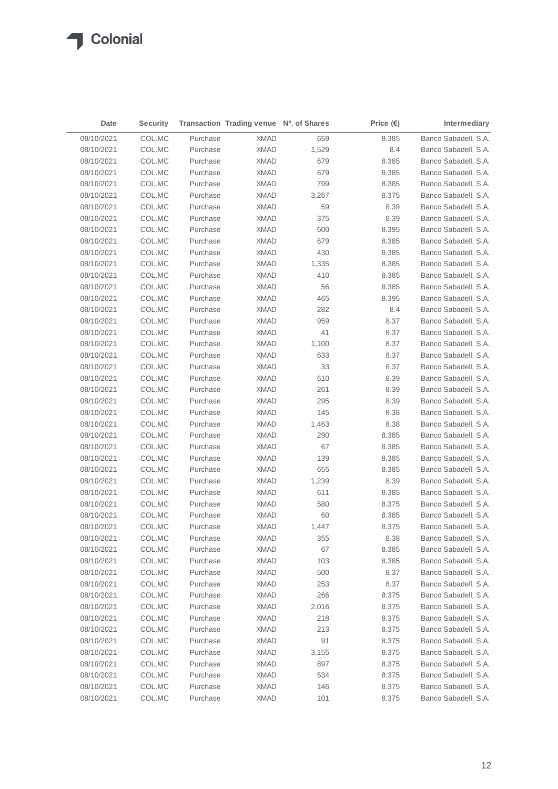$\sqrt{2}$ 

| 08/10/2021<br>COL.MC<br><b>XMAD</b><br>Banco Sabadell, S.A.<br>Purchase<br>659<br>8.385<br>Banco Sabadell, S.A.<br>08/10/2021<br>COL.MC<br>Purchase<br><b>XMAD</b><br>1,529<br>8.4<br>08/10/2021<br>COL.MC<br>Purchase<br><b>XMAD</b><br>679<br>8.385<br>Banco Sabadell, S.A.<br>08/10/2021<br>COL.MC<br>Purchase<br>679<br>Banco Sabadell, S.A.<br>XMAD<br>8.385<br>08/10/2021<br>COL.MC<br>Purchase<br>XMAD<br>799<br>Banco Sabadell, S.A.<br>8.385<br>08/10/2021<br>Purchase<br>Banco Sabadell, S.A.<br>COL.MC<br>XMAD<br>3,267<br>8.375<br>08/10/2021<br>COL.MC<br>Purchase<br><b>XMAD</b><br>59<br>8.39<br>Banco Sabadell, S.A.<br>08/10/2021<br>COL.MC<br>375<br>8.39<br>Banco Sabadell, S.A.<br>Purchase<br>XMAD<br>08/10/2021<br>COL.MC<br>Purchase<br><b>XMAD</b><br>600<br>8.395<br>Banco Sabadell, S.A.<br>08/10/2021<br>COL.MC<br>Purchase<br><b>XMAD</b><br>679<br>8.385<br>Banco Sabadell, S.A.<br>08/10/2021<br>COL.MC<br>Purchase<br>XMAD<br>430<br>8.385<br>Banco Sabadell, S.A.<br>08/10/2021<br>COL.MC<br>Purchase<br><b>XMAD</b><br>1,335<br>8.385<br>Banco Sabadell, S.A.<br>08/10/2021<br>410<br>Banco Sabadell, S.A.<br>COL.MC<br>Purchase<br><b>XMAD</b><br>8.385<br>08/10/2021<br>COL.MC<br>Purchase<br><b>XMAD</b><br>56<br>8.385<br>Banco Sabadell, S.A.<br>465<br>08/10/2021<br>COL.MC<br>Purchase<br>XMAD<br>8.395<br>Banco Sabadell, S.A.<br>282<br>8.4<br>08/10/2021<br>COL.MC<br>Purchase<br>XMAD<br>Banco Sabadell, S.A.<br>959<br>08/10/2021<br>COL.MC<br>Purchase<br><b>XMAD</b><br>8.37<br>Banco Sabadell, S.A.<br>41<br>08/10/2021<br>COL.MC<br>Purchase<br>XMAD<br>8.37<br>Banco Sabadell, S.A.<br>Banco Sabadell, S.A.<br>08/10/2021<br>COL.MC<br>Purchase<br>XMAD<br>1,100<br>8.37<br>08/10/2021<br>COL.MC<br>Purchase<br>XMAD<br>633<br>8.37<br>Banco Sabadell, S.A.<br>33<br>Banco Sabadell, S.A.<br>08/10/2021<br>COL.MC<br>Purchase<br><b>XMAD</b><br>8.37<br>Banco Sabadell, S.A.<br>08/10/2021<br>COL.MC<br>Purchase<br><b>XMAD</b><br>610<br>8.39<br>261<br>Banco Sabadell, S.A.<br>08/10/2021<br>COL.MC<br>Purchase<br>XMAD<br>8.39<br>08/10/2021<br>COL.MC<br>Purchase<br>XMAD<br>295<br>8.39<br>Banco Sabadell, S.A.<br>Banco Sabadell, S.A.<br>08/10/2021<br>COL.MC<br>Purchase<br>XMAD<br>145<br>8.38<br>08/10/2021<br>COL.MC<br>Purchase<br>XMAD<br>1,463<br>8.38<br>Banco Sabadell, S.A.<br>290<br>Banco Sabadell, S.A.<br>08/10/2021<br>COL.MC<br>Purchase<br>XMAD<br>8.385<br>67<br>08/10/2021<br>COL.MC<br>Purchase<br>XMAD<br>8.385<br>Banco Sabadell, S.A.<br>Banco Sabadell, S.A.<br>08/10/2021<br>COL.MC<br>Purchase<br><b>XMAD</b><br>139<br>8.385<br>08/10/2021<br>Purchase<br><b>XMAD</b><br>655<br>Banco Sabadell, S.A.<br>COL.MC<br>8.385<br>08/10/2021<br>COL.MC<br>Purchase<br><b>XMAD</b><br>1,239<br>8.39<br>Banco Sabadell, S.A.<br>Banco Sabadell, S.A.<br>08/10/2021<br>COL.MC<br>Purchase<br>XMAD<br>611<br>8.385<br>08/10/2021<br>Purchase<br>580<br>Banco Sabadell, S.A.<br>COL.MC<br>XMAD<br>8.375<br>Banco Sabadell, S.A.<br>08/10/2021<br>COL.MC<br>Purchase<br><b>XMAD</b><br>60<br>8.385<br>08/10/2021<br>COL.MC<br>Purchase<br><b>XMAD</b><br>1,447<br>8.375<br>Banco Sabadell, S.A.<br>355<br>08/10/2021<br>COL.MC<br><b>XMAD</b><br>8.38<br>Banco Sabadell, S.A.<br>Purchase<br>COL.MC<br><b>XMAD</b><br>Banco Sabadell, S.A.<br>08/10/2021<br>Purchase<br>67<br>8.385<br>08/10/2021<br>COL.MC<br>Purchase<br><b>XMAD</b><br>103<br>8.385<br>Banco Sabadell, S.A.<br>08/10/2021<br>COL.MC<br>Purchase<br><b>XMAD</b><br>500<br>8.37<br>Banco Sabadell, S.A.<br>08/10/2021<br>COL.MC<br>Purchase<br><b>XMAD</b><br>253<br>8.37<br>Banco Sabadell, S.A.<br>08/10/2021<br>COL.MC<br>Purchase<br><b>XMAD</b><br>266<br>Banco Sabadell, S.A.<br>8.375<br>08/10/2021<br>COL.MC<br>Purchase<br><b>XMAD</b><br>2,016<br>8.375<br>Banco Sabadell, S.A.<br>08/10/2021<br>COL.MC<br>Purchase<br><b>XMAD</b><br>218<br>8.375<br>Banco Sabadell, S.A.<br>08/10/2021<br>COL.MC<br>Purchase<br><b>XMAD</b><br>213<br>8.375<br>Banco Sabadell, S.A.<br>91<br>08/10/2021<br>COL.MC<br>Purchase<br><b>XMAD</b><br>8.375<br>Banco Sabadell, S.A.<br>08/10/2021<br>COL.MC<br>Purchase<br><b>XMAD</b><br>8.375<br>Banco Sabadell, S.A.<br>3,155<br>08/10/2021<br>COL.MC<br>Purchase<br><b>XMAD</b><br>897<br>8.375<br>Banco Sabadell, S.A.<br>08/10/2021<br>COL.MC<br>Purchase<br><b>XMAD</b><br>534<br>8.375<br>Banco Sabadell, S.A.<br>Banco Sabadell, S.A.<br>08/10/2021<br>COL.MC<br>Purchase<br><b>XMAD</b><br>146<br>8.375<br>Purchase<br>Banco Sabadell, S.A.<br>08/10/2021<br>COL.MC<br><b>XMAD</b><br>101<br>8.375 | Date | <b>Security</b> | Transaction Trading venue Nº. of Shares | Price $(\epsilon)$ | Intermediary |
|--------------------------------------------------------------------------------------------------------------------------------------------------------------------------------------------------------------------------------------------------------------------------------------------------------------------------------------------------------------------------------------------------------------------------------------------------------------------------------------------------------------------------------------------------------------------------------------------------------------------------------------------------------------------------------------------------------------------------------------------------------------------------------------------------------------------------------------------------------------------------------------------------------------------------------------------------------------------------------------------------------------------------------------------------------------------------------------------------------------------------------------------------------------------------------------------------------------------------------------------------------------------------------------------------------------------------------------------------------------------------------------------------------------------------------------------------------------------------------------------------------------------------------------------------------------------------------------------------------------------------------------------------------------------------------------------------------------------------------------------------------------------------------------------------------------------------------------------------------------------------------------------------------------------------------------------------------------------------------------------------------------------------------------------------------------------------------------------------------------------------------------------------------------------------------------------------------------------------------------------------------------------------------------------------------------------------------------------------------------------------------------------------------------------------------------------------------------------------------------------------------------------------------------------------------------------------------------------------------------------------------------------------------------------------------------------------------------------------------------------------------------------------------------------------------------------------------------------------------------------------------------------------------------------------------------------------------------------------------------------------------------------------------------------------------------------------------------------------------------------------------------------------------------------------------------------------------------------------------------------------------------------------------------------------------------------------------------------------------------------------------------------------------------------------------------------------------------------------------------------------------------------------------------------------------------------------------------------------------------------------------------------------------------------------------------------------------------------------------------------------------------------------------------------------------------------------------------------------------------------------------------------------------------------------------------------------------------------------------------------------------------------------------------------------------------------------------------------------------------------------------------------------------------------------------------------------------------------------------------------------------------------------------------------------------------------------------------------------------------------------------------------------------------------------------------------------------------------------------------------------------------------------------------------------------------------------------------------|------|-----------------|-----------------------------------------|--------------------|--------------|
|                                                                                                                                                                                                                                                                                                                                                                                                                                                                                                                                                                                                                                                                                                                                                                                                                                                                                                                                                                                                                                                                                                                                                                                                                                                                                                                                                                                                                                                                                                                                                                                                                                                                                                                                                                                                                                                                                                                                                                                                                                                                                                                                                                                                                                                                                                                                                                                                                                                                                                                                                                                                                                                                                                                                                                                                                                                                                                                                                                                                                                                                                                                                                                                                                                                                                                                                                                                                                                                                                                                                                                                                                                                                                                                                                                                                                                                                                                                                                                                                                                                                                                                                                                                                                                                                                                                                                                                                                                                                                                                                                                                            |      |                 |                                         |                    |              |
|                                                                                                                                                                                                                                                                                                                                                                                                                                                                                                                                                                                                                                                                                                                                                                                                                                                                                                                                                                                                                                                                                                                                                                                                                                                                                                                                                                                                                                                                                                                                                                                                                                                                                                                                                                                                                                                                                                                                                                                                                                                                                                                                                                                                                                                                                                                                                                                                                                                                                                                                                                                                                                                                                                                                                                                                                                                                                                                                                                                                                                                                                                                                                                                                                                                                                                                                                                                                                                                                                                                                                                                                                                                                                                                                                                                                                                                                                                                                                                                                                                                                                                                                                                                                                                                                                                                                                                                                                                                                                                                                                                                            |      |                 |                                         |                    |              |
|                                                                                                                                                                                                                                                                                                                                                                                                                                                                                                                                                                                                                                                                                                                                                                                                                                                                                                                                                                                                                                                                                                                                                                                                                                                                                                                                                                                                                                                                                                                                                                                                                                                                                                                                                                                                                                                                                                                                                                                                                                                                                                                                                                                                                                                                                                                                                                                                                                                                                                                                                                                                                                                                                                                                                                                                                                                                                                                                                                                                                                                                                                                                                                                                                                                                                                                                                                                                                                                                                                                                                                                                                                                                                                                                                                                                                                                                                                                                                                                                                                                                                                                                                                                                                                                                                                                                                                                                                                                                                                                                                                                            |      |                 |                                         |                    |              |
|                                                                                                                                                                                                                                                                                                                                                                                                                                                                                                                                                                                                                                                                                                                                                                                                                                                                                                                                                                                                                                                                                                                                                                                                                                                                                                                                                                                                                                                                                                                                                                                                                                                                                                                                                                                                                                                                                                                                                                                                                                                                                                                                                                                                                                                                                                                                                                                                                                                                                                                                                                                                                                                                                                                                                                                                                                                                                                                                                                                                                                                                                                                                                                                                                                                                                                                                                                                                                                                                                                                                                                                                                                                                                                                                                                                                                                                                                                                                                                                                                                                                                                                                                                                                                                                                                                                                                                                                                                                                                                                                                                                            |      |                 |                                         |                    |              |
|                                                                                                                                                                                                                                                                                                                                                                                                                                                                                                                                                                                                                                                                                                                                                                                                                                                                                                                                                                                                                                                                                                                                                                                                                                                                                                                                                                                                                                                                                                                                                                                                                                                                                                                                                                                                                                                                                                                                                                                                                                                                                                                                                                                                                                                                                                                                                                                                                                                                                                                                                                                                                                                                                                                                                                                                                                                                                                                                                                                                                                                                                                                                                                                                                                                                                                                                                                                                                                                                                                                                                                                                                                                                                                                                                                                                                                                                                                                                                                                                                                                                                                                                                                                                                                                                                                                                                                                                                                                                                                                                                                                            |      |                 |                                         |                    |              |
|                                                                                                                                                                                                                                                                                                                                                                                                                                                                                                                                                                                                                                                                                                                                                                                                                                                                                                                                                                                                                                                                                                                                                                                                                                                                                                                                                                                                                                                                                                                                                                                                                                                                                                                                                                                                                                                                                                                                                                                                                                                                                                                                                                                                                                                                                                                                                                                                                                                                                                                                                                                                                                                                                                                                                                                                                                                                                                                                                                                                                                                                                                                                                                                                                                                                                                                                                                                                                                                                                                                                                                                                                                                                                                                                                                                                                                                                                                                                                                                                                                                                                                                                                                                                                                                                                                                                                                                                                                                                                                                                                                                            |      |                 |                                         |                    |              |
|                                                                                                                                                                                                                                                                                                                                                                                                                                                                                                                                                                                                                                                                                                                                                                                                                                                                                                                                                                                                                                                                                                                                                                                                                                                                                                                                                                                                                                                                                                                                                                                                                                                                                                                                                                                                                                                                                                                                                                                                                                                                                                                                                                                                                                                                                                                                                                                                                                                                                                                                                                                                                                                                                                                                                                                                                                                                                                                                                                                                                                                                                                                                                                                                                                                                                                                                                                                                                                                                                                                                                                                                                                                                                                                                                                                                                                                                                                                                                                                                                                                                                                                                                                                                                                                                                                                                                                                                                                                                                                                                                                                            |      |                 |                                         |                    |              |
|                                                                                                                                                                                                                                                                                                                                                                                                                                                                                                                                                                                                                                                                                                                                                                                                                                                                                                                                                                                                                                                                                                                                                                                                                                                                                                                                                                                                                                                                                                                                                                                                                                                                                                                                                                                                                                                                                                                                                                                                                                                                                                                                                                                                                                                                                                                                                                                                                                                                                                                                                                                                                                                                                                                                                                                                                                                                                                                                                                                                                                                                                                                                                                                                                                                                                                                                                                                                                                                                                                                                                                                                                                                                                                                                                                                                                                                                                                                                                                                                                                                                                                                                                                                                                                                                                                                                                                                                                                                                                                                                                                                            |      |                 |                                         |                    |              |
|                                                                                                                                                                                                                                                                                                                                                                                                                                                                                                                                                                                                                                                                                                                                                                                                                                                                                                                                                                                                                                                                                                                                                                                                                                                                                                                                                                                                                                                                                                                                                                                                                                                                                                                                                                                                                                                                                                                                                                                                                                                                                                                                                                                                                                                                                                                                                                                                                                                                                                                                                                                                                                                                                                                                                                                                                                                                                                                                                                                                                                                                                                                                                                                                                                                                                                                                                                                                                                                                                                                                                                                                                                                                                                                                                                                                                                                                                                                                                                                                                                                                                                                                                                                                                                                                                                                                                                                                                                                                                                                                                                                            |      |                 |                                         |                    |              |
|                                                                                                                                                                                                                                                                                                                                                                                                                                                                                                                                                                                                                                                                                                                                                                                                                                                                                                                                                                                                                                                                                                                                                                                                                                                                                                                                                                                                                                                                                                                                                                                                                                                                                                                                                                                                                                                                                                                                                                                                                                                                                                                                                                                                                                                                                                                                                                                                                                                                                                                                                                                                                                                                                                                                                                                                                                                                                                                                                                                                                                                                                                                                                                                                                                                                                                                                                                                                                                                                                                                                                                                                                                                                                                                                                                                                                                                                                                                                                                                                                                                                                                                                                                                                                                                                                                                                                                                                                                                                                                                                                                                            |      |                 |                                         |                    |              |
|                                                                                                                                                                                                                                                                                                                                                                                                                                                                                                                                                                                                                                                                                                                                                                                                                                                                                                                                                                                                                                                                                                                                                                                                                                                                                                                                                                                                                                                                                                                                                                                                                                                                                                                                                                                                                                                                                                                                                                                                                                                                                                                                                                                                                                                                                                                                                                                                                                                                                                                                                                                                                                                                                                                                                                                                                                                                                                                                                                                                                                                                                                                                                                                                                                                                                                                                                                                                                                                                                                                                                                                                                                                                                                                                                                                                                                                                                                                                                                                                                                                                                                                                                                                                                                                                                                                                                                                                                                                                                                                                                                                            |      |                 |                                         |                    |              |
|                                                                                                                                                                                                                                                                                                                                                                                                                                                                                                                                                                                                                                                                                                                                                                                                                                                                                                                                                                                                                                                                                                                                                                                                                                                                                                                                                                                                                                                                                                                                                                                                                                                                                                                                                                                                                                                                                                                                                                                                                                                                                                                                                                                                                                                                                                                                                                                                                                                                                                                                                                                                                                                                                                                                                                                                                                                                                                                                                                                                                                                                                                                                                                                                                                                                                                                                                                                                                                                                                                                                                                                                                                                                                                                                                                                                                                                                                                                                                                                                                                                                                                                                                                                                                                                                                                                                                                                                                                                                                                                                                                                            |      |                 |                                         |                    |              |
|                                                                                                                                                                                                                                                                                                                                                                                                                                                                                                                                                                                                                                                                                                                                                                                                                                                                                                                                                                                                                                                                                                                                                                                                                                                                                                                                                                                                                                                                                                                                                                                                                                                                                                                                                                                                                                                                                                                                                                                                                                                                                                                                                                                                                                                                                                                                                                                                                                                                                                                                                                                                                                                                                                                                                                                                                                                                                                                                                                                                                                                                                                                                                                                                                                                                                                                                                                                                                                                                                                                                                                                                                                                                                                                                                                                                                                                                                                                                                                                                                                                                                                                                                                                                                                                                                                                                                                                                                                                                                                                                                                                            |      |                 |                                         |                    |              |
|                                                                                                                                                                                                                                                                                                                                                                                                                                                                                                                                                                                                                                                                                                                                                                                                                                                                                                                                                                                                                                                                                                                                                                                                                                                                                                                                                                                                                                                                                                                                                                                                                                                                                                                                                                                                                                                                                                                                                                                                                                                                                                                                                                                                                                                                                                                                                                                                                                                                                                                                                                                                                                                                                                                                                                                                                                                                                                                                                                                                                                                                                                                                                                                                                                                                                                                                                                                                                                                                                                                                                                                                                                                                                                                                                                                                                                                                                                                                                                                                                                                                                                                                                                                                                                                                                                                                                                                                                                                                                                                                                                                            |      |                 |                                         |                    |              |
|                                                                                                                                                                                                                                                                                                                                                                                                                                                                                                                                                                                                                                                                                                                                                                                                                                                                                                                                                                                                                                                                                                                                                                                                                                                                                                                                                                                                                                                                                                                                                                                                                                                                                                                                                                                                                                                                                                                                                                                                                                                                                                                                                                                                                                                                                                                                                                                                                                                                                                                                                                                                                                                                                                                                                                                                                                                                                                                                                                                                                                                                                                                                                                                                                                                                                                                                                                                                                                                                                                                                                                                                                                                                                                                                                                                                                                                                                                                                                                                                                                                                                                                                                                                                                                                                                                                                                                                                                                                                                                                                                                                            |      |                 |                                         |                    |              |
|                                                                                                                                                                                                                                                                                                                                                                                                                                                                                                                                                                                                                                                                                                                                                                                                                                                                                                                                                                                                                                                                                                                                                                                                                                                                                                                                                                                                                                                                                                                                                                                                                                                                                                                                                                                                                                                                                                                                                                                                                                                                                                                                                                                                                                                                                                                                                                                                                                                                                                                                                                                                                                                                                                                                                                                                                                                                                                                                                                                                                                                                                                                                                                                                                                                                                                                                                                                                                                                                                                                                                                                                                                                                                                                                                                                                                                                                                                                                                                                                                                                                                                                                                                                                                                                                                                                                                                                                                                                                                                                                                                                            |      |                 |                                         |                    |              |
|                                                                                                                                                                                                                                                                                                                                                                                                                                                                                                                                                                                                                                                                                                                                                                                                                                                                                                                                                                                                                                                                                                                                                                                                                                                                                                                                                                                                                                                                                                                                                                                                                                                                                                                                                                                                                                                                                                                                                                                                                                                                                                                                                                                                                                                                                                                                                                                                                                                                                                                                                                                                                                                                                                                                                                                                                                                                                                                                                                                                                                                                                                                                                                                                                                                                                                                                                                                                                                                                                                                                                                                                                                                                                                                                                                                                                                                                                                                                                                                                                                                                                                                                                                                                                                                                                                                                                                                                                                                                                                                                                                                            |      |                 |                                         |                    |              |
|                                                                                                                                                                                                                                                                                                                                                                                                                                                                                                                                                                                                                                                                                                                                                                                                                                                                                                                                                                                                                                                                                                                                                                                                                                                                                                                                                                                                                                                                                                                                                                                                                                                                                                                                                                                                                                                                                                                                                                                                                                                                                                                                                                                                                                                                                                                                                                                                                                                                                                                                                                                                                                                                                                                                                                                                                                                                                                                                                                                                                                                                                                                                                                                                                                                                                                                                                                                                                                                                                                                                                                                                                                                                                                                                                                                                                                                                                                                                                                                                                                                                                                                                                                                                                                                                                                                                                                                                                                                                                                                                                                                            |      |                 |                                         |                    |              |
|                                                                                                                                                                                                                                                                                                                                                                                                                                                                                                                                                                                                                                                                                                                                                                                                                                                                                                                                                                                                                                                                                                                                                                                                                                                                                                                                                                                                                                                                                                                                                                                                                                                                                                                                                                                                                                                                                                                                                                                                                                                                                                                                                                                                                                                                                                                                                                                                                                                                                                                                                                                                                                                                                                                                                                                                                                                                                                                                                                                                                                                                                                                                                                                                                                                                                                                                                                                                                                                                                                                                                                                                                                                                                                                                                                                                                                                                                                                                                                                                                                                                                                                                                                                                                                                                                                                                                                                                                                                                                                                                                                                            |      |                 |                                         |                    |              |
|                                                                                                                                                                                                                                                                                                                                                                                                                                                                                                                                                                                                                                                                                                                                                                                                                                                                                                                                                                                                                                                                                                                                                                                                                                                                                                                                                                                                                                                                                                                                                                                                                                                                                                                                                                                                                                                                                                                                                                                                                                                                                                                                                                                                                                                                                                                                                                                                                                                                                                                                                                                                                                                                                                                                                                                                                                                                                                                                                                                                                                                                                                                                                                                                                                                                                                                                                                                                                                                                                                                                                                                                                                                                                                                                                                                                                                                                                                                                                                                                                                                                                                                                                                                                                                                                                                                                                                                                                                                                                                                                                                                            |      |                 |                                         |                    |              |
|                                                                                                                                                                                                                                                                                                                                                                                                                                                                                                                                                                                                                                                                                                                                                                                                                                                                                                                                                                                                                                                                                                                                                                                                                                                                                                                                                                                                                                                                                                                                                                                                                                                                                                                                                                                                                                                                                                                                                                                                                                                                                                                                                                                                                                                                                                                                                                                                                                                                                                                                                                                                                                                                                                                                                                                                                                                                                                                                                                                                                                                                                                                                                                                                                                                                                                                                                                                                                                                                                                                                                                                                                                                                                                                                                                                                                                                                                                                                                                                                                                                                                                                                                                                                                                                                                                                                                                                                                                                                                                                                                                                            |      |                 |                                         |                    |              |
|                                                                                                                                                                                                                                                                                                                                                                                                                                                                                                                                                                                                                                                                                                                                                                                                                                                                                                                                                                                                                                                                                                                                                                                                                                                                                                                                                                                                                                                                                                                                                                                                                                                                                                                                                                                                                                                                                                                                                                                                                                                                                                                                                                                                                                                                                                                                                                                                                                                                                                                                                                                                                                                                                                                                                                                                                                                                                                                                                                                                                                                                                                                                                                                                                                                                                                                                                                                                                                                                                                                                                                                                                                                                                                                                                                                                                                                                                                                                                                                                                                                                                                                                                                                                                                                                                                                                                                                                                                                                                                                                                                                            |      |                 |                                         |                    |              |
|                                                                                                                                                                                                                                                                                                                                                                                                                                                                                                                                                                                                                                                                                                                                                                                                                                                                                                                                                                                                                                                                                                                                                                                                                                                                                                                                                                                                                                                                                                                                                                                                                                                                                                                                                                                                                                                                                                                                                                                                                                                                                                                                                                                                                                                                                                                                                                                                                                                                                                                                                                                                                                                                                                                                                                                                                                                                                                                                                                                                                                                                                                                                                                                                                                                                                                                                                                                                                                                                                                                                                                                                                                                                                                                                                                                                                                                                                                                                                                                                                                                                                                                                                                                                                                                                                                                                                                                                                                                                                                                                                                                            |      |                 |                                         |                    |              |
|                                                                                                                                                                                                                                                                                                                                                                                                                                                                                                                                                                                                                                                                                                                                                                                                                                                                                                                                                                                                                                                                                                                                                                                                                                                                                                                                                                                                                                                                                                                                                                                                                                                                                                                                                                                                                                                                                                                                                                                                                                                                                                                                                                                                                                                                                                                                                                                                                                                                                                                                                                                                                                                                                                                                                                                                                                                                                                                                                                                                                                                                                                                                                                                                                                                                                                                                                                                                                                                                                                                                                                                                                                                                                                                                                                                                                                                                                                                                                                                                                                                                                                                                                                                                                                                                                                                                                                                                                                                                                                                                                                                            |      |                 |                                         |                    |              |
|                                                                                                                                                                                                                                                                                                                                                                                                                                                                                                                                                                                                                                                                                                                                                                                                                                                                                                                                                                                                                                                                                                                                                                                                                                                                                                                                                                                                                                                                                                                                                                                                                                                                                                                                                                                                                                                                                                                                                                                                                                                                                                                                                                                                                                                                                                                                                                                                                                                                                                                                                                                                                                                                                                                                                                                                                                                                                                                                                                                                                                                                                                                                                                                                                                                                                                                                                                                                                                                                                                                                                                                                                                                                                                                                                                                                                                                                                                                                                                                                                                                                                                                                                                                                                                                                                                                                                                                                                                                                                                                                                                                            |      |                 |                                         |                    |              |
|                                                                                                                                                                                                                                                                                                                                                                                                                                                                                                                                                                                                                                                                                                                                                                                                                                                                                                                                                                                                                                                                                                                                                                                                                                                                                                                                                                                                                                                                                                                                                                                                                                                                                                                                                                                                                                                                                                                                                                                                                                                                                                                                                                                                                                                                                                                                                                                                                                                                                                                                                                                                                                                                                                                                                                                                                                                                                                                                                                                                                                                                                                                                                                                                                                                                                                                                                                                                                                                                                                                                                                                                                                                                                                                                                                                                                                                                                                                                                                                                                                                                                                                                                                                                                                                                                                                                                                                                                                                                                                                                                                                            |      |                 |                                         |                    |              |
|                                                                                                                                                                                                                                                                                                                                                                                                                                                                                                                                                                                                                                                                                                                                                                                                                                                                                                                                                                                                                                                                                                                                                                                                                                                                                                                                                                                                                                                                                                                                                                                                                                                                                                                                                                                                                                                                                                                                                                                                                                                                                                                                                                                                                                                                                                                                                                                                                                                                                                                                                                                                                                                                                                                                                                                                                                                                                                                                                                                                                                                                                                                                                                                                                                                                                                                                                                                                                                                                                                                                                                                                                                                                                                                                                                                                                                                                                                                                                                                                                                                                                                                                                                                                                                                                                                                                                                                                                                                                                                                                                                                            |      |                 |                                         |                    |              |
|                                                                                                                                                                                                                                                                                                                                                                                                                                                                                                                                                                                                                                                                                                                                                                                                                                                                                                                                                                                                                                                                                                                                                                                                                                                                                                                                                                                                                                                                                                                                                                                                                                                                                                                                                                                                                                                                                                                                                                                                                                                                                                                                                                                                                                                                                                                                                                                                                                                                                                                                                                                                                                                                                                                                                                                                                                                                                                                                                                                                                                                                                                                                                                                                                                                                                                                                                                                                                                                                                                                                                                                                                                                                                                                                                                                                                                                                                                                                                                                                                                                                                                                                                                                                                                                                                                                                                                                                                                                                                                                                                                                            |      |                 |                                         |                    |              |
|                                                                                                                                                                                                                                                                                                                                                                                                                                                                                                                                                                                                                                                                                                                                                                                                                                                                                                                                                                                                                                                                                                                                                                                                                                                                                                                                                                                                                                                                                                                                                                                                                                                                                                                                                                                                                                                                                                                                                                                                                                                                                                                                                                                                                                                                                                                                                                                                                                                                                                                                                                                                                                                                                                                                                                                                                                                                                                                                                                                                                                                                                                                                                                                                                                                                                                                                                                                                                                                                                                                                                                                                                                                                                                                                                                                                                                                                                                                                                                                                                                                                                                                                                                                                                                                                                                                                                                                                                                                                                                                                                                                            |      |                 |                                         |                    |              |
|                                                                                                                                                                                                                                                                                                                                                                                                                                                                                                                                                                                                                                                                                                                                                                                                                                                                                                                                                                                                                                                                                                                                                                                                                                                                                                                                                                                                                                                                                                                                                                                                                                                                                                                                                                                                                                                                                                                                                                                                                                                                                                                                                                                                                                                                                                                                                                                                                                                                                                                                                                                                                                                                                                                                                                                                                                                                                                                                                                                                                                                                                                                                                                                                                                                                                                                                                                                                                                                                                                                                                                                                                                                                                                                                                                                                                                                                                                                                                                                                                                                                                                                                                                                                                                                                                                                                                                                                                                                                                                                                                                                            |      |                 |                                         |                    |              |
|                                                                                                                                                                                                                                                                                                                                                                                                                                                                                                                                                                                                                                                                                                                                                                                                                                                                                                                                                                                                                                                                                                                                                                                                                                                                                                                                                                                                                                                                                                                                                                                                                                                                                                                                                                                                                                                                                                                                                                                                                                                                                                                                                                                                                                                                                                                                                                                                                                                                                                                                                                                                                                                                                                                                                                                                                                                                                                                                                                                                                                                                                                                                                                                                                                                                                                                                                                                                                                                                                                                                                                                                                                                                                                                                                                                                                                                                                                                                                                                                                                                                                                                                                                                                                                                                                                                                                                                                                                                                                                                                                                                            |      |                 |                                         |                    |              |
|                                                                                                                                                                                                                                                                                                                                                                                                                                                                                                                                                                                                                                                                                                                                                                                                                                                                                                                                                                                                                                                                                                                                                                                                                                                                                                                                                                                                                                                                                                                                                                                                                                                                                                                                                                                                                                                                                                                                                                                                                                                                                                                                                                                                                                                                                                                                                                                                                                                                                                                                                                                                                                                                                                                                                                                                                                                                                                                                                                                                                                                                                                                                                                                                                                                                                                                                                                                                                                                                                                                                                                                                                                                                                                                                                                                                                                                                                                                                                                                                                                                                                                                                                                                                                                                                                                                                                                                                                                                                                                                                                                                            |      |                 |                                         |                    |              |
|                                                                                                                                                                                                                                                                                                                                                                                                                                                                                                                                                                                                                                                                                                                                                                                                                                                                                                                                                                                                                                                                                                                                                                                                                                                                                                                                                                                                                                                                                                                                                                                                                                                                                                                                                                                                                                                                                                                                                                                                                                                                                                                                                                                                                                                                                                                                                                                                                                                                                                                                                                                                                                                                                                                                                                                                                                                                                                                                                                                                                                                                                                                                                                                                                                                                                                                                                                                                                                                                                                                                                                                                                                                                                                                                                                                                                                                                                                                                                                                                                                                                                                                                                                                                                                                                                                                                                                                                                                                                                                                                                                                            |      |                 |                                         |                    |              |
|                                                                                                                                                                                                                                                                                                                                                                                                                                                                                                                                                                                                                                                                                                                                                                                                                                                                                                                                                                                                                                                                                                                                                                                                                                                                                                                                                                                                                                                                                                                                                                                                                                                                                                                                                                                                                                                                                                                                                                                                                                                                                                                                                                                                                                                                                                                                                                                                                                                                                                                                                                                                                                                                                                                                                                                                                                                                                                                                                                                                                                                                                                                                                                                                                                                                                                                                                                                                                                                                                                                                                                                                                                                                                                                                                                                                                                                                                                                                                                                                                                                                                                                                                                                                                                                                                                                                                                                                                                                                                                                                                                                            |      |                 |                                         |                    |              |
|                                                                                                                                                                                                                                                                                                                                                                                                                                                                                                                                                                                                                                                                                                                                                                                                                                                                                                                                                                                                                                                                                                                                                                                                                                                                                                                                                                                                                                                                                                                                                                                                                                                                                                                                                                                                                                                                                                                                                                                                                                                                                                                                                                                                                                                                                                                                                                                                                                                                                                                                                                                                                                                                                                                                                                                                                                                                                                                                                                                                                                                                                                                                                                                                                                                                                                                                                                                                                                                                                                                                                                                                                                                                                                                                                                                                                                                                                                                                                                                                                                                                                                                                                                                                                                                                                                                                                                                                                                                                                                                                                                                            |      |                 |                                         |                    |              |
|                                                                                                                                                                                                                                                                                                                                                                                                                                                                                                                                                                                                                                                                                                                                                                                                                                                                                                                                                                                                                                                                                                                                                                                                                                                                                                                                                                                                                                                                                                                                                                                                                                                                                                                                                                                                                                                                                                                                                                                                                                                                                                                                                                                                                                                                                                                                                                                                                                                                                                                                                                                                                                                                                                                                                                                                                                                                                                                                                                                                                                                                                                                                                                                                                                                                                                                                                                                                                                                                                                                                                                                                                                                                                                                                                                                                                                                                                                                                                                                                                                                                                                                                                                                                                                                                                                                                                                                                                                                                                                                                                                                            |      |                 |                                         |                    |              |
|                                                                                                                                                                                                                                                                                                                                                                                                                                                                                                                                                                                                                                                                                                                                                                                                                                                                                                                                                                                                                                                                                                                                                                                                                                                                                                                                                                                                                                                                                                                                                                                                                                                                                                                                                                                                                                                                                                                                                                                                                                                                                                                                                                                                                                                                                                                                                                                                                                                                                                                                                                                                                                                                                                                                                                                                                                                                                                                                                                                                                                                                                                                                                                                                                                                                                                                                                                                                                                                                                                                                                                                                                                                                                                                                                                                                                                                                                                                                                                                                                                                                                                                                                                                                                                                                                                                                                                                                                                                                                                                                                                                            |      |                 |                                         |                    |              |
|                                                                                                                                                                                                                                                                                                                                                                                                                                                                                                                                                                                                                                                                                                                                                                                                                                                                                                                                                                                                                                                                                                                                                                                                                                                                                                                                                                                                                                                                                                                                                                                                                                                                                                                                                                                                                                                                                                                                                                                                                                                                                                                                                                                                                                                                                                                                                                                                                                                                                                                                                                                                                                                                                                                                                                                                                                                                                                                                                                                                                                                                                                                                                                                                                                                                                                                                                                                                                                                                                                                                                                                                                                                                                                                                                                                                                                                                                                                                                                                                                                                                                                                                                                                                                                                                                                                                                                                                                                                                                                                                                                                            |      |                 |                                         |                    |              |
|                                                                                                                                                                                                                                                                                                                                                                                                                                                                                                                                                                                                                                                                                                                                                                                                                                                                                                                                                                                                                                                                                                                                                                                                                                                                                                                                                                                                                                                                                                                                                                                                                                                                                                                                                                                                                                                                                                                                                                                                                                                                                                                                                                                                                                                                                                                                                                                                                                                                                                                                                                                                                                                                                                                                                                                                                                                                                                                                                                                                                                                                                                                                                                                                                                                                                                                                                                                                                                                                                                                                                                                                                                                                                                                                                                                                                                                                                                                                                                                                                                                                                                                                                                                                                                                                                                                                                                                                                                                                                                                                                                                            |      |                 |                                         |                    |              |
|                                                                                                                                                                                                                                                                                                                                                                                                                                                                                                                                                                                                                                                                                                                                                                                                                                                                                                                                                                                                                                                                                                                                                                                                                                                                                                                                                                                                                                                                                                                                                                                                                                                                                                                                                                                                                                                                                                                                                                                                                                                                                                                                                                                                                                                                                                                                                                                                                                                                                                                                                                                                                                                                                                                                                                                                                                                                                                                                                                                                                                                                                                                                                                                                                                                                                                                                                                                                                                                                                                                                                                                                                                                                                                                                                                                                                                                                                                                                                                                                                                                                                                                                                                                                                                                                                                                                                                                                                                                                                                                                                                                            |      |                 |                                         |                    |              |
|                                                                                                                                                                                                                                                                                                                                                                                                                                                                                                                                                                                                                                                                                                                                                                                                                                                                                                                                                                                                                                                                                                                                                                                                                                                                                                                                                                                                                                                                                                                                                                                                                                                                                                                                                                                                                                                                                                                                                                                                                                                                                                                                                                                                                                                                                                                                                                                                                                                                                                                                                                                                                                                                                                                                                                                                                                                                                                                                                                                                                                                                                                                                                                                                                                                                                                                                                                                                                                                                                                                                                                                                                                                                                                                                                                                                                                                                                                                                                                                                                                                                                                                                                                                                                                                                                                                                                                                                                                                                                                                                                                                            |      |                 |                                         |                    |              |
|                                                                                                                                                                                                                                                                                                                                                                                                                                                                                                                                                                                                                                                                                                                                                                                                                                                                                                                                                                                                                                                                                                                                                                                                                                                                                                                                                                                                                                                                                                                                                                                                                                                                                                                                                                                                                                                                                                                                                                                                                                                                                                                                                                                                                                                                                                                                                                                                                                                                                                                                                                                                                                                                                                                                                                                                                                                                                                                                                                                                                                                                                                                                                                                                                                                                                                                                                                                                                                                                                                                                                                                                                                                                                                                                                                                                                                                                                                                                                                                                                                                                                                                                                                                                                                                                                                                                                                                                                                                                                                                                                                                            |      |                 |                                         |                    |              |
|                                                                                                                                                                                                                                                                                                                                                                                                                                                                                                                                                                                                                                                                                                                                                                                                                                                                                                                                                                                                                                                                                                                                                                                                                                                                                                                                                                                                                                                                                                                                                                                                                                                                                                                                                                                                                                                                                                                                                                                                                                                                                                                                                                                                                                                                                                                                                                                                                                                                                                                                                                                                                                                                                                                                                                                                                                                                                                                                                                                                                                                                                                                                                                                                                                                                                                                                                                                                                                                                                                                                                                                                                                                                                                                                                                                                                                                                                                                                                                                                                                                                                                                                                                                                                                                                                                                                                                                                                                                                                                                                                                                            |      |                 |                                         |                    |              |
|                                                                                                                                                                                                                                                                                                                                                                                                                                                                                                                                                                                                                                                                                                                                                                                                                                                                                                                                                                                                                                                                                                                                                                                                                                                                                                                                                                                                                                                                                                                                                                                                                                                                                                                                                                                                                                                                                                                                                                                                                                                                                                                                                                                                                                                                                                                                                                                                                                                                                                                                                                                                                                                                                                                                                                                                                                                                                                                                                                                                                                                                                                                                                                                                                                                                                                                                                                                                                                                                                                                                                                                                                                                                                                                                                                                                                                                                                                                                                                                                                                                                                                                                                                                                                                                                                                                                                                                                                                                                                                                                                                                            |      |                 |                                         |                    |              |
|                                                                                                                                                                                                                                                                                                                                                                                                                                                                                                                                                                                                                                                                                                                                                                                                                                                                                                                                                                                                                                                                                                                                                                                                                                                                                                                                                                                                                                                                                                                                                                                                                                                                                                                                                                                                                                                                                                                                                                                                                                                                                                                                                                                                                                                                                                                                                                                                                                                                                                                                                                                                                                                                                                                                                                                                                                                                                                                                                                                                                                                                                                                                                                                                                                                                                                                                                                                                                                                                                                                                                                                                                                                                                                                                                                                                                                                                                                                                                                                                                                                                                                                                                                                                                                                                                                                                                                                                                                                                                                                                                                                            |      |                 |                                         |                    |              |
|                                                                                                                                                                                                                                                                                                                                                                                                                                                                                                                                                                                                                                                                                                                                                                                                                                                                                                                                                                                                                                                                                                                                                                                                                                                                                                                                                                                                                                                                                                                                                                                                                                                                                                                                                                                                                                                                                                                                                                                                                                                                                                                                                                                                                                                                                                                                                                                                                                                                                                                                                                                                                                                                                                                                                                                                                                                                                                                                                                                                                                                                                                                                                                                                                                                                                                                                                                                                                                                                                                                                                                                                                                                                                                                                                                                                                                                                                                                                                                                                                                                                                                                                                                                                                                                                                                                                                                                                                                                                                                                                                                                            |      |                 |                                         |                    |              |
|                                                                                                                                                                                                                                                                                                                                                                                                                                                                                                                                                                                                                                                                                                                                                                                                                                                                                                                                                                                                                                                                                                                                                                                                                                                                                                                                                                                                                                                                                                                                                                                                                                                                                                                                                                                                                                                                                                                                                                                                                                                                                                                                                                                                                                                                                                                                                                                                                                                                                                                                                                                                                                                                                                                                                                                                                                                                                                                                                                                                                                                                                                                                                                                                                                                                                                                                                                                                                                                                                                                                                                                                                                                                                                                                                                                                                                                                                                                                                                                                                                                                                                                                                                                                                                                                                                                                                                                                                                                                                                                                                                                            |      |                 |                                         |                    |              |
|                                                                                                                                                                                                                                                                                                                                                                                                                                                                                                                                                                                                                                                                                                                                                                                                                                                                                                                                                                                                                                                                                                                                                                                                                                                                                                                                                                                                                                                                                                                                                                                                                                                                                                                                                                                                                                                                                                                                                                                                                                                                                                                                                                                                                                                                                                                                                                                                                                                                                                                                                                                                                                                                                                                                                                                                                                                                                                                                                                                                                                                                                                                                                                                                                                                                                                                                                                                                                                                                                                                                                                                                                                                                                                                                                                                                                                                                                                                                                                                                                                                                                                                                                                                                                                                                                                                                                                                                                                                                                                                                                                                            |      |                 |                                         |                    |              |
|                                                                                                                                                                                                                                                                                                                                                                                                                                                                                                                                                                                                                                                                                                                                                                                                                                                                                                                                                                                                                                                                                                                                                                                                                                                                                                                                                                                                                                                                                                                                                                                                                                                                                                                                                                                                                                                                                                                                                                                                                                                                                                                                                                                                                                                                                                                                                                                                                                                                                                                                                                                                                                                                                                                                                                                                                                                                                                                                                                                                                                                                                                                                                                                                                                                                                                                                                                                                                                                                                                                                                                                                                                                                                                                                                                                                                                                                                                                                                                                                                                                                                                                                                                                                                                                                                                                                                                                                                                                                                                                                                                                            |      |                 |                                         |                    |              |
|                                                                                                                                                                                                                                                                                                                                                                                                                                                                                                                                                                                                                                                                                                                                                                                                                                                                                                                                                                                                                                                                                                                                                                                                                                                                                                                                                                                                                                                                                                                                                                                                                                                                                                                                                                                                                                                                                                                                                                                                                                                                                                                                                                                                                                                                                                                                                                                                                                                                                                                                                                                                                                                                                                                                                                                                                                                                                                                                                                                                                                                                                                                                                                                                                                                                                                                                                                                                                                                                                                                                                                                                                                                                                                                                                                                                                                                                                                                                                                                                                                                                                                                                                                                                                                                                                                                                                                                                                                                                                                                                                                                            |      |                 |                                         |                    |              |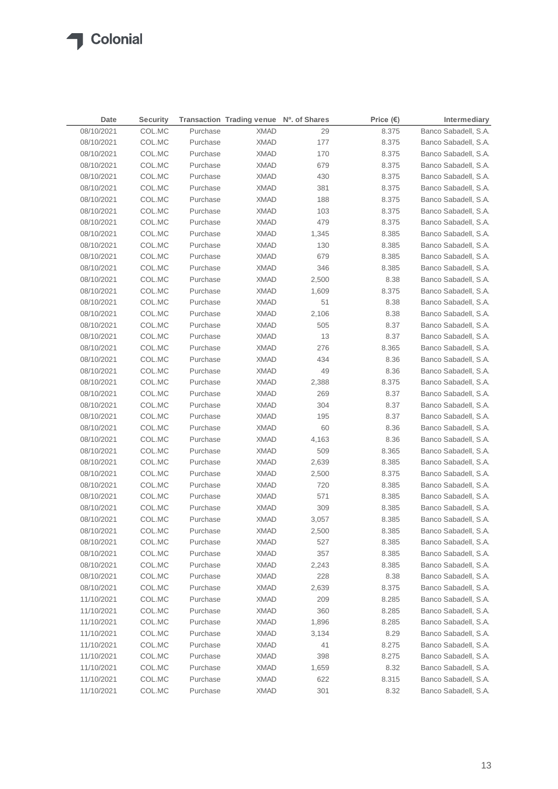| Date       | <b>Security</b> |          | Transaction Trading venue Nº. of Shares |       | Price $(\epsilon)$ | Intermediary         |
|------------|-----------------|----------|-----------------------------------------|-------|--------------------|----------------------|
| 08/10/2021 | COL.MC          | Purchase | <b>XMAD</b>                             | 29    | 8.375              | Banco Sabadell, S.A. |
| 08/10/2021 | COL.MC          | Purchase | <b>XMAD</b>                             | 177   | 8.375              | Banco Sabadell, S.A. |
| 08/10/2021 | COL.MC          | Purchase | <b>XMAD</b>                             | 170   | 8.375              | Banco Sabadell, S.A. |
| 08/10/2021 | COL.MC          | Purchase | <b>XMAD</b>                             | 679   | 8.375              | Banco Sabadell, S.A. |
| 08/10/2021 | COL.MC          | Purchase | XMAD                                    | 430   | 8.375              | Banco Sabadell, S.A. |
| 08/10/2021 | COL.MC          | Purchase | <b>XMAD</b>                             | 381   | 8.375              | Banco Sabadell, S.A. |
| 08/10/2021 | COL.MC          | Purchase | <b>XMAD</b>                             | 188   | 8.375              | Banco Sabadell, S.A. |
| 08/10/2021 | COL.MC          | Purchase | <b>XMAD</b>                             | 103   | 8.375              | Banco Sabadell, S.A. |
| 08/10/2021 | COL.MC          | Purchase | <b>XMAD</b>                             | 479   | 8.375              | Banco Sabadell, S.A. |
| 08/10/2021 | COL.MC          | Purchase | XMAD                                    | 1,345 | 8.385              | Banco Sabadell, S.A. |
| 08/10/2021 | COL.MC          | Purchase | XMAD                                    | 130   | 8.385              | Banco Sabadell, S.A. |
| 08/10/2021 | COL.MC          | Purchase | XMAD                                    | 679   | 8.385              | Banco Sabadell, S.A. |
| 08/10/2021 | COL.MC          | Purchase | <b>XMAD</b>                             | 346   | 8.385              | Banco Sabadell, S.A. |
| 08/10/2021 | COL.MC          | Purchase | XMAD                                    | 2,500 | 8.38               | Banco Sabadell, S.A. |
| 08/10/2021 | COL.MC          | Purchase | XMAD                                    | 1,609 | 8.375              | Banco Sabadell, S.A. |
| 08/10/2021 | COL.MC          | Purchase | XMAD                                    | 51    | 8.38               | Banco Sabadell, S.A. |
| 08/10/2021 | COL.MC          | Purchase | XMAD                                    | 2,106 | 8.38               | Banco Sabadell, S.A. |
| 08/10/2021 | COL.MC          | Purchase | XMAD                                    | 505   | 8.37               | Banco Sabadell, S.A. |
| 08/10/2021 | COL.MC          | Purchase | XMAD                                    | 13    | 8.37               | Banco Sabadell, S.A. |
| 08/10/2021 | COL.MC          | Purchase | XMAD                                    | 276   | 8.365              | Banco Sabadell, S.A. |
| 08/10/2021 | COL.MC          | Purchase | <b>XMAD</b>                             | 434   | 8.36               | Banco Sabadell, S.A. |
| 08/10/2021 | COL.MC          | Purchase | <b>XMAD</b>                             | 49    | 8.36               | Banco Sabadell, S.A. |
| 08/10/2021 | COL.MC          | Purchase | <b>XMAD</b>                             | 2,388 | 8.375              | Banco Sabadell, S.A. |
| 08/10/2021 | COL.MC          | Purchase | <b>XMAD</b>                             | 269   | 8.37               | Banco Sabadell, S.A. |
| 08/10/2021 | COL.MC          | Purchase | XMAD                                    | 304   | 8.37               | Banco Sabadell, S.A. |
| 08/10/2021 | COL.MC          | Purchase | XMAD                                    | 195   | 8.37               | Banco Sabadell, S.A. |
| 08/10/2021 | COL.MC          | Purchase | XMAD                                    | 60    | 8.36               | Banco Sabadell, S.A. |
| 08/10/2021 | COL.MC          | Purchase | XMAD                                    | 4,163 | 8.36               | Banco Sabadell, S.A. |
| 08/10/2021 | COL.MC          | Purchase | XMAD                                    | 509   | 8.365              | Banco Sabadell, S.A. |
| 08/10/2021 | COL.MC          | Purchase | XMAD                                    | 2,639 | 8.385              | Banco Sabadell, S.A. |
| 08/10/2021 | COL.MC          | Purchase | <b>XMAD</b>                             | 2,500 | 8.375              | Banco Sabadell, S.A. |
| 08/10/2021 | COL.MC          | Purchase | XMAD                                    | 720   | 8.385              | Banco Sabadell, S.A. |
| 08/10/2021 | COL.MC          | Purchase | <b>XMAD</b>                             | 571   | 8.385              | Banco Sabadell, S.A. |
| 08/10/2021 | COL.MC          | Purchase | <b>XMAD</b>                             | 309   | 8.385              | Banco Sabadell, S.A. |
| 08/10/2021 | COL.MC          | Purchase | XMAD                                    | 3,057 | 8.385              | Banco Sabadell, S.A. |
| 08/10/2021 | COL.MC          | Purchase | <b>XMAD</b>                             | 2,500 | 8.385              | Banco Sabadell, S.A. |
| 08/10/2021 | COL.MC          | Purchase | <b>XMAD</b>                             | 527   | 8.385              | Banco Sabadell, S.A. |
| 08/10/2021 | COL.MC          | Purchase | <b>XMAD</b>                             | 357   | 8.385              | Banco Sabadell, S.A. |
| 08/10/2021 | COL.MC          | Purchase | <b>XMAD</b>                             | 2,243 | 8.385              | Banco Sabadell, S.A. |
| 08/10/2021 | COL.MC          | Purchase | <b>XMAD</b>                             | 228   | 8.38               | Banco Sabadell, S.A. |
| 08/10/2021 | COL.MC          | Purchase | <b>XMAD</b>                             | 2,639 | 8.375              | Banco Sabadell, S.A. |
| 11/10/2021 | COL.MC          | Purchase | <b>XMAD</b>                             | 209   | 8.285              | Banco Sabadell, S.A. |
| 11/10/2021 | COL.MC          | Purchase | <b>XMAD</b>                             | 360   | 8.285              | Banco Sabadell, S.A. |
| 11/10/2021 | COL.MC          | Purchase | <b>XMAD</b>                             | 1,896 | 8.285              | Banco Sabadell, S.A. |
| 11/10/2021 | COL.MC          | Purchase | <b>XMAD</b>                             | 3,134 | 8.29               | Banco Sabadell, S.A. |
| 11/10/2021 | COL.MC          | Purchase | <b>XMAD</b>                             | 41    | 8.275              | Banco Sabadell, S.A. |
| 11/10/2021 | COL.MC          | Purchase | <b>XMAD</b>                             | 398   | 8.275              | Banco Sabadell, S.A. |
| 11/10/2021 | COL.MC          | Purchase | <b>XMAD</b>                             | 1,659 | 8.32               | Banco Sabadell, S.A. |
| 11/10/2021 | COL.MC          | Purchase | <b>XMAD</b>                             | 622   | 8.315              | Banco Sabadell, S.A. |
| 11/10/2021 | COL.MC          | Purchase | <b>XMAD</b>                             | 301   | 8.32               | Banco Sabadell, S.A. |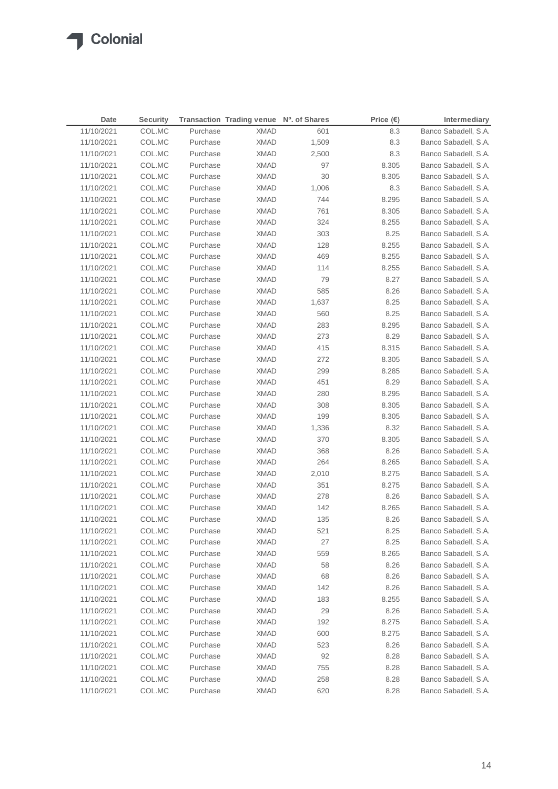$\sqrt{2}$ 

| Date       | <b>Security</b> |          | Transaction Trading venue Nº. of Shares |       | Price (€) | Intermediary         |
|------------|-----------------|----------|-----------------------------------------|-------|-----------|----------------------|
| 11/10/2021 | COL.MC          | Purchase | <b>XMAD</b>                             | 601   | 8.3       | Banco Sabadell, S.A. |
| 11/10/2021 | COL.MC          | Purchase | <b>XMAD</b>                             | 1,509 | 8.3       | Banco Sabadell, S.A. |
| 11/10/2021 | COL.MC          | Purchase | <b>XMAD</b>                             | 2,500 | 8.3       | Banco Sabadell, S.A. |
| 11/10/2021 | COL.MC          | Purchase | <b>XMAD</b>                             | 97    | 8.305     | Banco Sabadell, S.A. |
| 11/10/2021 | COL.MC          | Purchase | XMAD                                    | 30    | 8.305     | Banco Sabadell, S.A. |
| 11/10/2021 | COL.MC          | Purchase | <b>XMAD</b>                             | 1,006 | 8.3       | Banco Sabadell, S.A. |
| 11/10/2021 | COL.MC          | Purchase | <b>XMAD</b>                             | 744   | 8.295     | Banco Sabadell, S.A. |
| 11/10/2021 | COL.MC          | Purchase | <b>XMAD</b>                             | 761   | 8.305     | Banco Sabadell, S.A. |
| 11/10/2021 | COL.MC          | Purchase | <b>XMAD</b>                             | 324   | 8.255     | Banco Sabadell, S.A. |
| 11/10/2021 | COL.MC          | Purchase | <b>XMAD</b>                             | 303   | 8.25      | Banco Sabadell, S.A. |
| 11/10/2021 | COL.MC          | Purchase | <b>XMAD</b>                             | 128   | 8.255     | Banco Sabadell, S.A. |
| 11/10/2021 | COL.MC          | Purchase | XMAD                                    | 469   | 8.255     | Banco Sabadell, S.A. |
| 11/10/2021 | COL.MC          | Purchase | <b>XMAD</b>                             | 114   | 8.255     | Banco Sabadell, S.A. |
| 11/10/2021 | COL.MC          | Purchase | <b>XMAD</b>                             | 79    | 8.27      | Banco Sabadell, S.A. |
| 11/10/2021 | COL.MC          | Purchase | XMAD                                    | 585   | 8.26      | Banco Sabadell, S.A. |
| 11/10/2021 | COL.MC          | Purchase | XMAD                                    | 1,637 | 8.25      | Banco Sabadell, S.A. |
| 11/10/2021 | COL.MC          | Purchase | XMAD                                    | 560   | 8.25      | Banco Sabadell, S.A. |
| 11/10/2021 | COL.MC          | Purchase | XMAD                                    | 283   | 8.295     | Banco Sabadell, S.A. |
| 11/10/2021 | COL.MC          | Purchase | XMAD                                    | 273   | 8.29      | Banco Sabadell, S.A. |
| 11/10/2021 | COL.MC          | Purchase | XMAD                                    | 415   | 8.315     | Banco Sabadell, S.A. |
| 11/10/2021 | COL.MC          | Purchase | <b>XMAD</b>                             | 272   | 8.305     | Banco Sabadell, S.A. |
| 11/10/2021 | COL.MC          | Purchase | <b>XMAD</b>                             | 299   | 8.285     | Banco Sabadell, S.A. |
| 11/10/2021 | COL.MC          | Purchase | <b>XMAD</b>                             | 451   | 8.29      | Banco Sabadell, S.A. |
| 11/10/2021 | COL.MC          | Purchase | <b>XMAD</b>                             | 280   | 8.295     | Banco Sabadell, S.A. |
| 11/10/2021 | COL.MC          | Purchase | XMAD                                    | 308   | 8.305     | Banco Sabadell, S.A. |
| 11/10/2021 | COL.MC          | Purchase | <b>XMAD</b>                             | 199   | 8.305     | Banco Sabadell, S.A. |
| 11/10/2021 | COL.MC          | Purchase | XMAD                                    | 1,336 | 8.32      | Banco Sabadell, S.A. |
| 11/10/2021 | COL.MC          | Purchase | XMAD                                    | 370   | 8.305     | Banco Sabadell, S.A. |
| 11/10/2021 | COL.MC          | Purchase | XMAD                                    | 368   | 8.26      | Banco Sabadell, S.A. |
| 11/10/2021 | COL.MC          | Purchase | XMAD                                    | 264   | 8.265     | Banco Sabadell, S.A. |
| 11/10/2021 | COL.MC          | Purchase | <b>XMAD</b>                             | 2,010 | 8.275     | Banco Sabadell, S.A. |
| 11/10/2021 | COL.MC          | Purchase | <b>XMAD</b>                             | 351   | 8.275     | Banco Sabadell, S.A. |
| 11/10/2021 | COL.MC          | Purchase | <b>XMAD</b>                             | 278   | 8.26      | Banco Sabadell, S.A. |
| 11/10/2021 | COL.MC          | Purchase | XMAD                                    | 142   | 8.265     | Banco Sabadell, S.A. |
| 11/10/2021 | COL.MC          | Purchase | XMAD                                    | 135   | 8.26      | Banco Sabadell, S.A. |
| 11/10/2021 | COL.MC          | Purchase | <b>XMAD</b>                             | 521   | 8.25      | Banco Sabadell, S.A. |
| 11/10/2021 | COL.MC          | Purchase | <b>XMAD</b>                             | 27    | 8.25      | Banco Sabadell, S.A. |
| 11/10/2021 | COL.MC          | Purchase | <b>XMAD</b>                             | 559   | 8.265     | Banco Sabadell, S.A. |
| 11/10/2021 | COL.MC          | Purchase | <b>XMAD</b>                             | 58    | 8.26      | Banco Sabadell, S.A. |
| 11/10/2021 | COL.MC          | Purchase | <b>XMAD</b>                             | 68    | 8.26      | Banco Sabadell, S.A. |
| 11/10/2021 | COL.MC          | Purchase | <b>XMAD</b>                             | 142   | 8.26      | Banco Sabadell, S.A. |
| 11/10/2021 | COL.MC          | Purchase | <b>XMAD</b>                             | 183   | 8.255     | Banco Sabadell, S.A. |
| 11/10/2021 | COL.MC          | Purchase | <b>XMAD</b>                             | 29    | 8.26      | Banco Sabadell, S.A. |
| 11/10/2021 | COL.MC          | Purchase | <b>XMAD</b>                             | 192   | 8.275     | Banco Sabadell, S.A. |
| 11/10/2021 | COL.MC          | Purchase | <b>XMAD</b>                             | 600   | 8.275     | Banco Sabadell, S.A. |
| 11/10/2021 | COL.MC          | Purchase | <b>XMAD</b>                             | 523   | 8.26      | Banco Sabadell, S.A. |
| 11/10/2021 | COL.MC          | Purchase | <b>XMAD</b>                             | 92    | 8.28      | Banco Sabadell, S.A. |
| 11/10/2021 | COL.MC          | Purchase | <b>XMAD</b>                             | 755   | 8.28      | Banco Sabadell, S.A. |
| 11/10/2021 | COL.MC          | Purchase | <b>XMAD</b>                             | 258   | 8.28      | Banco Sabadell, S.A. |
| 11/10/2021 | COL.MC          | Purchase | <b>XMAD</b>                             | 620   | 8.28      | Banco Sabadell, S.A. |
|            |                 |          |                                         |       |           |                      |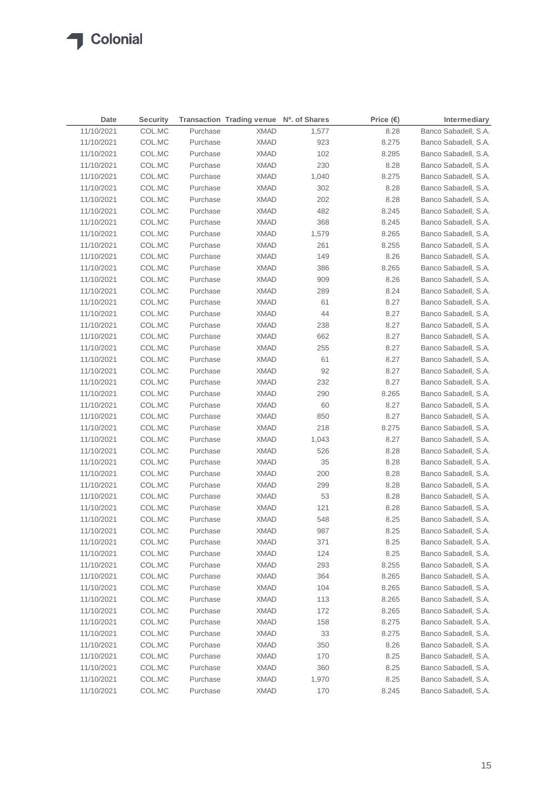| Date       | <b>Security</b> |          | Transaction Trading venue Nº. of Shares |       | Price $(€)$ | Intermediary         |
|------------|-----------------|----------|-----------------------------------------|-------|-------------|----------------------|
| 11/10/2021 | COL.MC          | Purchase | <b>XMAD</b>                             | 1,577 | 8.28        | Banco Sabadell, S.A. |
| 11/10/2021 | COL.MC          | Purchase | <b>XMAD</b>                             | 923   | 8.275       | Banco Sabadell, S.A. |
| 11/10/2021 | COL.MC          | Purchase | <b>XMAD</b>                             | 102   | 8.285       | Banco Sabadell, S.A. |
| 11/10/2021 | COL.MC          | Purchase | <b>XMAD</b>                             | 230   | 8.28        | Banco Sabadell, S.A. |
| 11/10/2021 | COL.MC          | Purchase | <b>XMAD</b>                             | 1,040 | 8.275       | Banco Sabadell, S.A. |
| 11/10/2021 | COL.MC          | Purchase | <b>XMAD</b>                             | 302   | 8.28        | Banco Sabadell, S.A. |
| 11/10/2021 | COL.MC          | Purchase | <b>XMAD</b>                             | 202   | 8.28        | Banco Sabadell, S.A. |
| 11/10/2021 | COL.MC          | Purchase | <b>XMAD</b>                             | 482   | 8.245       | Banco Sabadell, S.A. |
| 11/10/2021 | COL.MC          | Purchase | <b>XMAD</b>                             | 368   | 8.245       | Banco Sabadell, S.A. |
| 11/10/2021 | COL.MC          | Purchase | <b>XMAD</b>                             | 1,579 | 8.265       | Banco Sabadell, S.A. |
| 11/10/2021 | COL.MC          | Purchase | <b>XMAD</b>                             | 261   | 8.255       | Banco Sabadell, S.A. |
| 11/10/2021 | COL.MC          | Purchase | <b>XMAD</b>                             | 149   | 8.26        | Banco Sabadell, S.A. |
| 11/10/2021 | COL.MC          | Purchase | XMAD                                    | 386   | 8.265       | Banco Sabadell, S.A. |
| 11/10/2021 | COL.MC          | Purchase | <b>XMAD</b>                             | 909   | 8.26        | Banco Sabadell, S.A. |
| 11/10/2021 | COL.MC          | Purchase | XMAD                                    | 289   | 8.24        | Banco Sabadell, S.A. |
| 11/10/2021 | COL.MC          | Purchase | XMAD                                    | 61    | 8.27        | Banco Sabadell, S.A. |
| 11/10/2021 | COL.MC          | Purchase | <b>XMAD</b>                             | 44    | 8.27        | Banco Sabadell, S.A. |
| 11/10/2021 | COL.MC          | Purchase | <b>XMAD</b>                             | 238   | 8.27        | Banco Sabadell, S.A. |
| 11/10/2021 | COL.MC          | Purchase | <b>XMAD</b>                             | 662   | 8.27        | Banco Sabadell, S.A. |
| 11/10/2021 | COL.MC          | Purchase | <b>XMAD</b>                             | 255   | 8.27        | Banco Sabadell, S.A. |
| 11/10/2021 | COL.MC          | Purchase | <b>XMAD</b>                             | 61    | 8.27        | Banco Sabadell, S.A. |
| 11/10/2021 | COL.MC          | Purchase | <b>XMAD</b>                             | 92    | 8.27        | Banco Sabadell, S.A. |
| 11/10/2021 | COL.MC          | Purchase | XMAD                                    | 232   | 8.27        | Banco Sabadell, S.A. |
| 11/10/2021 | COL.MC          | Purchase | XMAD                                    | 290   | 8.265       | Banco Sabadell, S.A. |
| 11/10/2021 | COL.MC          | Purchase | <b>XMAD</b>                             | 60    | 8.27        | Banco Sabadell, S.A. |
| 11/10/2021 | COL.MC          | Purchase | XMAD                                    | 850   | 8.27        | Banco Sabadell, S.A. |
| 11/10/2021 | COL.MC          | Purchase | XMAD                                    | 218   | 8.275       | Banco Sabadell, S.A. |
| 11/10/2021 | COL.MC          | Purchase | XMAD                                    | 1,043 | 8.27        | Banco Sabadell, S.A. |
| 11/10/2021 | COL.MC          | Purchase | XMAD                                    | 526   | 8.28        | Banco Sabadell, S.A. |
| 11/10/2021 | COL.MC          | Purchase | XMAD                                    | 35    | 8.28        | Banco Sabadell, S.A. |
| 11/10/2021 | COL.MC          | Purchase | XMAD                                    | 200   | 8.28        | Banco Sabadell, S.A. |
| 11/10/2021 | COL.MC          | Purchase | XMAD                                    | 299   | 8.28        | Banco Sabadell, S.A. |
| 11/10/2021 | COL.MC          | Purchase | <b>XMAD</b>                             | 53    | 8.28        | Banco Sabadell, S.A. |
| 11/10/2021 | COL.MC          | Purchase | <b>XMAD</b>                             | 121   | 8.28        | Banco Sabadell, S.A. |
| 11/10/2021 | COL.MC          | Purchase | <b>XMAD</b>                             | 548   | 8.25        | Banco Sabadell, S.A. |
| 11/10/2021 | COL.MC          | Purchase | <b>XMAD</b>                             | 987   | 8.25        | Banco Sabadell, S.A. |
| 11/10/2021 | COL.MC          | Purchase | <b>XMAD</b>                             | 371   | 8.25        | Banco Sabadell, S.A. |
| 11/10/2021 | COL.MC          | Purchase | <b>XMAD</b>                             | 124   | 8.25        | Banco Sabadell, S.A. |
| 11/10/2021 | COL.MC          | Purchase | <b>XMAD</b>                             | 293   | 8.255       | Banco Sabadell, S.A. |
| 11/10/2021 | COL.MC          | Purchase | <b>XMAD</b>                             | 364   | 8.265       | Banco Sabadell, S.A. |
| 11/10/2021 | COL.MC          | Purchase | <b>XMAD</b>                             | 104   | 8.265       | Banco Sabadell, S.A. |
| 11/10/2021 | COL.MC          | Purchase | <b>XMAD</b>                             | 113   | 8.265       | Banco Sabadell, S.A. |
| 11/10/2021 | COL.MC          | Purchase | <b>XMAD</b>                             | 172   | 8.265       | Banco Sabadell, S.A. |
| 11/10/2021 | COL.MC          | Purchase | <b>XMAD</b>                             | 158   | 8.275       | Banco Sabadell, S.A. |
| 11/10/2021 | COL.MC          | Purchase | <b>XMAD</b>                             | 33    | 8.275       | Banco Sabadell, S.A. |
| 11/10/2021 | COL.MC          | Purchase | <b>XMAD</b>                             | 350   | 8.26        | Banco Sabadell, S.A. |
| 11/10/2021 | COL.MC          | Purchase | <b>XMAD</b>                             | 170   | 8.25        | Banco Sabadell, S.A. |
| 11/10/2021 | COL.MC          | Purchase | <b>XMAD</b>                             | 360   | 8.25        | Banco Sabadell, S.A. |
| 11/10/2021 | COL.MC          | Purchase | <b>XMAD</b>                             | 1,970 | 8.25        | Banco Sabadell, S.A. |
| 11/10/2021 | COL.MC          | Purchase | <b>XMAD</b>                             | 170   | 8.245       | Banco Sabadell, S.A. |
|            |                 |          |                                         |       |             |                      |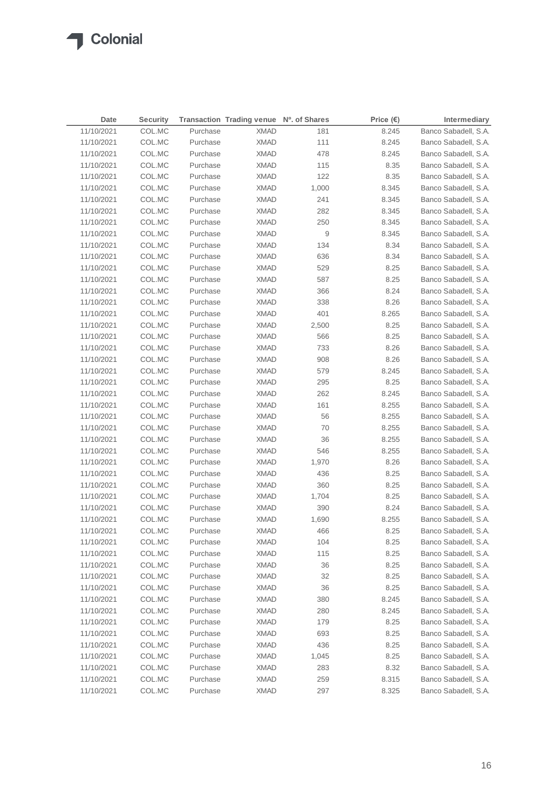| Date       | <b>Security</b> |          | Transaction Trading venue Nº. of Shares |       | Price $(\epsilon)$ | Intermediary         |
|------------|-----------------|----------|-----------------------------------------|-------|--------------------|----------------------|
| 11/10/2021 | COL.MC          | Purchase | <b>XMAD</b>                             | 181   | 8.245              | Banco Sabadell, S.A. |
| 11/10/2021 | COL.MC          | Purchase | XMAD                                    | 111   | 8.245              | Banco Sabadell, S.A. |
| 11/10/2021 | COL.MC          | Purchase | <b>XMAD</b>                             | 478   | 8.245              | Banco Sabadell, S.A. |
| 11/10/2021 | COL.MC          | Purchase | <b>XMAD</b>                             | 115   | 8.35               | Banco Sabadell, S.A. |
| 11/10/2021 | COL.MC          | Purchase | <b>XMAD</b>                             | 122   | 8.35               | Banco Sabadell, S.A. |
| 11/10/2021 | COL.MC          | Purchase | <b>XMAD</b>                             | 1,000 | 8.345              | Banco Sabadell, S.A. |
| 11/10/2021 | COL.MC          | Purchase | <b>XMAD</b>                             | 241   | 8.345              | Banco Sabadell, S.A. |
| 11/10/2021 | COL.MC          | Purchase | <b>XMAD</b>                             | 282   | 8.345              | Banco Sabadell, S.A. |
| 11/10/2021 | COL.MC          | Purchase | <b>XMAD</b>                             | 250   | 8.345              | Banco Sabadell, S.A. |
| 11/10/2021 | COL.MC          | Purchase | <b>XMAD</b>                             | 9     | 8.345              | Banco Sabadell, S.A. |
| 11/10/2021 | COL.MC          | Purchase | <b>XMAD</b>                             | 134   | 8.34               | Banco Sabadell, S.A. |
| 11/10/2021 | COL.MC          | Purchase | <b>XMAD</b>                             | 636   | 8.34               | Banco Sabadell, S.A. |
| 11/10/2021 | COL.MC          | Purchase | XMAD                                    | 529   | 8.25               | Banco Sabadell, S.A. |
| 11/10/2021 | COL.MC          | Purchase | <b>XMAD</b>                             | 587   | 8.25               | Banco Sabadell, S.A. |
| 11/10/2021 | COL.MC          | Purchase | XMAD                                    | 366   | 8.24               | Banco Sabadell, S.A. |
| 11/10/2021 | COL.MC          | Purchase | <b>XMAD</b>                             | 338   | 8.26               | Banco Sabadell, S.A. |
| 11/10/2021 | COL.MC          | Purchase | XMAD                                    | 401   | 8.265              | Banco Sabadell, S.A. |
| 11/10/2021 | COL.MC          | Purchase | XMAD                                    | 2,500 | 8.25               | Banco Sabadell, S.A. |
| 11/10/2021 | COL.MC          | Purchase | <b>XMAD</b>                             | 566   | 8.25               | Banco Sabadell, S.A. |
| 11/10/2021 | COL.MC          | Purchase | <b>XMAD</b>                             | 733   | 8.26               | Banco Sabadell, S.A. |
| 11/10/2021 | COL.MC          | Purchase | <b>XMAD</b>                             | 908   | 8.26               | Banco Sabadell, S.A. |
| 11/10/2021 | COL.MC          | Purchase | <b>XMAD</b>                             | 579   | 8.245              | Banco Sabadell, S.A. |
| 11/10/2021 | COL.MC          | Purchase | <b>XMAD</b>                             | 295   | 8.25               | Banco Sabadell, S.A. |
| 11/10/2021 | COL.MC          | Purchase | <b>XMAD</b>                             | 262   | 8.245              | Banco Sabadell, S.A. |
| 11/10/2021 | COL.MC          | Purchase | XMAD                                    | 161   | 8.255              | Banco Sabadell, S.A. |
| 11/10/2021 | COL.MC          | Purchase | XMAD                                    | 56    | 8.255              | Banco Sabadell, S.A. |
| 11/10/2021 | COL.MC          | Purchase | <b>XMAD</b>                             | 70    | 8.255              | Banco Sabadell, S.A. |
| 11/10/2021 | COL.MC          | Purchase | <b>XMAD</b>                             | 36    | 8.255              | Banco Sabadell, S.A. |
| 11/10/2021 | COL.MC          | Purchase | XMAD                                    | 546   | 8.255              | Banco Sabadell, S.A. |
| 11/10/2021 | COL.MC          | Purchase | XMAD                                    | 1,970 | 8.26               | Banco Sabadell, S.A. |
| 11/10/2021 | COL.MC          | Purchase | XMAD                                    | 436   | 8.25               | Banco Sabadell, S.A. |
| 11/10/2021 | COL.MC          | Purchase | XMAD                                    | 360   | 8.25               | Banco Sabadell, S.A. |
| 11/10/2021 | COL.MC          | Purchase | XMAD                                    | 1,704 | 8.25               | Banco Sabadell, S.A. |
| 11/10/2021 | COL.MC          | Purchase | XMAD                                    | 390   | 8.24               | Banco Sabadell, S.A. |
| 11/10/2021 | COL.MC          | Purchase | <b>XMAD</b>                             | 1,690 | 8.255              | Banco Sabadell, S.A. |
| 11/10/2021 | COL.MC          | Purchase | <b>XMAD</b>                             | 466   | 8.25               | Banco Sabadell, S.A. |
| 11/10/2021 | COL.MC          | Purchase | <b>XMAD</b>                             | 104   | 8.25               | Banco Sabadell, S.A. |
| 11/10/2021 | COL.MC          | Purchase | <b>XMAD</b>                             | 115   | 8.25               | Banco Sabadell, S.A. |
| 11/10/2021 | COL.MC          | Purchase | <b>XMAD</b>                             | 36    | 8.25               | Banco Sabadell, S.A. |
| 11/10/2021 | COL.MC          | Purchase | <b>XMAD</b>                             | 32    | 8.25               | Banco Sabadell, S.A. |
| 11/10/2021 | COL.MC          | Purchase | <b>XMAD</b>                             | 36    | 8.25               | Banco Sabadell, S.A. |
| 11/10/2021 | COL.MC          | Purchase | <b>XMAD</b>                             | 380   | 8.245              | Banco Sabadell, S.A. |
| 11/10/2021 | COL.MC          | Purchase | <b>XMAD</b>                             | 280   | 8.245              | Banco Sabadell, S.A. |
| 11/10/2021 | COL.MC          | Purchase | <b>XMAD</b>                             | 179   | 8.25               | Banco Sabadell, S.A. |
| 11/10/2021 | COL.MC          | Purchase | <b>XMAD</b>                             | 693   | 8.25               | Banco Sabadell, S.A. |
| 11/10/2021 | COL.MC          | Purchase | <b>XMAD</b>                             | 436   | 8.25               | Banco Sabadell, S.A. |
| 11/10/2021 | COL.MC          | Purchase | <b>XMAD</b>                             | 1,045 | 8.25               | Banco Sabadell, S.A. |
| 11/10/2021 | COL.MC          | Purchase | <b>XMAD</b>                             | 283   | 8.32               | Banco Sabadell, S.A. |
| 11/10/2021 | COL.MC          | Purchase | <b>XMAD</b>                             | 259   | 8.315              | Banco Sabadell, S.A. |
| 11/10/2021 | COL.MC          | Purchase | <b>XMAD</b>                             | 297   | 8.325              | Banco Sabadell, S.A. |
|            |                 |          |                                         |       |                    |                      |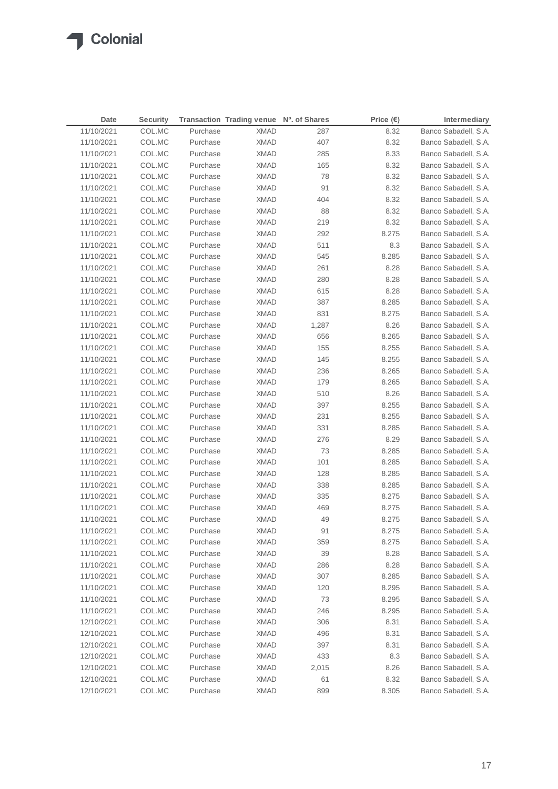| Date       | <b>Security</b> |                      | Transaction Trading venue Nº. of Shares |       | Price $(\epsilon)$ | Intermediary         |
|------------|-----------------|----------------------|-----------------------------------------|-------|--------------------|----------------------|
| 11/10/2021 | COL.MC          | Purchase             | <b>XMAD</b>                             | 287   | 8.32               | Banco Sabadell, S.A. |
| 11/10/2021 | COL.MC          | Purchase             | XMAD                                    | 407   | 8.32               | Banco Sabadell, S.A. |
| 11/10/2021 | COL.MC          | Purchase             | <b>XMAD</b>                             | 285   | 8.33               | Banco Sabadell, S.A. |
| 11/10/2021 | COL.MC          | Purchase             | <b>XMAD</b>                             | 165   | 8.32               | Banco Sabadell, S.A. |
| 11/10/2021 | COL.MC          | Purchase             | <b>XMAD</b>                             | 78    | 8.32               | Banco Sabadell, S.A. |
| 11/10/2021 | COL.MC          | Purchase             | <b>XMAD</b>                             | 91    | 8.32               | Banco Sabadell, S.A. |
| 11/10/2021 | COL.MC          | Purchase             | <b>XMAD</b>                             | 404   | 8.32               | Banco Sabadell, S.A. |
| 11/10/2021 | COL.MC          | Purchase             | <b>XMAD</b>                             | 88    | 8.32               | Banco Sabadell, S.A. |
| 11/10/2021 | COL.MC          | Purchase             | <b>XMAD</b>                             | 219   | 8.32               | Banco Sabadell, S.A. |
| 11/10/2021 | COL.MC          | Purchase             | <b>XMAD</b>                             | 292   | 8.275              | Banco Sabadell, S.A. |
| 11/10/2021 | COL.MC          | Purchase             | <b>XMAD</b>                             | 511   | 8.3                | Banco Sabadell, S.A. |
| 11/10/2021 | COL.MC          | Purchase             | <b>XMAD</b>                             | 545   | 8.285              | Banco Sabadell, S.A. |
| 11/10/2021 | COL.MC          | Purchase             | XMAD                                    | 261   | 8.28               | Banco Sabadell, S.A. |
| 11/10/2021 | COL.MC          | Purchase             | <b>XMAD</b>                             | 280   | 8.28               | Banco Sabadell, S.A. |
| 11/10/2021 | COL.MC          | Purchase             | XMAD                                    | 615   | 8.28               | Banco Sabadell, S.A. |
| 11/10/2021 | COL.MC          | Purchase             | <b>XMAD</b>                             | 387   | 8.285              | Banco Sabadell, S.A. |
| 11/10/2021 | COL.MC          | Purchase             | XMAD                                    | 831   | 8.275              | Banco Sabadell, S.A. |
| 11/10/2021 | COL.MC          | Purchase             | XMAD                                    | 1,287 | 8.26               | Banco Sabadell, S.A. |
| 11/10/2021 | COL.MC          | Purchase             | <b>XMAD</b>                             | 656   | 8.265              | Banco Sabadell, S.A. |
| 11/10/2021 | COL.MC          | Purchase             | <b>XMAD</b>                             | 155   | 8.255              | Banco Sabadell, S.A. |
| 11/10/2021 | COL.MC          | Purchase             | <b>XMAD</b>                             | 145   | 8.255              | Banco Sabadell, S.A. |
| 11/10/2021 | COL.MC          | Purchase             | <b>XMAD</b>                             | 236   | 8.265              | Banco Sabadell, S.A. |
| 11/10/2021 | COL.MC          | Purchase             | <b>XMAD</b>                             | 179   | 8.265              | Banco Sabadell, S.A. |
| 11/10/2021 | COL.MC          | Purchase             | <b>XMAD</b>                             | 510   | 8.26               | Banco Sabadell, S.A. |
| 11/10/2021 | COL.MC          | Purchase             | <b>XMAD</b>                             | 397   | 8.255              | Banco Sabadell, S.A. |
| 11/10/2021 | COL.MC          | Purchase             | XMAD                                    | 231   | 8.255              | Banco Sabadell, S.A. |
| 11/10/2021 | COL.MC          | Purchase             | <b>XMAD</b>                             | 331   | 8.285              | Banco Sabadell, S.A. |
| 11/10/2021 | COL.MC          | Purchase             | <b>XMAD</b>                             | 276   | 8.29               | Banco Sabadell, S.A. |
| 11/10/2021 | COL.MC          | Purchase             | XMAD                                    | 73    | 8.285              | Banco Sabadell, S.A. |
| 11/10/2021 | COL.MC          | Purchase             | XMAD                                    | 101   | 8.285              | Banco Sabadell, S.A. |
| 11/10/2021 | COL.MC          | Purchase             | XMAD                                    | 128   | 8.285              | Banco Sabadell, S.A. |
| 11/10/2021 | COL.MC          | Purchase             | XMAD                                    | 338   | 8.285              | Banco Sabadell, S.A. |
| 11/10/2021 | COL.MC          | Purchase             | XMAD                                    | 335   | 8.275              | Banco Sabadell, S.A. |
| 11/10/2021 | COL.MC          | Purchase             | XMAD                                    | 469   | 8.275              | Banco Sabadell, S.A. |
| 11/10/2021 | COL.MC          | Purchase             | <b>XMAD</b>                             | 49    | 8.275              | Banco Sabadell, S.A. |
| 11/10/2021 | COL.MC          | Purchase             | <b>XMAD</b>                             | 91    | 8.275              | Banco Sabadell, S.A. |
| 11/10/2021 | COL.MC          | Purchase             | <b>XMAD</b>                             | 359   | 8.275              | Banco Sabadell, S.A. |
| 11/10/2021 | COL.MC          | Purchase             | <b>XMAD</b>                             | 39    | 8.28               | Banco Sabadell, S.A. |
| 11/10/2021 | COL.MC          | Purchase             | <b>XMAD</b>                             | 286   | 8.28               | Banco Sabadell, S.A. |
| 11/10/2021 | COL.MC          | Purchase             | <b>XMAD</b>                             | 307   | 8.285              | Banco Sabadell, S.A. |
| 11/10/2021 | COL.MC          | Purchase             | <b>XMAD</b>                             | 120   | 8.295              | Banco Sabadell, S.A. |
| 11/10/2021 | COL.MC          | Purchase             | <b>XMAD</b>                             | 73    | 8.295              | Banco Sabadell, S.A. |
| 11/10/2021 | COL.MC          | Purchase             | <b>XMAD</b>                             | 246   | 8.295              | Banco Sabadell, S.A. |
| 12/10/2021 | COL.MC          | Purchase             | <b>XMAD</b>                             | 306   | 8.31               | Banco Sabadell, S.A. |
| 12/10/2021 | COL.MC          | Purchase             | <b>XMAD</b>                             | 496   | 8.31               | Banco Sabadell, S.A. |
| 12/10/2021 | COL.MC          |                      | <b>XMAD</b>                             | 397   | 8.31               | Banco Sabadell, S.A. |
| 12/10/2021 | COL.MC          | Purchase<br>Purchase | <b>XMAD</b>                             | 433   | 8.3                | Banco Sabadell, S.A. |
| 12/10/2021 | COL.MC          | Purchase             | <b>XMAD</b>                             | 2,015 | 8.26               | Banco Sabadell, S.A. |
| 12/10/2021 | COL.MC          | Purchase             | <b>XMAD</b>                             | 61    | 8.32               | Banco Sabadell, S.A. |
| 12/10/2021 | COL.MC          | Purchase             | <b>XMAD</b>                             | 899   | 8.305              | Banco Sabadell, S.A. |
|            |                 |                      |                                         |       |                    |                      |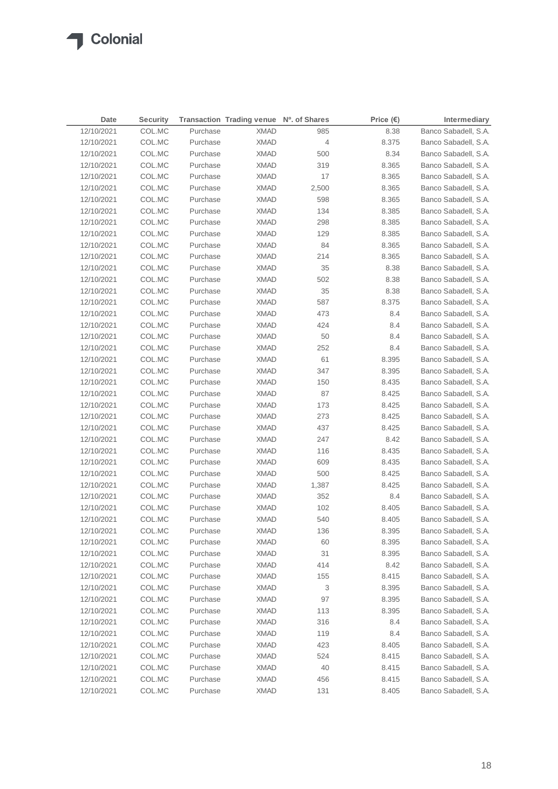| Date       | <b>Security</b> |          | Transaction Trading venue Nº. of Shares |       | Price $(\epsilon)$ | Intermediary         |
|------------|-----------------|----------|-----------------------------------------|-------|--------------------|----------------------|
| 12/10/2021 | COL.MC          | Purchase | <b>XMAD</b>                             | 985   | 8.38               | Banco Sabadell, S.A. |
| 12/10/2021 | COL.MC          | Purchase | <b>XMAD</b>                             | 4     | 8.375              | Banco Sabadell, S.A. |
| 12/10/2021 | COL.MC          | Purchase | <b>XMAD</b>                             | 500   | 8.34               | Banco Sabadell, S.A. |
| 12/10/2021 | COL.MC          | Purchase | <b>XMAD</b>                             | 319   | 8.365              | Banco Sabadell, S.A. |
| 12/10/2021 | COL.MC          | Purchase | <b>XMAD</b>                             | 17    | 8.365              | Banco Sabadell, S.A. |
| 12/10/2021 | COL.MC          | Purchase | XMAD                                    | 2,500 | 8.365              | Banco Sabadell, S.A. |
| 12/10/2021 | COL.MC          | Purchase | <b>XMAD</b>                             | 598   | 8.365              | Banco Sabadell, S.A. |
| 12/10/2021 | COL.MC          | Purchase | <b>XMAD</b>                             | 134   | 8.385              | Banco Sabadell, S.A. |
| 12/10/2021 | COL.MC          | Purchase | <b>XMAD</b>                             | 298   | 8.385              | Banco Sabadell, S.A. |
| 12/10/2021 | COL.MC          | Purchase | XMAD                                    | 129   | 8.385              | Banco Sabadell, S.A. |
| 12/10/2021 | COL.MC          | Purchase | XMAD                                    | 84    | 8.365              | Banco Sabadell, S.A. |
| 12/10/2021 | COL.MC          | Purchase | XMAD                                    | 214   | 8.365              | Banco Sabadell, S.A. |
| 12/10/2021 | COL.MC          | Purchase | XMAD                                    | 35    | 8.38               | Banco Sabadell, S.A. |
| 12/10/2021 | COL.MC          | Purchase | XMAD                                    | 502   | 8.38               | Banco Sabadell, S.A. |
| 12/10/2021 | COL.MC          | Purchase | XMAD                                    | 35    | 8.38               | Banco Sabadell, S.A. |
| 12/10/2021 | COL.MC          | Purchase | <b>XMAD</b>                             | 587   | 8.375              | Banco Sabadell, S.A. |
| 12/10/2021 | COL.MC          | Purchase | <b>XMAD</b>                             | 473   | 8.4                | Banco Sabadell, S.A. |
| 12/10/2021 | COL.MC          | Purchase | <b>XMAD</b>                             | 424   | 8.4                | Banco Sabadell, S.A. |
| 12/10/2021 | COL.MC          | Purchase | <b>XMAD</b>                             | 50    | 8.4                | Banco Sabadell, S.A. |
| 12/10/2021 | COL.MC          | Purchase | XMAD                                    | 252   | 8.4                | Banco Sabadell, S.A. |
| 12/10/2021 | COL.MC          | Purchase | <b>XMAD</b>                             | 61    | 8.395              | Banco Sabadell, S.A. |
| 12/10/2021 | COL.MC          | Purchase | <b>XMAD</b>                             | 347   | 8.395              | Banco Sabadell, S.A. |
| 12/10/2021 | COL.MC          | Purchase | XMAD                                    | 150   | 8.435              | Banco Sabadell, S.A. |
| 12/10/2021 | COL.MC          | Purchase | XMAD                                    | 87    | 8.425              | Banco Sabadell, S.A. |
| 12/10/2021 | COL.MC          | Purchase | XMAD                                    | 173   | 8.425              | Banco Sabadell, S.A. |
| 12/10/2021 | COL.MC          | Purchase | XMAD                                    | 273   | 8.425              | Banco Sabadell, S.A. |
| 12/10/2021 | COL.MC          | Purchase | XMAD                                    | 437   | 8.425              | Banco Sabadell, S.A. |
| 12/10/2021 | COL.MC          | Purchase | XMAD                                    | 247   | 8.42               | Banco Sabadell, S.A. |
| 12/10/2021 | COL.MC          | Purchase | XMAD                                    | 116   | 8.435              | Banco Sabadell, S.A. |
| 12/10/2021 | COL.MC          | Purchase | <b>XMAD</b>                             | 609   | 8.435              | Banco Sabadell, S.A. |
| 12/10/2021 | COL.MC          | Purchase | <b>XMAD</b>                             | 500   | 8.425              | Banco Sabadell, S.A. |
| 12/10/2021 | COL.MC          | Purchase | XMAD                                    | 1,387 | 8.425              | Banco Sabadell, S.A. |
| 12/10/2021 | COL.MC          | Purchase | <b>XMAD</b>                             | 352   | 8.4                | Banco Sabadell, S.A. |
| 12/10/2021 | COL.MC          | Purchase | <b>XMAD</b>                             | 102   | 8.405              | Banco Sabadell, S.A. |
| 12/10/2021 | COL.MC          | Purchase | <b>XMAD</b>                             | 540   | 8.405              | Banco Sabadell, S.A. |
| 12/10/2021 | COL.MC          | Purchase | <b>XMAD</b>                             | 136   | 8.395              | Banco Sabadell, S.A. |
| 12/10/2021 | COL.MC          | Purchase | <b>XMAD</b>                             | 60    | 8.395              | Banco Sabadell, S.A. |
| 12/10/2021 | COL.MC          | Purchase | <b>XMAD</b>                             | 31    | 8.395              | Banco Sabadell, S.A. |
| 12/10/2021 | COL.MC          | Purchase | <b>XMAD</b>                             | 414   | 8.42               | Banco Sabadell, S.A. |
| 12/10/2021 | COL.MC          | Purchase | <b>XMAD</b>                             | 155   | 8.415              | Banco Sabadell, S.A. |
| 12/10/2021 | COL.MC          | Purchase | <b>XMAD</b>                             | 3     | 8.395              | Banco Sabadell, S.A. |
| 12/10/2021 | COL.MC          | Purchase | <b>XMAD</b>                             | 97    | 8.395              | Banco Sabadell, S.A. |
| 12/10/2021 | COL.MC          | Purchase | <b>XMAD</b>                             | 113   | 8.395              | Banco Sabadell, S.A. |
| 12/10/2021 | COL.MC          | Purchase | <b>XMAD</b>                             | 316   | 8.4                | Banco Sabadell, S.A. |
| 12/10/2021 | COL.MC          | Purchase | <b>XMAD</b>                             | 119   | 8.4                | Banco Sabadell, S.A. |
| 12/10/2021 | COL.MC          | Purchase | <b>XMAD</b>                             | 423   | 8.405              | Banco Sabadell, S.A. |
| 12/10/2021 | COL.MC          | Purchase | <b>XMAD</b>                             | 524   | 8.415              | Banco Sabadell, S.A. |
| 12/10/2021 | COL.MC          | Purchase | <b>XMAD</b>                             | 40    | 8.415              | Banco Sabadell, S.A. |
| 12/10/2021 | COL.MC          | Purchase | <b>XMAD</b>                             | 456   | 8.415              | Banco Sabadell, S.A. |
| 12/10/2021 | COL.MC          | Purchase | <b>XMAD</b>                             | 131   | 8.405              | Banco Sabadell, S.A. |
|            |                 |          |                                         |       |                    |                      |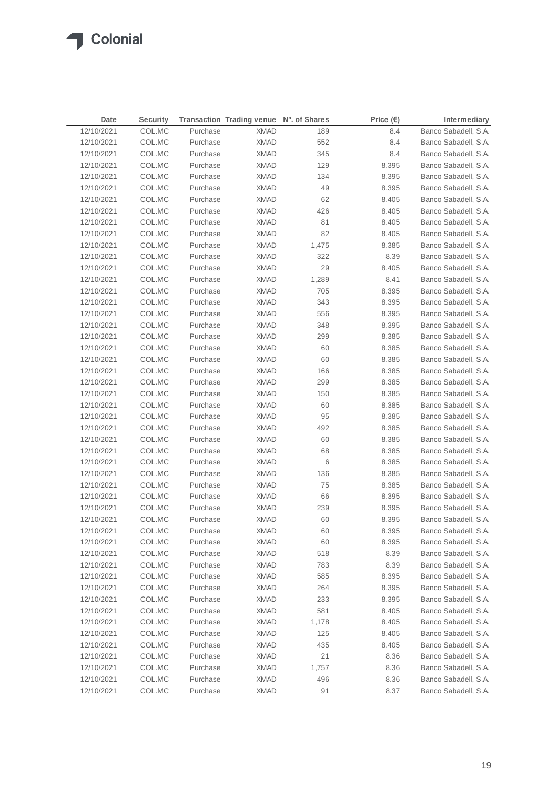$\sqrt{2}$ 

| Date       | <b>Security</b> |          | Transaction Trading venue Nº. of Shares |       | Price $(\epsilon)$ | Intermediary         |
|------------|-----------------|----------|-----------------------------------------|-------|--------------------|----------------------|
| 12/10/2021 | COL.MC          | Purchase | <b>XMAD</b>                             | 189   | 8.4                | Banco Sabadell, S.A. |
| 12/10/2021 | COL.MC          | Purchase | XMAD                                    | 552   | 8.4                | Banco Sabadell, S.A. |
| 12/10/2021 | COL.MC          | Purchase | <b>XMAD</b>                             | 345   | 8.4                | Banco Sabadell, S.A. |
| 12/10/2021 | COL.MC          | Purchase | <b>XMAD</b>                             | 129   | 8.395              | Banco Sabadell, S.A. |
| 12/10/2021 | COL.MC          | Purchase | <b>XMAD</b>                             | 134   | 8.395              | Banco Sabadell, S.A. |
| 12/10/2021 | COL.MC          | Purchase | <b>XMAD</b>                             | 49    | 8.395              | Banco Sabadell, S.A. |
| 12/10/2021 | COL.MC          | Purchase | <b>XMAD</b>                             | 62    | 8.405              | Banco Sabadell, S.A. |
| 12/10/2021 | COL.MC          | Purchase | <b>XMAD</b>                             | 426   | 8.405              | Banco Sabadell, S.A. |
| 12/10/2021 | COL.MC          | Purchase | <b>XMAD</b>                             | 81    | 8.405              | Banco Sabadell, S.A. |
| 12/10/2021 | COL.MC          | Purchase | <b>XMAD</b>                             | 82    | 8.405              | Banco Sabadell, S.A. |
| 12/10/2021 | COL.MC          | Purchase | <b>XMAD</b>                             | 1,475 | 8.385              | Banco Sabadell, S.A. |
| 12/10/2021 | COL.MC          | Purchase | <b>XMAD</b>                             | 322   | 8.39               | Banco Sabadell, S.A. |
| 12/10/2021 | COL.MC          | Purchase | XMAD                                    | 29    | 8.405              | Banco Sabadell, S.A. |
| 12/10/2021 | COL.MC          | Purchase | <b>XMAD</b>                             | 1,289 | 8.41               | Banco Sabadell, S.A. |
| 12/10/2021 | COL.MC          | Purchase | XMAD                                    | 705   | 8.395              | Banco Sabadell, S.A. |
| 12/10/2021 | COL.MC          | Purchase | <b>XMAD</b>                             | 343   | 8.395              | Banco Sabadell, S.A. |
| 12/10/2021 | COL.MC          | Purchase | XMAD                                    | 556   | 8.395              | Banco Sabadell, S.A. |
| 12/10/2021 | COL.MC          | Purchase | XMAD                                    | 348   | 8.395              | Banco Sabadell, S.A. |
| 12/10/2021 | COL.MC          | Purchase | <b>XMAD</b>                             | 299   | 8.385              | Banco Sabadell, S.A. |
| 12/10/2021 | COL.MC          | Purchase | <b>XMAD</b>                             | 60    | 8.385              | Banco Sabadell, S.A. |
| 12/10/2021 | COL.MC          | Purchase | <b>XMAD</b>                             | 60    | 8.385              | Banco Sabadell, S.A. |
| 12/10/2021 | COL.MC          | Purchase | <b>XMAD</b>                             | 166   | 8.385              | Banco Sabadell, S.A. |
| 12/10/2021 | COL.MC          | Purchase | <b>XMAD</b>                             | 299   | 8.385              | Banco Sabadell, S.A. |
| 12/10/2021 | COL.MC          | Purchase | <b>XMAD</b>                             | 150   | 8.385              | Banco Sabadell, S.A. |
| 12/10/2021 | COL.MC          | Purchase | <b>XMAD</b>                             | 60    | 8.385              | Banco Sabadell, S.A. |
| 12/10/2021 | COL.MC          | Purchase | XMAD                                    | 95    | 8.385              | Banco Sabadell, S.A. |
| 12/10/2021 | COL.MC          | Purchase | <b>XMAD</b>                             | 492   | 8.385              | Banco Sabadell, S.A. |
| 12/10/2021 | COL.MC          | Purchase | <b>XMAD</b>                             | 60    | 8.385              | Banco Sabadell, S.A. |
| 12/10/2021 | COL.MC          | Purchase | XMAD                                    | 68    | 8.385              | Banco Sabadell, S.A. |
| 12/10/2021 | COL.MC          | Purchase | XMAD                                    | 6     | 8.385              | Banco Sabadell, S.A. |
| 12/10/2021 | COL.MC          | Purchase | XMAD                                    | 136   | 8.385              | Banco Sabadell, S.A. |
| 12/10/2021 | COL.MC          | Purchase | XMAD                                    | 75    | 8.385              | Banco Sabadell, S.A. |
| 12/10/2021 | COL.MC          | Purchase | XMAD                                    | 66    | 8.395              | Banco Sabadell, S.A. |
| 12/10/2021 | COL.MC          | Purchase | XMAD                                    | 239   | 8.395              | Banco Sabadell, S.A. |
| 12/10/2021 | COL.MC          | Purchase | <b>XMAD</b>                             | 60    | 8.395              | Banco Sabadell, S.A. |
| 12/10/2021 | COL.MC          | Purchase | <b>XMAD</b>                             | 60    | 8.395              | Banco Sabadell, S.A. |
| 12/10/2021 | COL.MC          | Purchase | <b>XMAD</b>                             | 60    | 8.395              | Banco Sabadell, S.A. |
| 12/10/2021 | COL.MC          | Purchase | <b>XMAD</b>                             | 518   | 8.39               | Banco Sabadell, S.A. |
| 12/10/2021 | COL.MC          | Purchase | <b>XMAD</b>                             | 783   | 8.39               | Banco Sabadell, S.A. |
| 12/10/2021 | COL.MC          | Purchase | <b>XMAD</b>                             | 585   | 8.395              | Banco Sabadell, S.A. |
| 12/10/2021 | COL.MC          | Purchase | <b>XMAD</b>                             | 264   | 8.395              | Banco Sabadell, S.A. |
| 12/10/2021 | COL.MC          | Purchase | <b>XMAD</b>                             | 233   | 8.395              | Banco Sabadell, S.A. |
| 12/10/2021 | COL.MC          | Purchase | <b>XMAD</b>                             | 581   | 8.405              | Banco Sabadell, S.A. |
| 12/10/2021 | COL.MC          | Purchase | <b>XMAD</b>                             | 1,178 | 8.405              | Banco Sabadell, S.A. |
| 12/10/2021 | COL.MC          | Purchase | <b>XMAD</b>                             | 125   | 8.405              | Banco Sabadell, S.A. |
| 12/10/2021 | COL.MC          | Purchase | <b>XMAD</b>                             | 435   | 8.405              | Banco Sabadell, S.A. |
| 12/10/2021 | COL.MC          | Purchase | <b>XMAD</b>                             | 21    | 8.36               | Banco Sabadell, S.A. |
| 12/10/2021 | COL.MC          | Purchase | <b>XMAD</b>                             | 1,757 | 8.36               | Banco Sabadell, S.A. |
| 12/10/2021 | COL.MC          | Purchase | <b>XMAD</b>                             | 496   | 8.36               | Banco Sabadell, S.A. |
| 12/10/2021 | COL.MC          | Purchase | <b>XMAD</b>                             | 91    | 8.37               | Banco Sabadell, S.A. |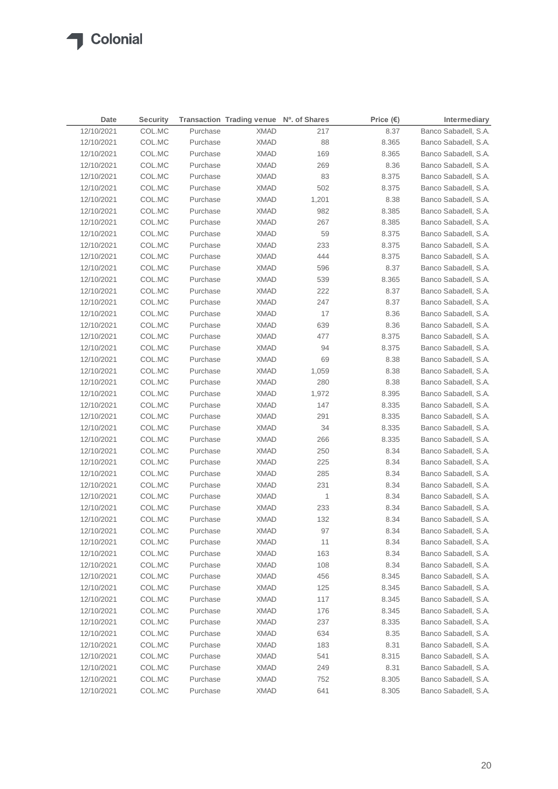| Date       | <b>Security</b> |          | Transaction Trading venue Nº. of Shares |       | Price $(\epsilon)$ | Intermediary         |
|------------|-----------------|----------|-----------------------------------------|-------|--------------------|----------------------|
| 12/10/2021 | COL.MC          | Purchase | <b>XMAD</b>                             | 217   | 8.37               | Banco Sabadell, S.A. |
| 12/10/2021 | COL.MC          | Purchase | <b>XMAD</b>                             | 88    | 8.365              | Banco Sabadell, S.A. |
| 12/10/2021 | COL.MC          | Purchase | <b>XMAD</b>                             | 169   | 8.365              | Banco Sabadell, S.A. |
| 12/10/2021 | COL.MC          | Purchase | <b>XMAD</b>                             | 269   | 8.36               | Banco Sabadell, S.A. |
| 12/10/2021 | COL.MC          | Purchase | <b>XMAD</b>                             | 83    | 8.375              | Banco Sabadell, S.A. |
| 12/10/2021 | COL.MC          | Purchase | <b>XMAD</b>                             | 502   | 8.375              | Banco Sabadell, S.A. |
| 12/10/2021 | COL.MC          | Purchase | <b>XMAD</b>                             | 1,201 | 8.38               | Banco Sabadell, S.A. |
| 12/10/2021 | COL.MC          | Purchase | <b>XMAD</b>                             | 982   | 8.385              | Banco Sabadell, S.A. |
| 12/10/2021 | COL.MC          | Purchase | <b>XMAD</b>                             | 267   | 8.385              | Banco Sabadell, S.A. |
| 12/10/2021 | COL.MC          | Purchase | XMAD                                    | 59    | 8.375              | Banco Sabadell, S.A. |
| 12/10/2021 | COL.MC          | Purchase | XMAD                                    | 233   | 8.375              | Banco Sabadell, S.A. |
| 12/10/2021 | COL.MC          | Purchase | XMAD                                    | 444   | 8.375              | Banco Sabadell, S.A. |
| 12/10/2021 | COL.MC          | Purchase | XMAD                                    | 596   | 8.37               | Banco Sabadell, S.A. |
| 12/10/2021 | COL.MC          | Purchase | <b>XMAD</b>                             | 539   | 8.365              | Banco Sabadell, S.A. |
| 12/10/2021 | COL.MC          | Purchase | XMAD                                    | 222   | 8.37               | Banco Sabadell, S.A. |
| 12/10/2021 | COL.MC          | Purchase | <b>XMAD</b>                             | 247   | 8.37               | Banco Sabadell, S.A. |
| 12/10/2021 | COL.MC          | Purchase | <b>XMAD</b>                             | 17    | 8.36               | Banco Sabadell, S.A. |
| 12/10/2021 | COL.MC          | Purchase | <b>XMAD</b>                             | 639   | 8.36               | Banco Sabadell, S.A. |
| 12/10/2021 | COL.MC          | Purchase | <b>XMAD</b>                             | 477   | 8.375              | Banco Sabadell, S.A. |
| 12/10/2021 | COL.MC          | Purchase | XMAD                                    | 94    | 8.375              | Banco Sabadell, S.A. |
| 12/10/2021 | COL.MC          | Purchase | XMAD                                    | 69    | 8.38               | Banco Sabadell, S.A. |
| 12/10/2021 | COL.MC          | Purchase | <b>XMAD</b>                             | 1,059 | 8.38               | Banco Sabadell, S.A. |
| 12/10/2021 | COL.MC          | Purchase | XMAD                                    | 280   | 8.38               | Banco Sabadell, S.A. |
| 12/10/2021 | COL.MC          | Purchase | XMAD                                    | 1,972 | 8.395              | Banco Sabadell, S.A. |
| 12/10/2021 | COL.MC          | Purchase | XMAD                                    | 147   | 8.335              | Banco Sabadell, S.A. |
| 12/10/2021 | COL.MC          | Purchase | XMAD                                    | 291   | 8.335              | Banco Sabadell, S.A. |
| 12/10/2021 | COL.MC          | Purchase | XMAD                                    | 34    | 8.335              | Banco Sabadell, S.A. |
| 12/10/2021 | COL.MC          | Purchase | XMAD                                    | 266   | 8.335              | Banco Sabadell, S.A. |
| 12/10/2021 | COL.MC          | Purchase | XMAD                                    | 250   | 8.34               | Banco Sabadell, S.A. |
| 12/10/2021 | COL.MC          | Purchase | <b>XMAD</b>                             | 225   | 8.34               | Banco Sabadell, S.A. |
| 12/10/2021 | COL.MC          | Purchase | <b>XMAD</b>                             | 285   | 8.34               | Banco Sabadell, S.A. |
| 12/10/2021 | COL.MC          | Purchase | <b>XMAD</b>                             | 231   | 8.34               | Banco Sabadell, S.A. |
| 12/10/2021 | COL.MC          | Purchase | <b>XMAD</b>                             | 1     | 8.34               | Banco Sabadell, S.A. |
| 12/10/2021 | COL.MC          | Purchase | <b>XMAD</b>                             | 233   | 8.34               | Banco Sabadell, S.A. |
| 12/10/2021 | COL.MC          | Purchase | <b>XMAD</b>                             | 132   | 8.34               | Banco Sabadell, S.A. |
| 12/10/2021 | COL.MC          | Purchase | <b>XMAD</b>                             | 97    | 8.34               | Banco Sabadell, S.A. |
| 12/10/2021 | COL.MC          | Purchase | <b>XMAD</b>                             | 11    | 8.34               | Banco Sabadell, S.A. |
| 12/10/2021 | COL.MC          | Purchase | <b>XMAD</b>                             | 163   | 8.34               | Banco Sabadell, S.A. |
| 12/10/2021 | COL.MC          | Purchase | <b>XMAD</b>                             | 108   | 8.34               | Banco Sabadell, S.A. |
| 12/10/2021 | COL.MC          | Purchase | <b>XMAD</b>                             | 456   | 8.345              | Banco Sabadell, S.A. |
| 12/10/2021 | COL.MC          | Purchase | <b>XMAD</b>                             | 125   | 8.345              | Banco Sabadell, S.A. |
| 12/10/2021 | COL.MC          | Purchase | <b>XMAD</b>                             | 117   | 8.345              | Banco Sabadell, S.A. |
| 12/10/2021 | COL.MC          | Purchase | <b>XMAD</b>                             | 176   | 8.345              | Banco Sabadell, S.A. |
| 12/10/2021 | COL.MC          | Purchase | <b>XMAD</b>                             | 237   | 8.335              | Banco Sabadell, S.A. |
| 12/10/2021 | COL.MC          | Purchase | <b>XMAD</b>                             | 634   | 8.35               | Banco Sabadell, S.A. |
| 12/10/2021 | COL.MC          | Purchase | <b>XMAD</b>                             | 183   | 8.31               | Banco Sabadell, S.A. |
| 12/10/2021 | COL.MC          | Purchase | <b>XMAD</b>                             | 541   | 8.315              | Banco Sabadell, S.A. |
| 12/10/2021 | COL.MC          | Purchase | <b>XMAD</b>                             | 249   | 8.31               | Banco Sabadell, S.A. |
| 12/10/2021 | COL.MC          | Purchase | <b>XMAD</b>                             | 752   | 8.305              | Banco Sabadell, S.A. |
| 12/10/2021 | COL.MC          | Purchase | <b>XMAD</b>                             | 641   | 8.305              | Banco Sabadell, S.A. |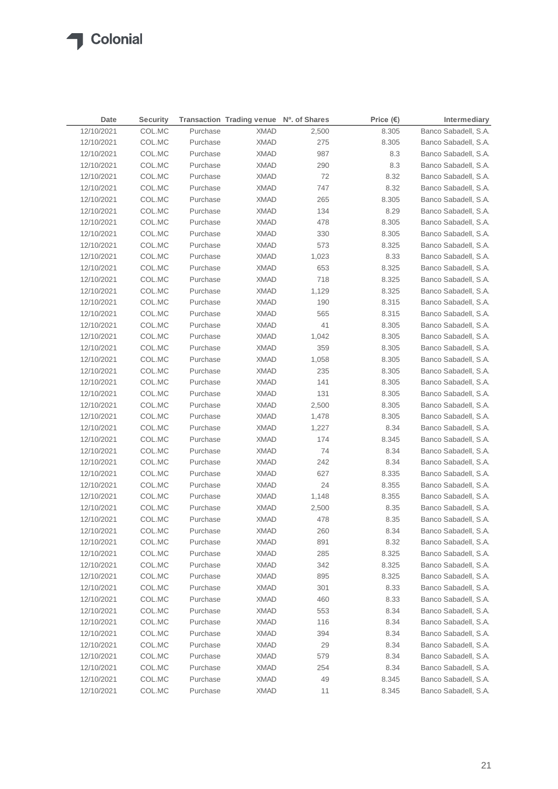| Date       | <b>Security</b> |          | Transaction Trading venue Nº. of Shares |       | Price $(\epsilon)$ | Intermediary         |
|------------|-----------------|----------|-----------------------------------------|-------|--------------------|----------------------|
| 12/10/2021 | COL.MC          | Purchase | <b>XMAD</b>                             | 2,500 | 8.305              | Banco Sabadell, S.A. |
| 12/10/2021 | COL.MC          | Purchase | <b>XMAD</b>                             | 275   | 8.305              | Banco Sabadell, S.A. |
| 12/10/2021 | COL.MC          | Purchase | <b>XMAD</b>                             | 987   | 8.3                | Banco Sabadell, S.A. |
| 12/10/2021 | COL.MC          | Purchase | <b>XMAD</b>                             | 290   | 8.3                | Banco Sabadell, S.A. |
| 12/10/2021 | COL.MC          | Purchase | <b>XMAD</b>                             | 72    | 8.32               | Banco Sabadell, S.A. |
| 12/10/2021 | COL.MC          | Purchase | <b>XMAD</b>                             | 747   | 8.32               | Banco Sabadell, S.A. |
| 12/10/2021 | COL.MC          | Purchase | <b>XMAD</b>                             | 265   | 8.305              | Banco Sabadell, S.A. |
| 12/10/2021 | COL.MC          | Purchase | <b>XMAD</b>                             | 134   | 8.29               | Banco Sabadell, S.A. |
| 12/10/2021 | COL.MC          | Purchase | XMAD                                    | 478   | 8.305              | Banco Sabadell, S.A. |
| 12/10/2021 | COL.MC          | Purchase | XMAD                                    | 330   | 8.305              | Banco Sabadell, S.A. |
| 12/10/2021 | COL.MC          | Purchase | XMAD                                    | 573   | 8.325              | Banco Sabadell, S.A. |
| 12/10/2021 | COL.MC          | Purchase | XMAD                                    | 1,023 | 8.33               | Banco Sabadell, S.A. |
| 12/10/2021 | COL.MC          | Purchase | XMAD                                    | 653   | 8.325              | Banco Sabadell, S.A. |
| 12/10/2021 | COL.MC          | Purchase | XMAD                                    | 718   | 8.325              | Banco Sabadell, S.A. |
| 12/10/2021 | COL.MC          | Purchase | XMAD                                    | 1,129 | 8.325              | Banco Sabadell, S.A. |
| 12/10/2021 | COL.MC          | Purchase | <b>XMAD</b>                             | 190   | 8.315              | Banco Sabadell, S.A. |
| 12/10/2021 | COL.MC          | Purchase | <b>XMAD</b>                             | 565   | 8.315              | Banco Sabadell, S.A. |
| 12/10/2021 | COL.MC          | Purchase | <b>XMAD</b>                             | 41    | 8.305              | Banco Sabadell, S.A. |
| 12/10/2021 | COL.MC          | Purchase | <b>XMAD</b>                             | 1,042 | 8.305              | Banco Sabadell, S.A. |
| 12/10/2021 | COL.MC          | Purchase | XMAD                                    | 359   | 8.305              | Banco Sabadell, S.A. |
| 12/10/2021 | COL.MC          | Purchase | XMAD                                    | 1,058 | 8.305              | Banco Sabadell, S.A. |
| 12/10/2021 | COL.MC          | Purchase | <b>XMAD</b>                             | 235   | 8.305              | Banco Sabadell, S.A. |
| 12/10/2021 | COL.MC          | Purchase | <b>XMAD</b>                             | 141   | 8.305              | Banco Sabadell, S.A. |
| 12/10/2021 | COL.MC          | Purchase | XMAD                                    | 131   | 8.305              | Banco Sabadell, S.A. |
| 12/10/2021 | COL.MC          | Purchase | XMAD                                    | 2,500 | 8.305              | Banco Sabadell, S.A. |
| 12/10/2021 | COL.MC          | Purchase | XMAD                                    | 1,478 | 8.305              | Banco Sabadell, S.A. |
| 12/10/2021 | COL.MC          | Purchase | XMAD                                    | 1,227 | 8.34               | Banco Sabadell, S.A. |
| 12/10/2021 | COL.MC          | Purchase | XMAD                                    | 174   | 8.345              | Banco Sabadell, S.A. |
| 12/10/2021 | COL.MC          | Purchase | XMAD                                    | 74    | 8.34               | Banco Sabadell, S.A. |
| 12/10/2021 | COL.MC          | Purchase | XMAD                                    | 242   | 8.34               | Banco Sabadell, S.A. |
| 12/10/2021 | COL.MC          | Purchase | <b>XMAD</b>                             | 627   | 8.335              | Banco Sabadell, S.A. |
| 12/10/2021 | COL.MC          | Purchase | <b>XMAD</b>                             | 24    | 8.355              | Banco Sabadell, S.A. |
| 12/10/2021 | COL.MC          | Purchase | <b>XMAD</b>                             | 1,148 | 8.355              | Banco Sabadell, S.A. |
| 12/10/2021 | COL.MC          | Purchase | <b>XMAD</b>                             | 2,500 | 8.35               | Banco Sabadell, S.A. |
| 12/10/2021 | COL.MC          | Purchase | <b>XMAD</b>                             | 478   | 8.35               | Banco Sabadell, S.A. |
| 12/10/2021 | COL.MC          | Purchase | <b>XMAD</b>                             | 260   | 8.34               | Banco Sabadell, S.A. |
| 12/10/2021 | COL.MC          | Purchase | <b>XMAD</b>                             | 891   | 8.32               | Banco Sabadell, S.A. |
| 12/10/2021 | COL.MC          | Purchase | <b>XMAD</b>                             | 285   | 8.325              | Banco Sabadell, S.A. |
| 12/10/2021 | COL.MC          | Purchase | <b>XMAD</b>                             | 342   | 8.325              | Banco Sabadell, S.A. |
| 12/10/2021 | COL.MC          | Purchase | <b>XMAD</b>                             | 895   | 8.325              | Banco Sabadell, S.A. |
| 12/10/2021 | COL.MC          | Purchase | <b>XMAD</b>                             | 301   | 8.33               | Banco Sabadell, S.A. |
| 12/10/2021 | COL.MC          | Purchase | <b>XMAD</b>                             | 460   | 8.33               | Banco Sabadell, S.A. |
| 12/10/2021 | COL.MC          | Purchase | XMAD                                    | 553   | 8.34               | Banco Sabadell, S.A. |
| 12/10/2021 | COL.MC          | Purchase | <b>XMAD</b>                             | 116   | 8.34               | Banco Sabadell, S.A. |
| 12/10/2021 | COL.MC          | Purchase | <b>XMAD</b>                             | 394   | 8.34               | Banco Sabadell, S.A. |
| 12/10/2021 | COL.MC          | Purchase | <b>XMAD</b>                             | 29    | 8.34               | Banco Sabadell, S.A. |
| 12/10/2021 | COL.MC          | Purchase | <b>XMAD</b>                             | 579   | 8.34               | Banco Sabadell, S.A. |
| 12/10/2021 | COL.MC          | Purchase | <b>XMAD</b>                             | 254   | 8.34               | Banco Sabadell, S.A. |
| 12/10/2021 | COL.MC          | Purchase | <b>XMAD</b>                             | 49    | 8.345              | Banco Sabadell, S.A. |
| 12/10/2021 | COL.MC          | Purchase | <b>XMAD</b>                             | 11    | 8.345              | Banco Sabadell, S.A. |